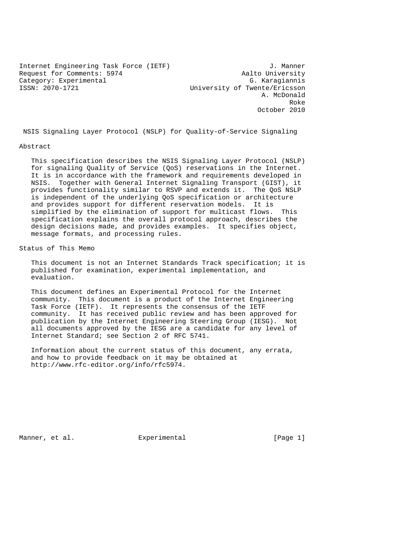Internet Engineering Task Force (IETF) J. Manner<br>Request for Comments: 5974 Aalto University Request for Comments: 5974 Category: Experimental G. Karagiannis ISSN: 2070-1721 University of Twente/Ericsson

 A. McDonald Roke Robert (1999) and the state of the state of the state of the state of the state of the state of the state of the state of the state of the state of the state of the state of the state of the state of the state of the October 2010

NSIS Signaling Layer Protocol (NSLP) for Quality-of-Service Signaling

#### Abstract

 This specification describes the NSIS Signaling Layer Protocol (NSLP) for signaling Quality of Service (QoS) reservations in the Internet. It is in accordance with the framework and requirements developed in NSIS. Together with General Internet Signaling Transport (GIST), it provides functionality similar to RSVP and extends it. The QoS NSLP is independent of the underlying QoS specification or architecture and provides support for different reservation models. It is simplified by the elimination of support for multicast flows. This specification explains the overall protocol approach, describes the design decisions made, and provides examples. It specifies object, message formats, and processing rules.

Status of This Memo

 This document is not an Internet Standards Track specification; it is published for examination, experimental implementation, and evaluation.

 This document defines an Experimental Protocol for the Internet community. This document is a product of the Internet Engineering Task Force (IETF). It represents the consensus of the IETF community. It has received public review and has been approved for publication by the Internet Engineering Steering Group (IESG). Not all documents approved by the IESG are a candidate for any level of Internet Standard; see Section 2 of RFC 5741.

 Information about the current status of this document, any errata, and how to provide feedback on it may be obtained at http://www.rfc-editor.org/info/rfc5974.

Manner, et al.  $\qquad \qquad$  Experimental  $\qquad \qquad$  [Page 1]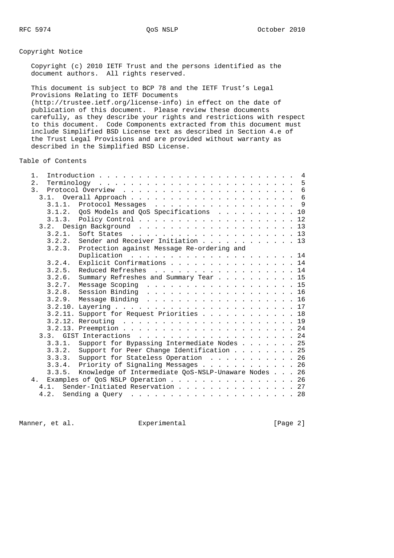Copyright Notice

# Copyright (c) 2010 IETF Trust and the persons identified as the document authors. All rights reserved. This document is subject to BCP 78 and the IETF Trust's Legal Provisions Relating to IETF Documents (http://trustee.ietf.org/license-info) in effect on the date of publication of this document. Please review these documents carefully, as they describe your rights and restrictions with respect to this document. Code Components extracted from this document must include Simplified BSD License text as described in Section 4.e of the Trust Legal Provisions and are provided without warranty as described in the Simplified BSD License. Table of Contents 1. Introduction . . . . . . . . . . . . . . . . . . . . . . . . . 4 2. Terminology . . . . . . . . . . . . . . . . . . . . . . . . . 5 3. Protocol Overview . . . . . . . . . . . . . . . . . . . . . . 6 3.1. Overall Approach . . . . . . . . . . . . . . . . . . . . . 6 3.1.1. Protocol Messages . . . . . . . . . . . . . . . . . . 9

| 3.1.1. Protocol Messages  9                                |  |  |  |  |
|------------------------------------------------------------|--|--|--|--|
| 3.1.2. QoS Models and QoS Specifications 10                |  |  |  |  |
|                                                            |  |  |  |  |
|                                                            |  |  |  |  |
| Soft States $\ldots$ 13<br>3.2.1.                          |  |  |  |  |
| Sender and Receiver Initiation 13<br>3.2.2.                |  |  |  |  |
| 3.2.3. Protection against Message Re-ordering and          |  |  |  |  |
|                                                            |  |  |  |  |
| Explicit Confirmations 14<br>3.2.4.                        |  |  |  |  |
| 3.2.5. Reduced Refreshes 14                                |  |  |  |  |
| Summary Refreshes and Summary Tear 15<br>3.2.6.            |  |  |  |  |
| $3.2.7.$ Message Scoping 15                                |  |  |  |  |
| 3.2.8. Session Binding 16                                  |  |  |  |  |
| 3.2.9. Message Binding 16                                  |  |  |  |  |
|                                                            |  |  |  |  |
| 3.2.11. Support for Request Priorities 18                  |  |  |  |  |
|                                                            |  |  |  |  |
|                                                            |  |  |  |  |
|                                                            |  |  |  |  |
| 3.3.1. Support for Bypassing Intermediate Nodes 25         |  |  |  |  |
| 3.3.2. Support for Peer Change Identification 25           |  |  |  |  |
| 3.3.3. Support for Stateless Operation 26                  |  |  |  |  |
| 3.3.4. Priority of Signaling Messages 26                   |  |  |  |  |
| 3.3.5. Knowledge of Intermediate QoS-NSLP-Unaware Nodes 26 |  |  |  |  |
| 4. Examples of QoS NSLP Operation 26                       |  |  |  |  |
| 4.1. Sender-Initiated Reservation 27                       |  |  |  |  |
|                                                            |  |  |  |  |
|                                                            |  |  |  |  |

Manner, et al. Subsection Experimental Experiment (Page 2)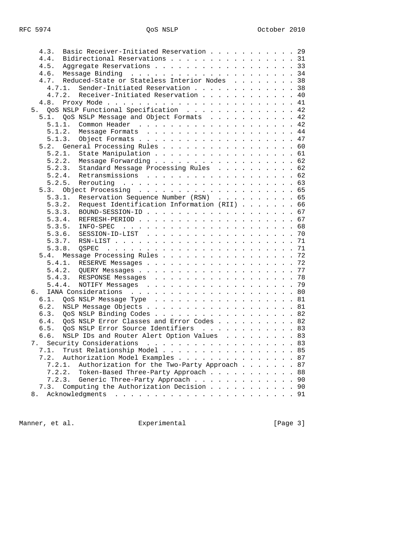| Bidirectional Reservations 31<br>4.4.<br>Aggregate Reservations 33<br>4.5.<br>4.6.<br>Reduced-State or Stateless Interior Nodes 38<br>4.7.<br>Sender-Initiated Reservation 38<br>4.7.1.<br>Receiver-Initiated Reservation 40<br>4.7.2.<br>4.8.<br>5. QoS NSLP Functional Specification 42<br>QoS NSLP Message and Object Formats 42<br>5.1.<br>Common Header 42<br>5.1.1.<br>Message Formats 44<br>5.1.2.<br>5.1.3.<br>General Processing Rules 60<br>5.2.<br>State Manipulation 61<br>5.2.1.<br>Message Forwarding 62<br>5.2.2.<br>Standard Message Processing Rules 62<br>5.2.3.<br>5.2.4.<br>Retransmissions 62<br>5.2.5.<br>5.3.<br>Reservation Sequence Number (RSN) 65<br>5.3.1.<br>Request Identification Information (RII) 66<br>5.3.2.<br>5.3.3.<br>5.3.4.<br>5.3.5.<br>INFO-SPEC<br>5.3.6.<br>5.3.7.<br>5.3.8.<br>OSPEC<br>Message Processing Rules 72<br>5.4.<br>RESERVE Messages 72<br>5.4.1.<br>5.4.2.<br>5.4.3. RESPONSE Messages 78<br>5.4.4.<br>79<br>б.<br>6.1.<br>QoS NSLP Message Type 81<br>NSLP Message Objects 81<br>6.2.<br>QoS NSLP Binding Codes 82<br>6.3.<br>QoS NSLP Error Classes and Error Codes 82<br>6.4.<br>6.5.<br>QoS NSLP Error Source Identifiers 83<br>NSLP IDs and Router Alert Option Values 83<br>6.6.<br>7. Security Considerations 83<br>Trust Relationship Model 85<br>7.1.<br>Authorization Model Examples 87<br>7.2.<br>7.2.1.<br>Authorization for the Two-Party Approach<br>87<br>7.2.2.<br>Token-Based Three-Party Approach<br>88<br>90<br>7.2.3.<br>Generic Three-Party Approach<br>Computing the Authorization Decision 90<br>7.3.<br>Acknowledgments<br>8. | 4.3. | Basic Receiver-Initiated Reservation 29 |  |  |  |  |
|----------------------------------------------------------------------------------------------------------------------------------------------------------------------------------------------------------------------------------------------------------------------------------------------------------------------------------------------------------------------------------------------------------------------------------------------------------------------------------------------------------------------------------------------------------------------------------------------------------------------------------------------------------------------------------------------------------------------------------------------------------------------------------------------------------------------------------------------------------------------------------------------------------------------------------------------------------------------------------------------------------------------------------------------------------------------------------------------------------------------------------------------------------------------------------------------------------------------------------------------------------------------------------------------------------------------------------------------------------------------------------------------------------------------------------------------------------------------------------------------------------------------------------------------------------------------------------------------------------------|------|-----------------------------------------|--|--|--|--|
|                                                                                                                                                                                                                                                                                                                                                                                                                                                                                                                                                                                                                                                                                                                                                                                                                                                                                                                                                                                                                                                                                                                                                                                                                                                                                                                                                                                                                                                                                                                                                                                                                |      |                                         |  |  |  |  |
|                                                                                                                                                                                                                                                                                                                                                                                                                                                                                                                                                                                                                                                                                                                                                                                                                                                                                                                                                                                                                                                                                                                                                                                                                                                                                                                                                                                                                                                                                                                                                                                                                |      |                                         |  |  |  |  |
|                                                                                                                                                                                                                                                                                                                                                                                                                                                                                                                                                                                                                                                                                                                                                                                                                                                                                                                                                                                                                                                                                                                                                                                                                                                                                                                                                                                                                                                                                                                                                                                                                |      |                                         |  |  |  |  |
|                                                                                                                                                                                                                                                                                                                                                                                                                                                                                                                                                                                                                                                                                                                                                                                                                                                                                                                                                                                                                                                                                                                                                                                                                                                                                                                                                                                                                                                                                                                                                                                                                |      |                                         |  |  |  |  |
|                                                                                                                                                                                                                                                                                                                                                                                                                                                                                                                                                                                                                                                                                                                                                                                                                                                                                                                                                                                                                                                                                                                                                                                                                                                                                                                                                                                                                                                                                                                                                                                                                |      |                                         |  |  |  |  |
|                                                                                                                                                                                                                                                                                                                                                                                                                                                                                                                                                                                                                                                                                                                                                                                                                                                                                                                                                                                                                                                                                                                                                                                                                                                                                                                                                                                                                                                                                                                                                                                                                |      |                                         |  |  |  |  |
|                                                                                                                                                                                                                                                                                                                                                                                                                                                                                                                                                                                                                                                                                                                                                                                                                                                                                                                                                                                                                                                                                                                                                                                                                                                                                                                                                                                                                                                                                                                                                                                                                |      |                                         |  |  |  |  |
|                                                                                                                                                                                                                                                                                                                                                                                                                                                                                                                                                                                                                                                                                                                                                                                                                                                                                                                                                                                                                                                                                                                                                                                                                                                                                                                                                                                                                                                                                                                                                                                                                |      |                                         |  |  |  |  |
|                                                                                                                                                                                                                                                                                                                                                                                                                                                                                                                                                                                                                                                                                                                                                                                                                                                                                                                                                                                                                                                                                                                                                                                                                                                                                                                                                                                                                                                                                                                                                                                                                |      |                                         |  |  |  |  |
|                                                                                                                                                                                                                                                                                                                                                                                                                                                                                                                                                                                                                                                                                                                                                                                                                                                                                                                                                                                                                                                                                                                                                                                                                                                                                                                                                                                                                                                                                                                                                                                                                |      |                                         |  |  |  |  |
|                                                                                                                                                                                                                                                                                                                                                                                                                                                                                                                                                                                                                                                                                                                                                                                                                                                                                                                                                                                                                                                                                                                                                                                                                                                                                                                                                                                                                                                                                                                                                                                                                |      |                                         |  |  |  |  |
|                                                                                                                                                                                                                                                                                                                                                                                                                                                                                                                                                                                                                                                                                                                                                                                                                                                                                                                                                                                                                                                                                                                                                                                                                                                                                                                                                                                                                                                                                                                                                                                                                |      |                                         |  |  |  |  |
|                                                                                                                                                                                                                                                                                                                                                                                                                                                                                                                                                                                                                                                                                                                                                                                                                                                                                                                                                                                                                                                                                                                                                                                                                                                                                                                                                                                                                                                                                                                                                                                                                |      |                                         |  |  |  |  |
|                                                                                                                                                                                                                                                                                                                                                                                                                                                                                                                                                                                                                                                                                                                                                                                                                                                                                                                                                                                                                                                                                                                                                                                                                                                                                                                                                                                                                                                                                                                                                                                                                |      |                                         |  |  |  |  |
|                                                                                                                                                                                                                                                                                                                                                                                                                                                                                                                                                                                                                                                                                                                                                                                                                                                                                                                                                                                                                                                                                                                                                                                                                                                                                                                                                                                                                                                                                                                                                                                                                |      |                                         |  |  |  |  |
|                                                                                                                                                                                                                                                                                                                                                                                                                                                                                                                                                                                                                                                                                                                                                                                                                                                                                                                                                                                                                                                                                                                                                                                                                                                                                                                                                                                                                                                                                                                                                                                                                |      |                                         |  |  |  |  |
|                                                                                                                                                                                                                                                                                                                                                                                                                                                                                                                                                                                                                                                                                                                                                                                                                                                                                                                                                                                                                                                                                                                                                                                                                                                                                                                                                                                                                                                                                                                                                                                                                |      |                                         |  |  |  |  |
|                                                                                                                                                                                                                                                                                                                                                                                                                                                                                                                                                                                                                                                                                                                                                                                                                                                                                                                                                                                                                                                                                                                                                                                                                                                                                                                                                                                                                                                                                                                                                                                                                |      |                                         |  |  |  |  |
|                                                                                                                                                                                                                                                                                                                                                                                                                                                                                                                                                                                                                                                                                                                                                                                                                                                                                                                                                                                                                                                                                                                                                                                                                                                                                                                                                                                                                                                                                                                                                                                                                |      |                                         |  |  |  |  |
|                                                                                                                                                                                                                                                                                                                                                                                                                                                                                                                                                                                                                                                                                                                                                                                                                                                                                                                                                                                                                                                                                                                                                                                                                                                                                                                                                                                                                                                                                                                                                                                                                |      |                                         |  |  |  |  |
|                                                                                                                                                                                                                                                                                                                                                                                                                                                                                                                                                                                                                                                                                                                                                                                                                                                                                                                                                                                                                                                                                                                                                                                                                                                                                                                                                                                                                                                                                                                                                                                                                |      |                                         |  |  |  |  |
|                                                                                                                                                                                                                                                                                                                                                                                                                                                                                                                                                                                                                                                                                                                                                                                                                                                                                                                                                                                                                                                                                                                                                                                                                                                                                                                                                                                                                                                                                                                                                                                                                |      |                                         |  |  |  |  |
|                                                                                                                                                                                                                                                                                                                                                                                                                                                                                                                                                                                                                                                                                                                                                                                                                                                                                                                                                                                                                                                                                                                                                                                                                                                                                                                                                                                                                                                                                                                                                                                                                |      |                                         |  |  |  |  |
|                                                                                                                                                                                                                                                                                                                                                                                                                                                                                                                                                                                                                                                                                                                                                                                                                                                                                                                                                                                                                                                                                                                                                                                                                                                                                                                                                                                                                                                                                                                                                                                                                |      |                                         |  |  |  |  |
|                                                                                                                                                                                                                                                                                                                                                                                                                                                                                                                                                                                                                                                                                                                                                                                                                                                                                                                                                                                                                                                                                                                                                                                                                                                                                                                                                                                                                                                                                                                                                                                                                |      |                                         |  |  |  |  |
|                                                                                                                                                                                                                                                                                                                                                                                                                                                                                                                                                                                                                                                                                                                                                                                                                                                                                                                                                                                                                                                                                                                                                                                                                                                                                                                                                                                                                                                                                                                                                                                                                |      |                                         |  |  |  |  |
|                                                                                                                                                                                                                                                                                                                                                                                                                                                                                                                                                                                                                                                                                                                                                                                                                                                                                                                                                                                                                                                                                                                                                                                                                                                                                                                                                                                                                                                                                                                                                                                                                |      |                                         |  |  |  |  |
|                                                                                                                                                                                                                                                                                                                                                                                                                                                                                                                                                                                                                                                                                                                                                                                                                                                                                                                                                                                                                                                                                                                                                                                                                                                                                                                                                                                                                                                                                                                                                                                                                |      |                                         |  |  |  |  |
|                                                                                                                                                                                                                                                                                                                                                                                                                                                                                                                                                                                                                                                                                                                                                                                                                                                                                                                                                                                                                                                                                                                                                                                                                                                                                                                                                                                                                                                                                                                                                                                                                |      |                                         |  |  |  |  |
|                                                                                                                                                                                                                                                                                                                                                                                                                                                                                                                                                                                                                                                                                                                                                                                                                                                                                                                                                                                                                                                                                                                                                                                                                                                                                                                                                                                                                                                                                                                                                                                                                |      |                                         |  |  |  |  |
|                                                                                                                                                                                                                                                                                                                                                                                                                                                                                                                                                                                                                                                                                                                                                                                                                                                                                                                                                                                                                                                                                                                                                                                                                                                                                                                                                                                                                                                                                                                                                                                                                |      |                                         |  |  |  |  |
|                                                                                                                                                                                                                                                                                                                                                                                                                                                                                                                                                                                                                                                                                                                                                                                                                                                                                                                                                                                                                                                                                                                                                                                                                                                                                                                                                                                                                                                                                                                                                                                                                |      |                                         |  |  |  |  |
|                                                                                                                                                                                                                                                                                                                                                                                                                                                                                                                                                                                                                                                                                                                                                                                                                                                                                                                                                                                                                                                                                                                                                                                                                                                                                                                                                                                                                                                                                                                                                                                                                |      |                                         |  |  |  |  |
|                                                                                                                                                                                                                                                                                                                                                                                                                                                                                                                                                                                                                                                                                                                                                                                                                                                                                                                                                                                                                                                                                                                                                                                                                                                                                                                                                                                                                                                                                                                                                                                                                |      |                                         |  |  |  |  |
|                                                                                                                                                                                                                                                                                                                                                                                                                                                                                                                                                                                                                                                                                                                                                                                                                                                                                                                                                                                                                                                                                                                                                                                                                                                                                                                                                                                                                                                                                                                                                                                                                |      |                                         |  |  |  |  |
|                                                                                                                                                                                                                                                                                                                                                                                                                                                                                                                                                                                                                                                                                                                                                                                                                                                                                                                                                                                                                                                                                                                                                                                                                                                                                                                                                                                                                                                                                                                                                                                                                |      |                                         |  |  |  |  |
|                                                                                                                                                                                                                                                                                                                                                                                                                                                                                                                                                                                                                                                                                                                                                                                                                                                                                                                                                                                                                                                                                                                                                                                                                                                                                                                                                                                                                                                                                                                                                                                                                |      |                                         |  |  |  |  |
|                                                                                                                                                                                                                                                                                                                                                                                                                                                                                                                                                                                                                                                                                                                                                                                                                                                                                                                                                                                                                                                                                                                                                                                                                                                                                                                                                                                                                                                                                                                                                                                                                |      |                                         |  |  |  |  |
|                                                                                                                                                                                                                                                                                                                                                                                                                                                                                                                                                                                                                                                                                                                                                                                                                                                                                                                                                                                                                                                                                                                                                                                                                                                                                                                                                                                                                                                                                                                                                                                                                |      |                                         |  |  |  |  |
|                                                                                                                                                                                                                                                                                                                                                                                                                                                                                                                                                                                                                                                                                                                                                                                                                                                                                                                                                                                                                                                                                                                                                                                                                                                                                                                                                                                                                                                                                                                                                                                                                |      |                                         |  |  |  |  |
|                                                                                                                                                                                                                                                                                                                                                                                                                                                                                                                                                                                                                                                                                                                                                                                                                                                                                                                                                                                                                                                                                                                                                                                                                                                                                                                                                                                                                                                                                                                                                                                                                |      |                                         |  |  |  |  |
|                                                                                                                                                                                                                                                                                                                                                                                                                                                                                                                                                                                                                                                                                                                                                                                                                                                                                                                                                                                                                                                                                                                                                                                                                                                                                                                                                                                                                                                                                                                                                                                                                |      |                                         |  |  |  |  |
|                                                                                                                                                                                                                                                                                                                                                                                                                                                                                                                                                                                                                                                                                                                                                                                                                                                                                                                                                                                                                                                                                                                                                                                                                                                                                                                                                                                                                                                                                                                                                                                                                |      |                                         |  |  |  |  |
|                                                                                                                                                                                                                                                                                                                                                                                                                                                                                                                                                                                                                                                                                                                                                                                                                                                                                                                                                                                                                                                                                                                                                                                                                                                                                                                                                                                                                                                                                                                                                                                                                |      |                                         |  |  |  |  |
|                                                                                                                                                                                                                                                                                                                                                                                                                                                                                                                                                                                                                                                                                                                                                                                                                                                                                                                                                                                                                                                                                                                                                                                                                                                                                                                                                                                                                                                                                                                                                                                                                |      |                                         |  |  |  |  |
|                                                                                                                                                                                                                                                                                                                                                                                                                                                                                                                                                                                                                                                                                                                                                                                                                                                                                                                                                                                                                                                                                                                                                                                                                                                                                                                                                                                                                                                                                                                                                                                                                |      |                                         |  |  |  |  |
|                                                                                                                                                                                                                                                                                                                                                                                                                                                                                                                                                                                                                                                                                                                                                                                                                                                                                                                                                                                                                                                                                                                                                                                                                                                                                                                                                                                                                                                                                                                                                                                                                |      |                                         |  |  |  |  |
|                                                                                                                                                                                                                                                                                                                                                                                                                                                                                                                                                                                                                                                                                                                                                                                                                                                                                                                                                                                                                                                                                                                                                                                                                                                                                                                                                                                                                                                                                                                                                                                                                |      |                                         |  |  |  |  |
|                                                                                                                                                                                                                                                                                                                                                                                                                                                                                                                                                                                                                                                                                                                                                                                                                                                                                                                                                                                                                                                                                                                                                                                                                                                                                                                                                                                                                                                                                                                                                                                                                |      |                                         |  |  |  |  |

Manner, et al. experimental manner, et al.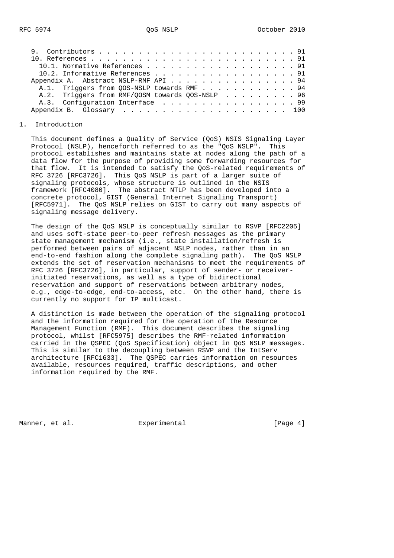|  |  |  |  |  |  |  |  |  |  |  |  |  | 10.1. Normative References 91<br>10.2. Informative References 91<br>Appendix A. Abstract NSLP-RMF API 94<br>A.1. Triggers from QOS-NSLP towards RMF 94<br>A.2. Triggers from RMF/QOSM towards QOS-NSLP 96<br>A.3. Configuration Interface 99 |
|--|--|--|--|--|--|--|--|--|--|--|--|--|----------------------------------------------------------------------------------------------------------------------------------------------------------------------------------------------------------------------------------------------|

## 1. Introduction

 This document defines a Quality of Service (QoS) NSIS Signaling Layer Protocol (NSLP), henceforth referred to as the "QoS NSLP". This protocol establishes and maintains state at nodes along the path of a data flow for the purpose of providing some forwarding resources for that flow. It is intended to satisfy the QoS-related requirements of RFC 3726 [RFC3726]. This QoS NSLP is part of a larger suite of signaling protocols, whose structure is outlined in the NSIS framework [RFC4080]. The abstract NTLP has been developed into a concrete protocol, GIST (General Internet Signaling Transport) [RFC5971]. The QoS NSLP relies on GIST to carry out many aspects of signaling message delivery.

 The design of the QoS NSLP is conceptually similar to RSVP [RFC2205] and uses soft-state peer-to-peer refresh messages as the primary state management mechanism (i.e., state installation/refresh is performed between pairs of adjacent NSLP nodes, rather than in an end-to-end fashion along the complete signaling path). The QoS NSLP extends the set of reservation mechanisms to meet the requirements of RFC 3726 [RFC3726], in particular, support of sender- or receiver initiated reservations, as well as a type of bidirectional reservation and support of reservations between arbitrary nodes, e.g., edge-to-edge, end-to-access, etc. On the other hand, there is currently no support for IP multicast.

 A distinction is made between the operation of the signaling protocol and the information required for the operation of the Resource Management Function (RMF). This document describes the signaling protocol, whilst [RFC5975] describes the RMF-related information carried in the QSPEC (QoS Specification) object in QoS NSLP messages. This is similar to the decoupling between RSVP and the IntServ architecture [RFC1633]. The QSPEC carries information on resources available, resources required, traffic descriptions, and other information required by the RMF.

Manner, et al.  $\Box$  Experimental  $\Box$  [Page 4]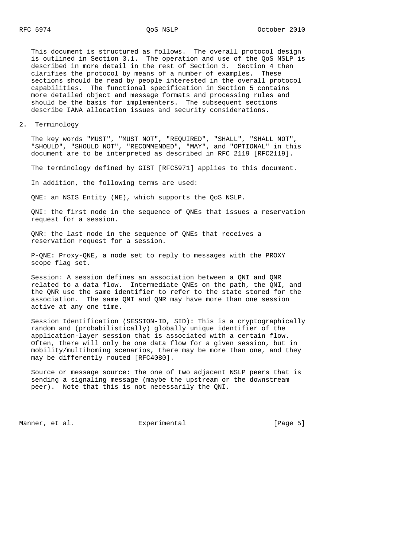This document is structured as follows. The overall protocol design is outlined in Section 3.1. The operation and use of the QoS NSLP is described in more detail in the rest of Section 3. Section 4 then clarifies the protocol by means of a number of examples. These sections should be read by people interested in the overall protocol capabilities. The functional specification in Section 5 contains more detailed object and message formats and processing rules and should be the basis for implementers. The subsequent sections describe IANA allocation issues and security considerations.

2. Terminology

 The key words "MUST", "MUST NOT", "REQUIRED", "SHALL", "SHALL NOT", "SHOULD", "SHOULD NOT", "RECOMMENDED", "MAY", and "OPTIONAL" in this document are to be interpreted as described in RFC 2119 [RFC2119].

The terminology defined by GIST [RFC5971] applies to this document.

In addition, the following terms are used:

QNE: an NSIS Entity (NE), which supports the QoS NSLP.

 QNI: the first node in the sequence of QNEs that issues a reservation request for a session.

 QNR: the last node in the sequence of QNEs that receives a reservation request for a session.

 P-QNE: Proxy-QNE, a node set to reply to messages with the PROXY scope flag set.

 Session: A session defines an association between a QNI and QNR related to a data flow. Intermediate QNEs on the path, the QNI, and the QNR use the same identifier to refer to the state stored for the association. The same QNI and QNR may have more than one session active at any one time.

 Session Identification (SESSION-ID, SID): This is a cryptographically random and (probabilistically) globally unique identifier of the application-layer session that is associated with a certain flow. Often, there will only be one data flow for a given session, but in mobility/multihoming scenarios, there may be more than one, and they may be differently routed [RFC4080].

 Source or message source: The one of two adjacent NSLP peers that is sending a signaling message (maybe the upstream or the downstream peer). Note that this is not necessarily the QNI.

Manner, et al. experimental experimental [Page 5]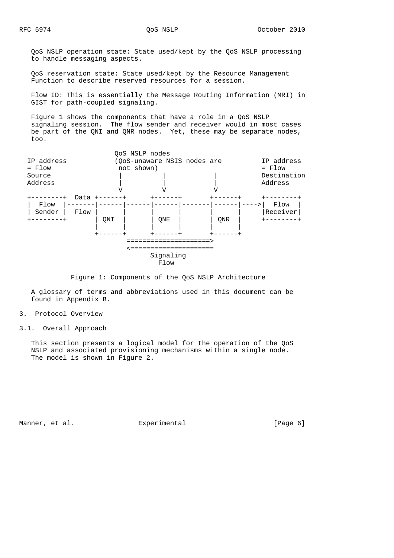QoS NSLP operation state: State used/kept by the QoS NSLP processing to handle messaging aspects.

 QoS reservation state: State used/kept by the Resource Management Function to describe reserved resources for a session.

 Flow ID: This is essentially the Message Routing Information (MRI) in GIST for path-coupled signaling.

 Figure 1 shows the components that have a role in a QoS NSLP signaling session. The flow sender and receiver would in most cases be part of the QNI and QNR nodes. Yet, these may be separate nodes, too.



Figure 1: Components of the QoS NSLP Architecture

 A glossary of terms and abbreviations used in this document can be found in Appendix B.

- 3. Protocol Overview
- 3.1. Overall Approach

 This section presents a logical model for the operation of the QoS NSLP and associated provisioning mechanisms within a single node. The model is shown in Figure 2.

Manner, et al. experimental experimental [Page 6]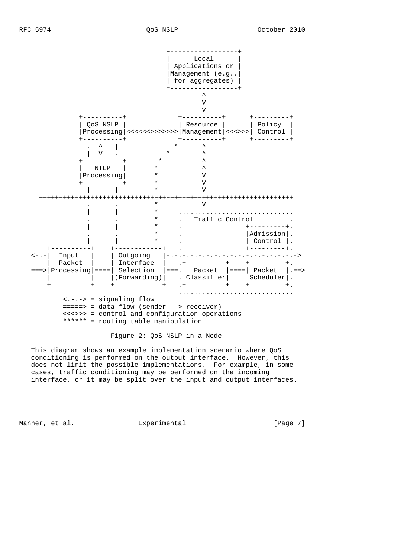

Figure 2: QoS NSLP in a Node

 This diagram shows an example implementation scenario where QoS conditioning is performed on the output interface. However, this does not limit the possible implementations. For example, in some cases, traffic conditioning may be performed on the incoming interface, or it may be split over the input and output interfaces.

Manner, et al.  $\Box$  Experimental  $\Box$  [Page 7]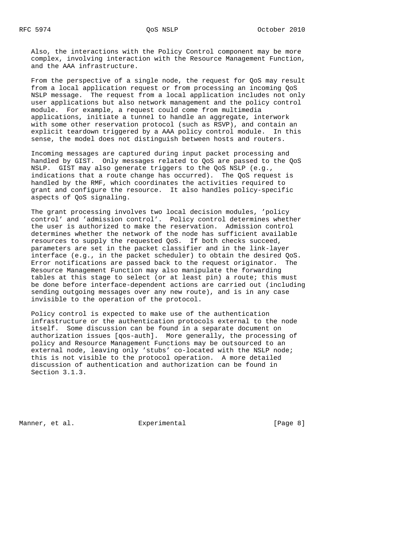Also, the interactions with the Policy Control component may be more complex, involving interaction with the Resource Management Function, and the AAA infrastructure.

 From the perspective of a single node, the request for QoS may result from a local application request or from processing an incoming QoS NSLP message. The request from a local application includes not only user applications but also network management and the policy control module. For example, a request could come from multimedia applications, initiate a tunnel to handle an aggregate, interwork with some other reservation protocol (such as RSVP), and contain an explicit teardown triggered by a AAA policy control module. In this sense, the model does not distinguish between hosts and routers.

 Incoming messages are captured during input packet processing and handled by GIST. Only messages related to QoS are passed to the QoS NSLP. GIST may also generate triggers to the QoS NSLP (e.g., indications that a route change has occurred). The QoS request is handled by the RMF, which coordinates the activities required to grant and configure the resource. It also handles policy-specific aspects of QoS signaling.

 The grant processing involves two local decision modules, 'policy control' and 'admission control'. Policy control determines whether the user is authorized to make the reservation. Admission control determines whether the network of the node has sufficient available resources to supply the requested QoS. If both checks succeed, parameters are set in the packet classifier and in the link-layer interface (e.g., in the packet scheduler) to obtain the desired QoS. Error notifications are passed back to the request originator. The Resource Management Function may also manipulate the forwarding tables at this stage to select (or at least pin) a route; this must be done before interface-dependent actions are carried out (including sending outgoing messages over any new route), and is in any case invisible to the operation of the protocol.

 Policy control is expected to make use of the authentication infrastructure or the authentication protocols external to the node itself. Some discussion can be found in a separate document on authorization issues [qos-auth]. More generally, the processing of policy and Resource Management Functions may be outsourced to an external node, leaving only 'stubs' co-located with the NSLP node; this is not visible to the protocol operation. A more detailed discussion of authentication and authorization can be found in Section 3.1.3.

Manner, et al. et al. Experimental (Page 8)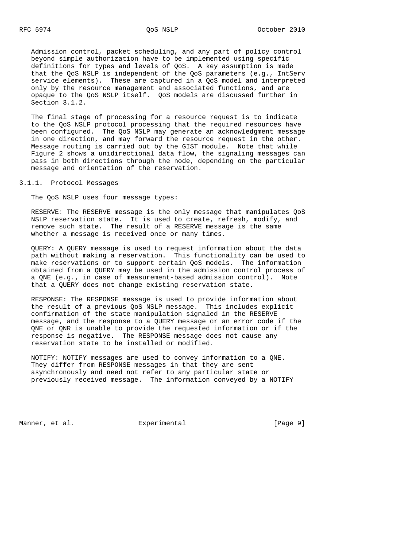Admission control, packet scheduling, and any part of policy control beyond simple authorization have to be implemented using specific definitions for types and levels of QoS. A key assumption is made that the QoS NSLP is independent of the QoS parameters (e.g., IntServ service elements). These are captured in a QoS model and interpreted only by the resource management and associated functions, and are opaque to the QoS NSLP itself. QoS models are discussed further in Section 3.1.2.

 The final stage of processing for a resource request is to indicate to the QoS NSLP protocol processing that the required resources have been configured. The QoS NSLP may generate an acknowledgment message in one direction, and may forward the resource request in the other. Message routing is carried out by the GIST module. Note that while Figure 2 shows a unidirectional data flow, the signaling messages can pass in both directions through the node, depending on the particular message and orientation of the reservation.

#### 3.1.1. Protocol Messages

The QoS NSLP uses four message types:

 RESERVE: The RESERVE message is the only message that manipulates QoS NSLP reservation state. It is used to create, refresh, modify, and remove such state. The result of a RESERVE message is the same whether a message is received once or many times.

 QUERY: A QUERY message is used to request information about the data path without making a reservation. This functionality can be used to make reservations or to support certain QoS models. The information obtained from a QUERY may be used in the admission control process of a QNE (e.g., in case of measurement-based admission control). Note that a QUERY does not change existing reservation state.

 RESPONSE: The RESPONSE message is used to provide information about the result of a previous QoS NSLP message. This includes explicit confirmation of the state manipulation signaled in the RESERVE message, and the response to a QUERY message or an error code if the QNE or QNR is unable to provide the requested information or if the response is negative. The RESPONSE message does not cause any reservation state to be installed or modified.

 NOTIFY: NOTIFY messages are used to convey information to a QNE. They differ from RESPONSE messages in that they are sent asynchronously and need not refer to any particular state or previously received message. The information conveyed by a NOTIFY

Manner, et al.  $\Box$  Experimental  $\Box$  [Page 9]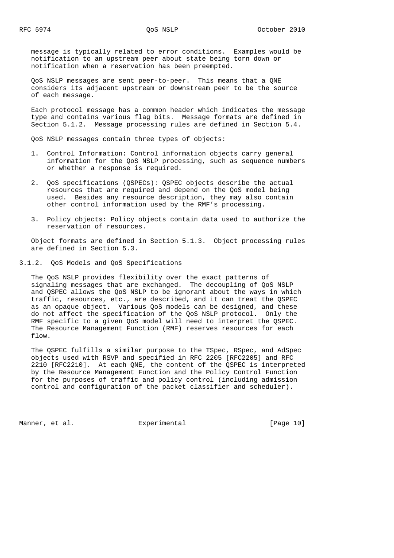message is typically related to error conditions. Examples would be notification to an upstream peer about state being torn down or notification when a reservation has been preempted.

 QoS NSLP messages are sent peer-to-peer. This means that a QNE considers its adjacent upstream or downstream peer to be the source of each message.

 Each protocol message has a common header which indicates the message type and contains various flag bits. Message formats are defined in Section 5.1.2. Message processing rules are defined in Section 5.4.

QoS NSLP messages contain three types of objects:

- 1. Control Information: Control information objects carry general information for the QoS NSLP processing, such as sequence numbers or whether a response is required.
- 2. QoS specifications (QSPECs): QSPEC objects describe the actual resources that are required and depend on the QoS model being used. Besides any resource description, they may also contain other control information used by the RMF's processing.
- 3. Policy objects: Policy objects contain data used to authorize the reservation of resources.

 Object formats are defined in Section 5.1.3. Object processing rules are defined in Section 5.3.

3.1.2. QoS Models and QoS Specifications

 The QoS NSLP provides flexibility over the exact patterns of signaling messages that are exchanged. The decoupling of QoS NSLP and QSPEC allows the QoS NSLP to be ignorant about the ways in which traffic, resources, etc., are described, and it can treat the QSPEC as an opaque object. Various QoS models can be designed, and these do not affect the specification of the QoS NSLP protocol. Only the RMF specific to a given QoS model will need to interpret the QSPEC. The Resource Management Function (RMF) reserves resources for each flow.

 The QSPEC fulfills a similar purpose to the TSpec, RSpec, and AdSpec objects used with RSVP and specified in RFC 2205 [RFC2205] and RFC 2210 [RFC2210]. At each QNE, the content of the QSPEC is interpreted by the Resource Management Function and the Policy Control Function for the purposes of traffic and policy control (including admission control and configuration of the packet classifier and scheduler).

Manner, et al.  $\Box$  Experimental [Page 10]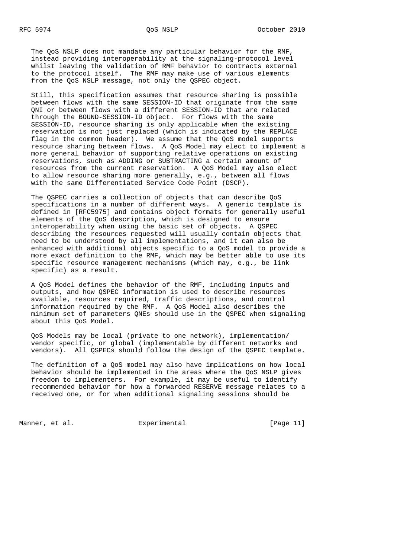The QoS NSLP does not mandate any particular behavior for the RMF, instead providing interoperability at the signaling-protocol level whilst leaving the validation of RMF behavior to contracts external to the protocol itself. The RMF may make use of various elements from the QoS NSLP message, not only the QSPEC object.

 Still, this specification assumes that resource sharing is possible between flows with the same SESSION-ID that originate from the same QNI or between flows with a different SESSION-ID that are related through the BOUND-SESSION-ID object. For flows with the same SESSION-ID, resource sharing is only applicable when the existing reservation is not just replaced (which is indicated by the REPLACE flag in the common header). We assume that the QoS model supports resource sharing between flows. A QoS Model may elect to implement a more general behavior of supporting relative operations on existing reservations, such as ADDING or SUBTRACTING a certain amount of resources from the current reservation. A QoS Model may also elect to allow resource sharing more generally, e.g., between all flows with the same Differentiated Service Code Point (DSCP).

 The QSPEC carries a collection of objects that can describe QoS specifications in a number of different ways. A generic template is defined in [RFC5975] and contains object formats for generally useful elements of the QoS description, which is designed to ensure interoperability when using the basic set of objects. A QSPEC describing the resources requested will usually contain objects that need to be understood by all implementations, and it can also be enhanced with additional objects specific to a QoS model to provide a more exact definition to the RMF, which may be better able to use its specific resource management mechanisms (which may, e.g., be link specific) as a result.

 A QoS Model defines the behavior of the RMF, including inputs and outputs, and how QSPEC information is used to describe resources available, resources required, traffic descriptions, and control information required by the RMF. A QoS Model also describes the minimum set of parameters QNEs should use in the QSPEC when signaling about this QoS Model.

 QoS Models may be local (private to one network), implementation/ vendor specific, or global (implementable by different networks and vendors). All QSPECs should follow the design of the QSPEC template.

 The definition of a QoS model may also have implications on how local behavior should be implemented in the areas where the QoS NSLP gives freedom to implementers. For example, it may be useful to identify recommended behavior for how a forwarded RESERVE message relates to a received one, or for when additional signaling sessions should be

Manner, et al.  $\Box$  Experimental [Page 11]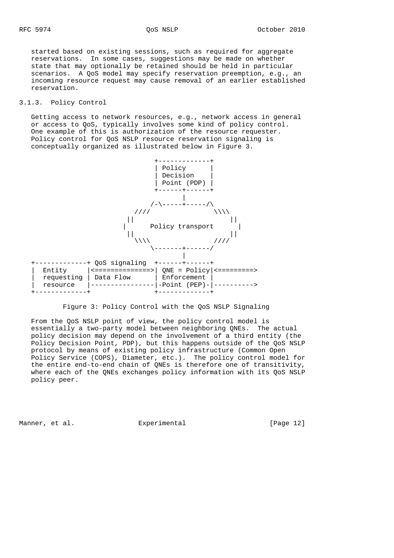started based on existing sessions, such as required for aggregate reservations. In some cases, suggestions may be made on whether state that may optionally be retained should be held in particular scenarios. A QoS model may specify reservation preemption, e.g., an incoming resource request may cause removal of an earlier established reservation.

# 3.1.3. Policy Control

 Getting access to network resources, e.g., network access in general or access to QoS, typically involves some kind of policy control. One example of this is authorization of the resource requester. Policy control for QoS NSLP resource reservation signaling is conceptually organized as illustrated below in Figure 3.



Figure 3: Policy Control with the QoS NSLP Signaling

 From the QoS NSLP point of view, the policy control model is essentially a two-party model between neighboring QNEs. The actual policy decision may depend on the involvement of a third entity (the Policy Decision Point, PDP), but this happens outside of the QoS NSLP protocol by means of existing policy infrastructure (Common Open Policy Service (COPS), Diameter, etc.). The policy control model for the entire end-to-end chain of QNEs is therefore one of transitivity, where each of the QNEs exchanges policy information with its QoS NSLP policy peer.

Manner, et al.  $\Box$  Experimental [Page 12]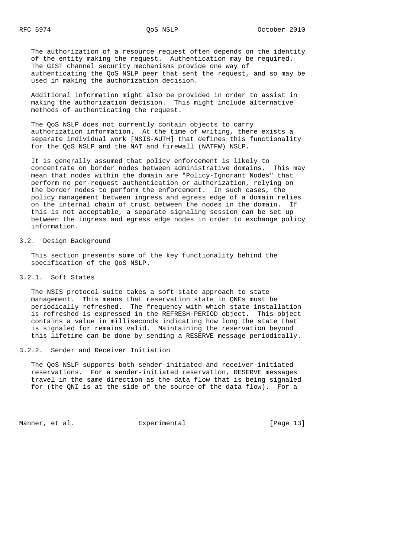The authorization of a resource request often depends on the identity of the entity making the request. Authentication may be required. The GIST channel security mechanisms provide one way of authenticating the QoS NSLP peer that sent the request, and so may be used in making the authorization decision.

 Additional information might also be provided in order to assist in making the authorization decision. This might include alternative methods of authenticating the request.

 The QoS NSLP does not currently contain objects to carry authorization information. At the time of writing, there exists a separate individual work [NSIS-AUTH] that defines this functionality for the QoS NSLP and the NAT and firewall (NATFW) NSLP.

 It is generally assumed that policy enforcement is likely to concentrate on border nodes between administrative domains. This may mean that nodes within the domain are "Policy-Ignorant Nodes" that perform no per-request authentication or authorization, relying on the border nodes to perform the enforcement. In such cases, the policy management between ingress and egress edge of a domain relies on the internal chain of trust between the nodes in the domain. If this is not acceptable, a separate signaling session can be set up between the ingress and egress edge nodes in order to exchange policy information.

# 3.2. Design Background

 This section presents some of the key functionality behind the specification of the QoS NSLP.

# 3.2.1. Soft States

 The NSIS protocol suite takes a soft-state approach to state management. This means that reservation state in QNEs must be periodically refreshed. The frequency with which state installation is refreshed is expressed in the REFRESH-PERIOD object. This object contains a value in milliseconds indicating how long the state that is signaled for remains valid. Maintaining the reservation beyond this lifetime can be done by sending a RESERVE message periodically.

### 3.2.2. Sender and Receiver Initiation

 The QoS NSLP supports both sender-initiated and receiver-initiated reservations. For a sender-initiated reservation, RESERVE messages travel in the same direction as the data flow that is being signaled for (the QNI is at the side of the source of the data flow). For a

Manner, et al. Experimental [Page 13]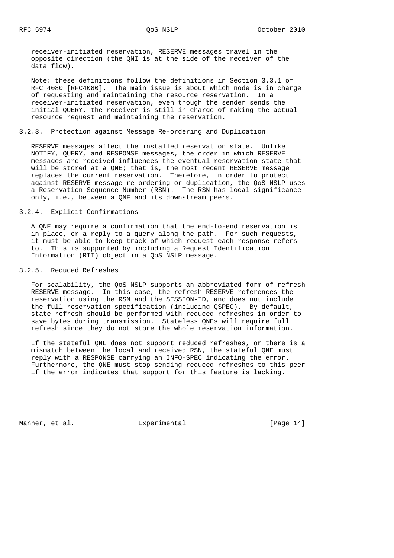receiver-initiated reservation, RESERVE messages travel in the opposite direction (the QNI is at the side of the receiver of the data flow).

 Note: these definitions follow the definitions in Section 3.3.1 of RFC 4080 [RFC4080]. The main issue is about which node is in charge of requesting and maintaining the resource reservation. In a receiver-initiated reservation, even though the sender sends the initial QUERY, the receiver is still in charge of making the actual resource request and maintaining the reservation.

# 3.2.3. Protection against Message Re-ordering and Duplication

 RESERVE messages affect the installed reservation state. Unlike NOTIFY, QUERY, and RESPONSE messages, the order in which RESERVE messages are received influences the eventual reservation state that will be stored at a QNE; that is, the most recent RESERVE message replaces the current reservation. Therefore, in order to protect against RESERVE message re-ordering or duplication, the QoS NSLP uses a Reservation Sequence Number (RSN). The RSN has local significance only, i.e., between a QNE and its downstream peers.

# 3.2.4. Explicit Confirmations

 A QNE may require a confirmation that the end-to-end reservation is in place, or a reply to a query along the path. For such requests, it must be able to keep track of which request each response refers to. This is supported by including a Request Identification Information (RII) object in a QoS NSLP message.

# 3.2.5. Reduced Refreshes

 For scalability, the QoS NSLP supports an abbreviated form of refresh RESERVE message. In this case, the refresh RESERVE references the reservation using the RSN and the SESSION-ID, and does not include the full reservation specification (including QSPEC). By default, state refresh should be performed with reduced refreshes in order to save bytes during transmission. Stateless QNEs will require full refresh since they do not store the whole reservation information.

 If the stateful QNE does not support reduced refreshes, or there is a mismatch between the local and received RSN, the stateful QNE must reply with a RESPONSE carrying an INFO-SPEC indicating the error. Furthermore, the QNE must stop sending reduced refreshes to this peer if the error indicates that support for this feature is lacking.

Manner, et al.  $\Box$  Experimental [Page 14]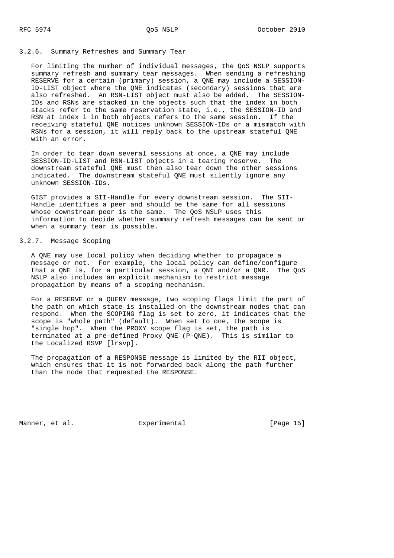#### 3.2.6. Summary Refreshes and Summary Tear

 For limiting the number of individual messages, the QoS NSLP supports summary refresh and summary tear messages. When sending a refreshing RESERVE for a certain (primary) session, a QNE may include a SESSION- ID-LIST object where the QNE indicates (secondary) sessions that are also refreshed. An RSN-LIST object must also be added. The SESSION- IDs and RSNs are stacked in the objects such that the index in both stacks refer to the same reservation state, i.e., the SESSION-ID and RSN at index i in both objects refers to the same session. If the receiving stateful QNE notices unknown SESSION-IDs or a mismatch with RSNs for a session, it will reply back to the upstream stateful QNE with an error.

 In order to tear down several sessions at once, a QNE may include SESSION-ID-LIST and RSN-LIST objects in a tearing reserve. The downstream stateful QNE must then also tear down the other sessions indicated. The downstream stateful QNE must silently ignore any unknown SESSION-IDs.

 GIST provides a SII-Handle for every downstream session. The SII- Handle identifies a peer and should be the same for all sessions whose downstream peer is the same. The QoS NSLP uses this information to decide whether summary refresh messages can be sent or when a summary tear is possible.

# 3.2.7. Message Scoping

 A QNE may use local policy when deciding whether to propagate a message or not. For example, the local policy can define/configure that a QNE is, for a particular session, a QNI and/or a QNR. The QoS NSLP also includes an explicit mechanism to restrict message propagation by means of a scoping mechanism.

 For a RESERVE or a QUERY message, two scoping flags limit the part of the path on which state is installed on the downstream nodes that can respond. When the SCOPING flag is set to zero, it indicates that the scope is "whole path" (default). When set to one, the scope is "single hop". When the PROXY scope flag is set, the path is terminated at a pre-defined Proxy QNE (P-QNE). This is similar to the Localized RSVP [lrsvp].

 The propagation of a RESPONSE message is limited by the RII object, which ensures that it is not forwarded back along the path further than the node that requested the RESPONSE.

Manner, et al.  $\Box$  Experimental [Page 15]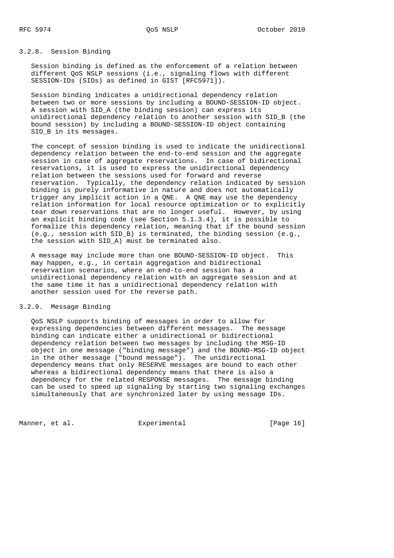# 3.2.8. Session Binding

 Session binding is defined as the enforcement of a relation between different QoS NSLP sessions (i.e., signaling flows with different SESSION-IDs (SIDs) as defined in GIST [RFC5971]).

 Session binding indicates a unidirectional dependency relation between two or more sessions by including a BOUND-SESSION-ID object. A session with SID\_A (the binding session) can express its unidirectional dependency relation to another session with SID\_B (the bound session) by including a BOUND-SESSION-ID object containing SID B in its messages.

 The concept of session binding is used to indicate the unidirectional dependency relation between the end-to-end session and the aggregate session in case of aggregate reservations. In case of bidirectional reservations, it is used to express the unidirectional dependency relation between the sessions used for forward and reverse reservation. Typically, the dependency relation indicated by session binding is purely informative in nature and does not automatically trigger any implicit action in a QNE. A QNE may use the dependency relation information for local resource optimization or to explicitly tear down reservations that are no longer useful. However, by using an explicit binding code (see Section 5.1.3.4), it is possible to formalize this dependency relation, meaning that if the bound session (e.g., session with SID\_B) is terminated, the binding session (e.g., the session with SID A) must be terminated also.

 A message may include more than one BOUND-SESSION-ID object. This may happen, e.g., in certain aggregation and bidirectional reservation scenarios, where an end-to-end session has a unidirectional dependency relation with an aggregate session and at the same time it has a unidirectional dependency relation with another session used for the reverse path.

# 3.2.9. Message Binding

 QoS NSLP supports binding of messages in order to allow for expressing dependencies between different messages. The message binding can indicate either a unidirectional or bidirectional dependency relation between two messages by including the MSG-ID object in one message ("binding message") and the BOUND-MSG-ID object in the other message ("bound message"). The unidirectional dependency means that only RESERVE messages are bound to each other whereas a bidirectional dependency means that there is also a dependency for the related RESPONSE messages. The message binding can be used to speed up signaling by starting two signaling exchanges simultaneously that are synchronized later by using message IDs.

Manner, et al.  $\Box$  Experimental [Page 16]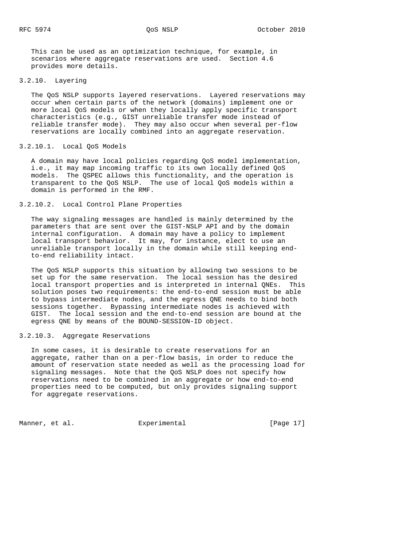This can be used as an optimization technique, for example, in scenarios where aggregate reservations are used. Section 4.6 provides more details.

3.2.10. Layering

 The QoS NSLP supports layered reservations. Layered reservations may occur when certain parts of the network (domains) implement one or more local QoS models or when they locally apply specific transport characteristics (e.g., GIST unreliable transfer mode instead of reliable transfer mode). They may also occur when several per-flow reservations are locally combined into an aggregate reservation.

#### 3.2.10.1. Local QoS Models

 A domain may have local policies regarding QoS model implementation, i.e., it may map incoming traffic to its own locally defined QoS models. The QSPEC allows this functionality, and the operation is transparent to the QoS NSLP. The use of local QoS models within a domain is performed in the RMF.

3.2.10.2. Local Control Plane Properties

 The way signaling messages are handled is mainly determined by the parameters that are sent over the GIST-NSLP API and by the domain internal configuration. A domain may have a policy to implement local transport behavior. It may, for instance, elect to use an unreliable transport locally in the domain while still keeping end to-end reliability intact.

 The QoS NSLP supports this situation by allowing two sessions to be set up for the same reservation. The local session has the desired local transport properties and is interpreted in internal QNEs. This solution poses two requirements: the end-to-end session must be able to bypass intermediate nodes, and the egress QNE needs to bind both sessions together. Bypassing intermediate nodes is achieved with GIST. The local session and the end-to-end session are bound at the egress QNE by means of the BOUND-SESSION-ID object.

# 3.2.10.3. Aggregate Reservations

 In some cases, it is desirable to create reservations for an aggregate, rather than on a per-flow basis, in order to reduce the amount of reservation state needed as well as the processing load for signaling messages. Note that the QoS NSLP does not specify how reservations need to be combined in an aggregate or how end-to-end properties need to be computed, but only provides signaling support for aggregate reservations.

Manner, et al.  $\Box$  Experimental [Page 17]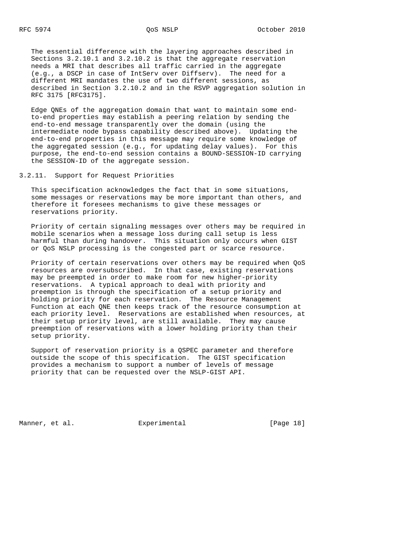The essential difference with the layering approaches described in Sections 3.2.10.1 and 3.2.10.2 is that the aggregate reservation needs a MRI that describes all traffic carried in the aggregate (e.g., a DSCP in case of IntServ over Diffserv). The need for a different MRI mandates the use of two different sessions, as described in Section 3.2.10.2 and in the RSVP aggregation solution in RFC 3175 [RFC3175].

 Edge QNEs of the aggregation domain that want to maintain some end to-end properties may establish a peering relation by sending the end-to-end message transparently over the domain (using the intermediate node bypass capability described above). Updating the end-to-end properties in this message may require some knowledge of the aggregated session (e.g., for updating delay values). For this purpose, the end-to-end session contains a BOUND-SESSION-ID carrying the SESSION-ID of the aggregate session.

3.2.11. Support for Request Priorities

 This specification acknowledges the fact that in some situations, some messages or reservations may be more important than others, and therefore it foresees mechanisms to give these messages or reservations priority.

 Priority of certain signaling messages over others may be required in mobile scenarios when a message loss during call setup is less harmful than during handover. This situation only occurs when GIST or QoS NSLP processing is the congested part or scarce resource.

 Priority of certain reservations over others may be required when QoS resources are oversubscribed. In that case, existing reservations may be preempted in order to make room for new higher-priority reservations. A typical approach to deal with priority and preemption is through the specification of a setup priority and holding priority for each reservation. The Resource Management Function at each QNE then keeps track of the resource consumption at each priority level. Reservations are established when resources, at their setup priority level, are still available. They may cause preemption of reservations with a lower holding priority than their setup priority.

 Support of reservation priority is a QSPEC parameter and therefore outside the scope of this specification. The GIST specification provides a mechanism to support a number of levels of message priority that can be requested over the NSLP-GIST API.

Manner, et al.  $\Box$  Experimental [Page 18]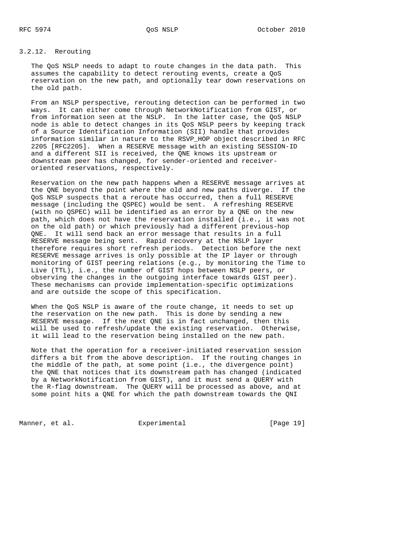# 3.2.12. Rerouting

 The QoS NSLP needs to adapt to route changes in the data path. This assumes the capability to detect rerouting events, create a QoS reservation on the new path, and optionally tear down reservations on the old path.

 From an NSLP perspective, rerouting detection can be performed in two ways. It can either come through NetworkNotification from GIST, or from information seen at the NSLP. In the latter case, the QoS NSLP node is able to detect changes in its QoS NSLP peers by keeping track of a Source Identification Information (SII) handle that provides information similar in nature to the RSVP\_HOP object described in RFC 2205 [RFC2205]. When a RESERVE message with an existing SESSION-ID and a different SII is received, the QNE knows its upstream or downstream peer has changed, for sender-oriented and receiver oriented reservations, respectively.

 Reservation on the new path happens when a RESERVE message arrives at the QNE beyond the point where the old and new paths diverge. If the QoS NSLP suspects that a reroute has occurred, then a full RESERVE message (including the QSPEC) would be sent. A refreshing RESERVE (with no QSPEC) will be identified as an error by a QNE on the new path, which does not have the reservation installed (i.e., it was not on the old path) or which previously had a different previous-hop QNE. It will send back an error message that results in a full RESERVE message being sent. Rapid recovery at the NSLP layer therefore requires short refresh periods. Detection before the next RESERVE message arrives is only possible at the IP layer or through monitoring of GIST peering relations (e.g., by monitoring the Time to Live (TTL), i.e., the number of GIST hops between NSLP peers, or observing the changes in the outgoing interface towards GIST peer). These mechanisms can provide implementation-specific optimizations and are outside the scope of this specification.

When the QoS NSLP is aware of the route change, it needs to set up the reservation on the new path. This is done by sending a new RESERVE message. If the next QNE is in fact unchanged, then this will be used to refresh/update the existing reservation. Otherwise, it will lead to the reservation being installed on the new path.

 Note that the operation for a receiver-initiated reservation session differs a bit from the above description. If the routing changes in the middle of the path, at some point (i.e., the divergence point) the QNE that notices that its downstream path has changed (indicated by a NetworkNotification from GIST), and it must send a QUERY with the R-flag downstream. The QUERY will be processed as above, and at some point hits a QNE for which the path downstream towards the QNI

Manner, et al. Experimental [Page 19]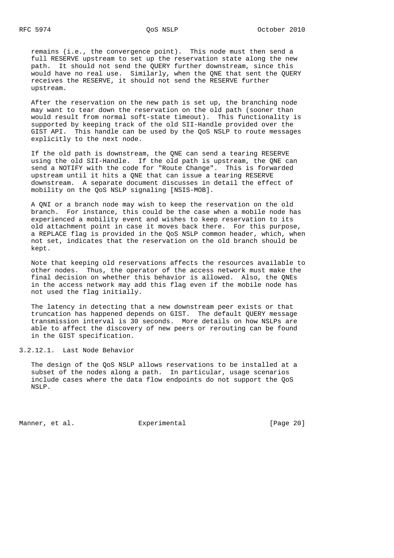remains (i.e., the convergence point). This node must then send a full RESERVE upstream to set up the reservation state along the new path. It should not send the QUERY further downstream, since this would have no real use. Similarly, when the QNE that sent the QUERY receives the RESERVE, it should not send the RESERVE further upstream.

 After the reservation on the new path is set up, the branching node may want to tear down the reservation on the old path (sooner than would result from normal soft-state timeout). This functionality is supported by keeping track of the old SII-Handle provided over the GIST API. This handle can be used by the QoS NSLP to route messages explicitly to the next node.

 If the old path is downstream, the QNE can send a tearing RESERVE using the old SII-Handle. If the old path is upstream, the QNE can send a NOTIFY with the code for "Route Change". This is forwarded upstream until it hits a QNE that can issue a tearing RESERVE downstream. A separate document discusses in detail the effect of mobility on the QoS NSLP signaling [NSIS-MOB].

 A QNI or a branch node may wish to keep the reservation on the old branch. For instance, this could be the case when a mobile node has experienced a mobility event and wishes to keep reservation to its old attachment point in case it moves back there. For this purpose, a REPLACE flag is provided in the QoS NSLP common header, which, when not set, indicates that the reservation on the old branch should be kept.

 Note that keeping old reservations affects the resources available to other nodes. Thus, the operator of the access network must make the final decision on whether this behavior is allowed. Also, the QNEs in the access network may add this flag even if the mobile node has not used the flag initially.

 The latency in detecting that a new downstream peer exists or that truncation has happened depends on GIST. The default QUERY message transmission interval is 30 seconds. More details on how NSLPs are able to affect the discovery of new peers or rerouting can be found in the GIST specification.

3.2.12.1. Last Node Behavior

 The design of the QoS NSLP allows reservations to be installed at a subset of the nodes along a path. In particular, usage scenarios include cases where the data flow endpoints do not support the QoS NSLP.

Manner, et al. Experimental [Page 20]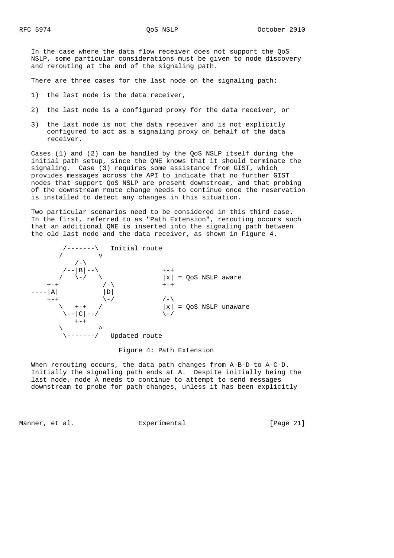In the case where the data flow receiver does not support the QoS NSLP, some particular considerations must be given to node discovery and rerouting at the end of the signaling path.

There are three cases for the last node on the signaling path:

- 1) the last node is the data receiver,
- 2) the last node is a configured proxy for the data receiver, or
- 3) the last node is not the data receiver and is not explicitly configured to act as a signaling proxy on behalf of the data receiver.

 Cases (1) and (2) can be handled by the QoS NSLP itself during the initial path setup, since the QNE knows that it should terminate the signaling. Case (3) requires some assistance from GIST, which provides messages across the API to indicate that no further GIST nodes that support QoS NSLP are present downstream, and that probing of the downstream route change needs to continue once the reservation is installed to detect any changes in this situation.

 Two particular scenarios need to be considered in this third case. In the first, referred to as "Path Extension", rerouting occurs such that an additional QNE is inserted into the signaling path between the old last node and the data receiver, as shown in Figure 4.



Figure 4: Path Extension

 When rerouting occurs, the data path changes from A-B-D to A-C-D. Initially the signaling path ends at A. Despite initially being the last node, node A needs to continue to attempt to send messages downstream to probe for path changes, unless it has been explicitly

Manner, et al. Experimental Experimental [Page 21]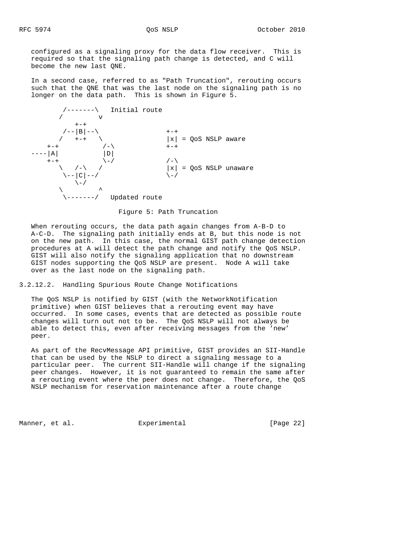configured as a signaling proxy for the data flow receiver. This is required so that the signaling path change is detected, and C will become the new last QNE.

 In a second case, referred to as "Path Truncation", rerouting occurs such that the QNE that was the last node on the signaling path is no longer on the data path. This is shown in Figure 5.



Figure 5: Path Truncation

 When rerouting occurs, the data path again changes from A-B-D to A-C-D. The signaling path initially ends at B, but this node is not on the new path. In this case, the normal GIST path change detection procedures at A will detect the path change and notify the QoS NSLP. GIST will also notify the signaling application that no downstream GIST nodes supporting the QoS NSLP are present. Node A will take over as the last node on the signaling path.

3.2.12.2. Handling Spurious Route Change Notifications

 The QoS NSLP is notified by GIST (with the NetworkNotification primitive) when GIST believes that a rerouting event may have occurred. In some cases, events that are detected as possible route changes will turn out not to be. The QoS NSLP will not always be able to detect this, even after receiving messages from the 'new' peer.

 As part of the RecvMessage API primitive, GIST provides an SII-Handle that can be used by the NSLP to direct a signaling message to a particular peer. The current SII-Handle will change if the signaling peer changes. However, it is not guaranteed to remain the same after a rerouting event where the peer does not change. Therefore, the QoS NSLP mechanism for reservation maintenance after a route change

Manner, et al. Experimental [Page 22]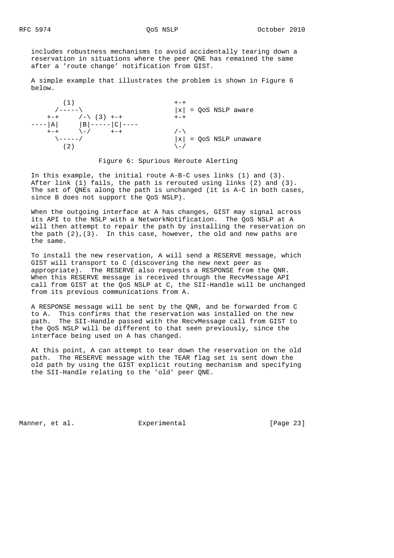includes robustness mechanisms to avoid accidentally tearing down a reservation in situations where the peer QNE has remained the same after a 'route change' notification from GIST.

 A simple example that illustrates the problem is shown in Figure 6 below.



#### Figure 6: Spurious Reroute Alerting

 In this example, the initial route A-B-C uses links (1) and (3). After link (1) fails, the path is rerouted using links (2) and (3). The set of QNEs along the path is unchanged (it is A-C in both cases, since B does not support the QoS NSLP).

 When the outgoing interface at A has changes, GIST may signal across its API to the NSLP with a NetworkNotification. The QoS NSLP at A will then attempt to repair the path by installing the reservation on the path  $(2)$ ,  $(3)$ . In this case, however, the old and new paths are the same.

 To install the new reservation, A will send a RESERVE message, which GIST will transport to C (discovering the new next peer as appropriate). The RESERVE also requests a RESPONSE from the QNR. When this RESERVE message is received through the RecvMessage API call from GIST at the QoS NSLP at C, the SII-Handle will be unchanged from its previous communications from A.

 A RESPONSE message will be sent by the QNR, and be forwarded from C to A. This confirms that the reservation was installed on the new path. The SII-Handle passed with the RecvMessage call from GIST to the QoS NSLP will be different to that seen previously, since the interface being used on A has changed.

 At this point, A can attempt to tear down the reservation on the old path. The RESERVE message with the TEAR flag set is sent down the old path by using the GIST explicit routing mechanism and specifying the SII-Handle relating to the 'old' peer QNE.

Manner, et al. Experimental Experimental [Page 23]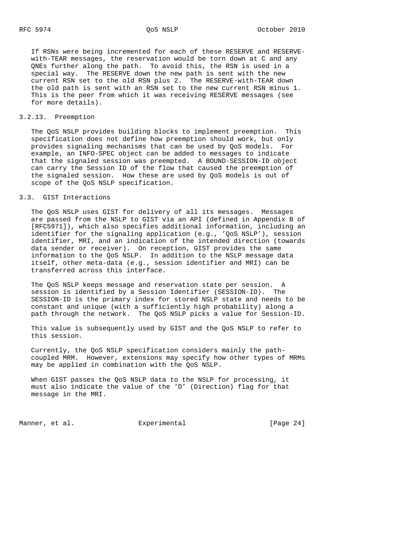If RSNs were being incremented for each of these RESERVE and RESERVE with-TEAR messages, the reservation would be torn down at C and any QNEs further along the path. To avoid this, the RSN is used in a special way. The RESERVE down the new path is sent with the new current RSN set to the old RSN plus 2. The RESERVE-with-TEAR down the old path is sent with an RSN set to the new current RSN minus 1. This is the peer from which it was receiving RESERVE messages (see for more details).

#### 3.2.13. Preemption

 The QoS NSLP provides building blocks to implement preemption. This specification does not define how preemption should work, but only provides signaling mechanisms that can be used by QoS models. For example, an INFO-SPEC object can be added to messages to indicate that the signaled session was preempted. A BOUND-SESSION-ID object can carry the Session ID of the flow that caused the preemption of the signaled session. How these are used by QoS models is out of scope of the QoS NSLP specification.

# 3.3. GIST Interactions

 The QoS NSLP uses GIST for delivery of all its messages. Messages are passed from the NSLP to GIST via an API (defined in Appendix B of [RFC5971]), which also specifies additional information, including an identifier for the signaling application (e.g., 'QoS NSLP'), session identifier, MRI, and an indication of the intended direction (towards data sender or receiver). On reception, GIST provides the same information to the QoS NSLP. In addition to the NSLP message data itself, other meta-data (e.g., session identifier and MRI) can be transferred across this interface.

 The QoS NSLP keeps message and reservation state per session. A session is identified by a Session Identifier (SESSION-ID). The SESSION-ID is the primary index for stored NSLP state and needs to be constant and unique (with a sufficiently high probability) along a path through the network. The QoS NSLP picks a value for Session-ID.

 This value is subsequently used by GIST and the QoS NSLP to refer to this session.

 Currently, the QoS NSLP specification considers mainly the path coupled MRM. However, extensions may specify how other types of MRMs may be applied in combination with the QoS NSLP.

 When GIST passes the QoS NSLP data to the NSLP for processing, it must also indicate the value of the 'D' (Direction) flag for that message in the MRI.

Manner, et al. Subsection Experimental Experimental [Page 24]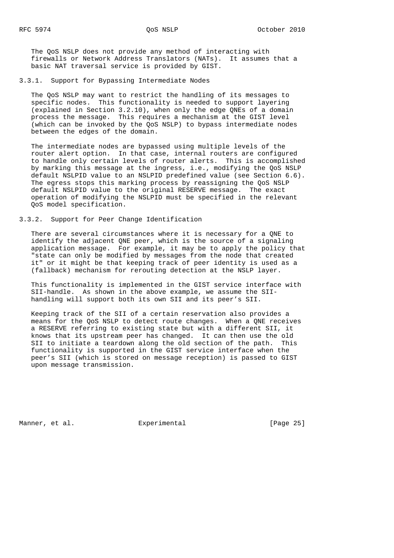The QoS NSLP does not provide any method of interacting with firewalls or Network Address Translators (NATs). It assumes that a basic NAT traversal service is provided by GIST.

3.3.1. Support for Bypassing Intermediate Nodes

 The QoS NSLP may want to restrict the handling of its messages to specific nodes. This functionality is needed to support layering (explained in Section 3.2.10), when only the edge QNEs of a domain process the message. This requires a mechanism at the GIST level (which can be invoked by the QoS NSLP) to bypass intermediate nodes between the edges of the domain.

 The intermediate nodes are bypassed using multiple levels of the router alert option. In that case, internal routers are configured to handle only certain levels of router alerts. This is accomplished by marking this message at the ingress, i.e., modifying the QoS NSLP default NSLPID value to an NSLPID predefined value (see Section 6.6). The egress stops this marking process by reassigning the QoS NSLP default NSLPID value to the original RESERVE message. The exact operation of modifying the NSLPID must be specified in the relevant QoS model specification.

3.3.2. Support for Peer Change Identification

 There are several circumstances where it is necessary for a QNE to identify the adjacent QNE peer, which is the source of a signaling application message. For example, it may be to apply the policy that "state can only be modified by messages from the node that created it" or it might be that keeping track of peer identity is used as a (fallback) mechanism for rerouting detection at the NSLP layer.

 This functionality is implemented in the GIST service interface with SII-handle. As shown in the above example, we assume the SII handling will support both its own SII and its peer's SII.

 Keeping track of the SII of a certain reservation also provides a means for the QoS NSLP to detect route changes. When a QNE receives a RESERVE referring to existing state but with a different SII, it knows that its upstream peer has changed. It can then use the old SII to initiate a teardown along the old section of the path. This functionality is supported in the GIST service interface when the peer's SII (which is stored on message reception) is passed to GIST upon message transmission.

Manner, et al. **Experimental** [Page 25]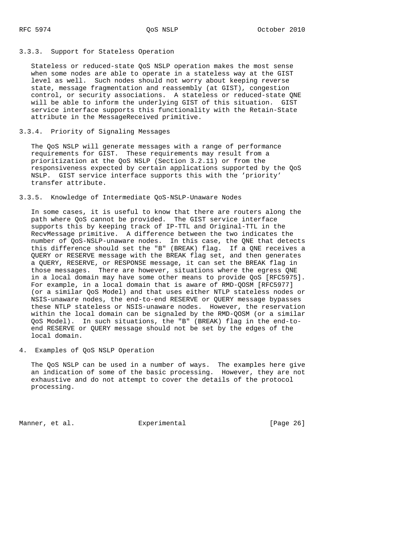#### 3.3.3. Support for Stateless Operation

 Stateless or reduced-state QoS NSLP operation makes the most sense when some nodes are able to operate in a stateless way at the GIST level as well. Such nodes should not worry about keeping reverse state, message fragmentation and reassembly (at GIST), congestion control, or security associations. A stateless or reduced-state QNE will be able to inform the underlying GIST of this situation. GIST service interface supports this functionality with the Retain-State attribute in the MessageReceived primitive.

# 3.3.4. Priority of Signaling Messages

 The QoS NSLP will generate messages with a range of performance requirements for GIST. These requirements may result from a prioritization at the QoS NSLP (Section 3.2.11) or from the responsiveness expected by certain applications supported by the QoS NSLP. GIST service interface supports this with the 'priority' transfer attribute.

# 3.3.5. Knowledge of Intermediate QoS-NSLP-Unaware Nodes

 In some cases, it is useful to know that there are routers along the path where QoS cannot be provided. The GIST service interface supports this by keeping track of IP-TTL and Original-TTL in the RecvMessage primitive. A difference between the two indicates the number of QoS-NSLP-unaware nodes. In this case, the QNE that detects this difference should set the "B" (BREAK) flag. If a QNE receives a QUERY or RESERVE message with the BREAK flag set, and then generates a QUERY, RESERVE, or RESPONSE message, it can set the BREAK flag in those messages. There are however, situations where the egress QNE in a local domain may have some other means to provide QoS [RFC5975]. For example, in a local domain that is aware of RMD-QOSM [RFC5977] (or a similar QoS Model) and that uses either NTLP stateless nodes or NSIS-unaware nodes, the end-to-end RESERVE or QUERY message bypasses these NTLP stateless or NSIS-unaware nodes. However, the reservation within the local domain can be signaled by the RMD-QOSM (or a similar QoS Model). In such situations, the "B" (BREAK) flag in the end-to end RESERVE or QUERY message should not be set by the edges of the local domain.

# 4. Examples of QoS NSLP Operation

 The QoS NSLP can be used in a number of ways. The examples here give an indication of some of the basic processing. However, they are not exhaustive and do not attempt to cover the details of the protocol processing.

Manner, et al. **Experimental** [Page 26]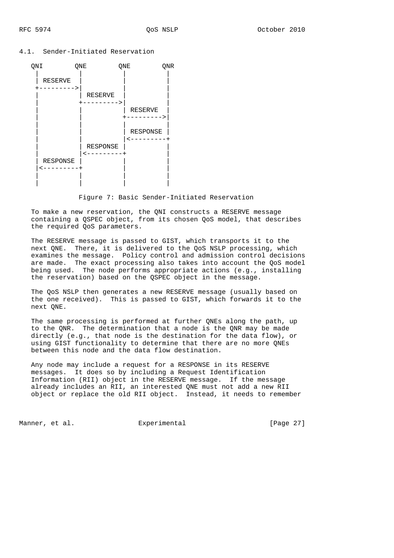#### 4.1. Sender-Initiated Reservation



Figure 7: Basic Sender-Initiated Reservation

 To make a new reservation, the QNI constructs a RESERVE message containing a QSPEC object, from its chosen QoS model, that describes the required QoS parameters.

 The RESERVE message is passed to GIST, which transports it to the next QNE. There, it is delivered to the QoS NSLP processing, which examines the message. Policy control and admission control decisions are made. The exact processing also takes into account the QoS model being used. The node performs appropriate actions (e.g., installing the reservation) based on the QSPEC object in the message.

 The QoS NSLP then generates a new RESERVE message (usually based on the one received). This is passed to GIST, which forwards it to the next QNE.

 The same processing is performed at further QNEs along the path, up to the QNR. The determination that a node is the QNR may be made directly (e.g., that node is the destination for the data flow), or using GIST functionality to determine that there are no more QNEs between this node and the data flow destination.

 Any node may include a request for a RESPONSE in its RESERVE messages. It does so by including a Request Identification Information (RII) object in the RESERVE message. If the message already includes an RII, an interested QNE must not add a new RII object or replace the old RII object. Instead, it needs to remember

Manner, et al. Experimental Experimental [Page 27]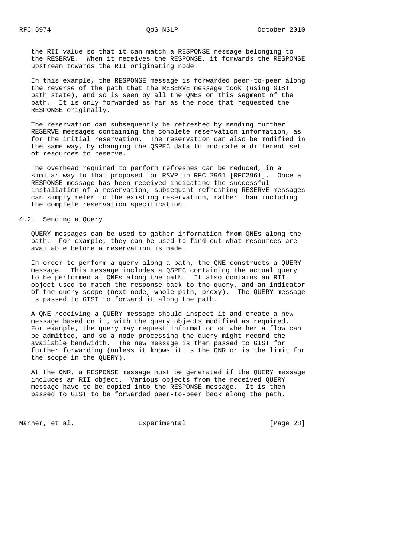the RII value so that it can match a RESPONSE message belonging to the RESERVE. When it receives the RESPONSE, it forwards the RESPONSE upstream towards the RII originating node.

 In this example, the RESPONSE message is forwarded peer-to-peer along the reverse of the path that the RESERVE message took (using GIST path state), and so is seen by all the QNEs on this segment of the path. It is only forwarded as far as the node that requested the RESPONSE originally.

 The reservation can subsequently be refreshed by sending further RESERVE messages containing the complete reservation information, as for the initial reservation. The reservation can also be modified in the same way, by changing the QSPEC data to indicate a different set of resources to reserve.

 The overhead required to perform refreshes can be reduced, in a similar way to that proposed for RSVP in RFC 2961 [RFC2961]. Once a RESPONSE message has been received indicating the successful installation of a reservation, subsequent refreshing RESERVE messages can simply refer to the existing reservation, rather than including the complete reservation specification.

# 4.2. Sending a Query

 QUERY messages can be used to gather information from QNEs along the path. For example, they can be used to find out what resources are available before a reservation is made.

 In order to perform a query along a path, the QNE constructs a QUERY message. This message includes a QSPEC containing the actual query to be performed at QNEs along the path. It also contains an RII object used to match the response back to the query, and an indicator of the query scope (next node, whole path, proxy). The QUERY message is passed to GIST to forward it along the path.

 A QNE receiving a QUERY message should inspect it and create a new message based on it, with the query objects modified as required. For example, the query may request information on whether a flow can be admitted, and so a node processing the query might record the available bandwidth. The new message is then passed to GIST for further forwarding (unless it knows it is the QNR or is the limit for the scope in the QUERY).

 At the QNR, a RESPONSE message must be generated if the QUERY message includes an RII object. Various objects from the received QUERY message have to be copied into the RESPONSE message. It is then passed to GIST to be forwarded peer-to-peer back along the path.

Manner, et al. Experimental Experimental [Page 28]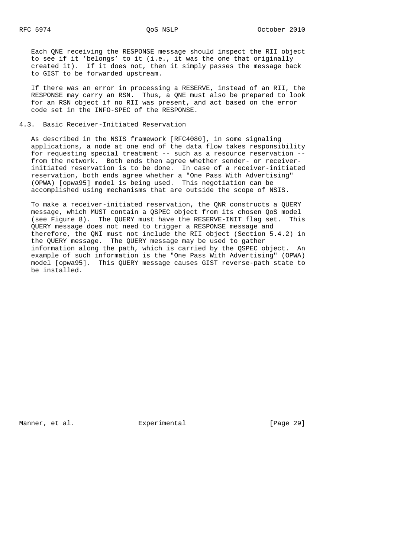Each QNE receiving the RESPONSE message should inspect the RII object to see if it 'belongs' to it (i.e., it was the one that originally created it). If it does not, then it simply passes the message back to GIST to be forwarded upstream.

 If there was an error in processing a RESERVE, instead of an RII, the RESPONSE may carry an RSN. Thus, a QNE must also be prepared to look for an RSN object if no RII was present, and act based on the error code set in the INFO-SPEC of the RESPONSE.

# 4.3. Basic Receiver-Initiated Reservation

 As described in the NSIS framework [RFC4080], in some signaling applications, a node at one end of the data flow takes responsibility for requesting special treatment -- such as a resource reservation - from the network. Both ends then agree whether sender- or receiver initiated reservation is to be done. In case of a receiver-initiated reservation, both ends agree whether a "One Pass With Advertising" (OPWA) [opwa95] model is being used. This negotiation can be accomplished using mechanisms that are outside the scope of NSIS.

 To make a receiver-initiated reservation, the QNR constructs a QUERY message, which MUST contain a QSPEC object from its chosen QoS model (see Figure 8). The QUERY must have the RESERVE-INIT flag set. This QUERY message does not need to trigger a RESPONSE message and therefore, the QNI must not include the RII object (Section 5.4.2) in the QUERY message. The QUERY message may be used to gather information along the path, which is carried by the QSPEC object. An example of such information is the "One Pass With Advertising" (OPWA) model [opwa95]. This QUERY message causes GIST reverse-path state to be installed.

Manner, et al.  $\Box$  Experimental [Page 29]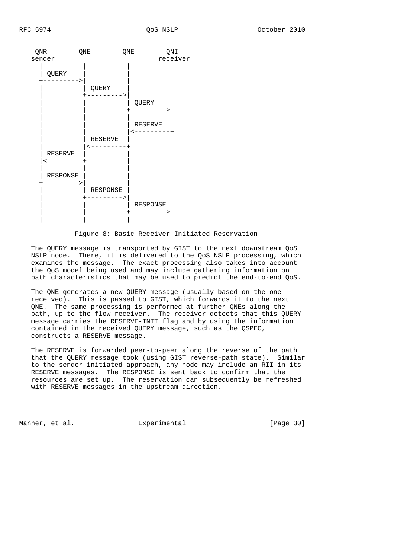

Figure 8: Basic Receiver-Initiated Reservation

 The QUERY message is transported by GIST to the next downstream QoS NSLP node. There, it is delivered to the QoS NSLP processing, which examines the message. The exact processing also takes into account the QoS model being used and may include gathering information on path characteristics that may be used to predict the end-to-end QoS.

 The QNE generates a new QUERY message (usually based on the one received). This is passed to GIST, which forwards it to the next QNE. The same processing is performed at further QNEs along the path, up to the flow receiver. The receiver detects that this QUERY message carries the RESERVE-INIT flag and by using the information contained in the received QUERY message, such as the QSPEC, constructs a RESERVE message.

 The RESERVE is forwarded peer-to-peer along the reverse of the path that the QUERY message took (using GIST reverse-path state). Similar to the sender-initiated approach, any node may include an RII in its RESERVE messages. The RESPONSE is sent back to confirm that the resources are set up. The reservation can subsequently be refreshed with RESERVE messages in the upstream direction.

Manner, et al. Experimental [Page 30]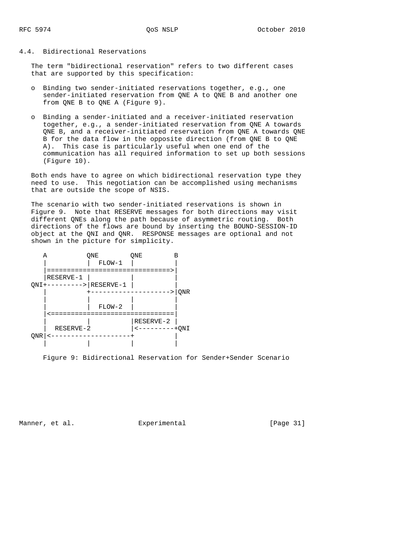# 4.4. Bidirectional Reservations

 The term "bidirectional reservation" refers to two different cases that are supported by this specification:

- o Binding two sender-initiated reservations together, e.g., one sender-initiated reservation from QNE A to QNE B and another one from QNE B to QNE A (Figure 9).
- o Binding a sender-initiated and a receiver-initiated reservation together, e.g., a sender-initiated reservation from QNE A towards QNE B, and a receiver-initiated reservation from QNE A towards QNE B for the data flow in the opposite direction (from QNE B to QNE A). This case is particularly useful when one end of the communication has all required information to set up both sessions (Figure 10).

 Both ends have to agree on which bidirectional reservation type they need to use. This negotiation can be accomplished using mechanisms that are outside the scope of NSIS.

 The scenario with two sender-initiated reservations is shown in Figure 9. Note that RESERVE messages for both directions may visit different QNEs along the path because of asymmetric routing. Both directions of the flows are bound by inserting the BOUND-SESSION-ID object at the QNI and QNR. RESPONSE messages are optional and not shown in the picture for simplicity.



Figure 9: Bidirectional Reservation for Sender+Sender Scenario

Manner, et al. Experimental [Page 31]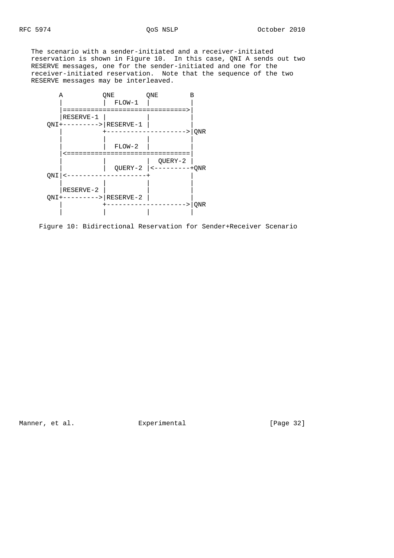The scenario with a sender-initiated and a receiver-initiated reservation is shown in Figure 10. In this case, QNI A sends out two RESERVE messages, one for the sender-initiated and one for the receiver-initiated reservation. Note that the sequence of the two RESERVE messages may be interleaved.



Figure 10: Bidirectional Reservation for Sender+Receiver Scenario

Manner, et al. Subsection Experimental Experimental [Page 32]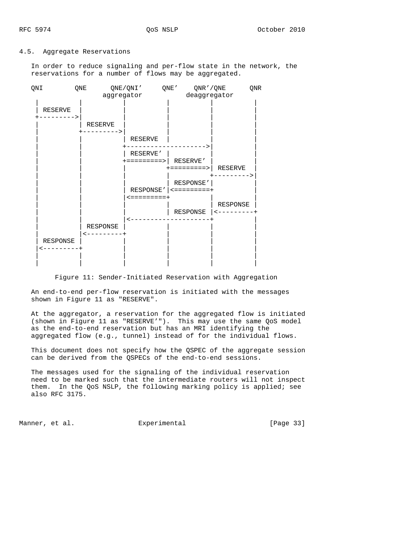#### 4.5. Aggregate Reservations

 In order to reduce signaling and per-flow state in the network, the reservations for a number of flows may be aggregated.



Figure 11: Sender-Initiated Reservation with Aggregation

 An end-to-end per-flow reservation is initiated with the messages shown in Figure 11 as "RESERVE".

 At the aggregator, a reservation for the aggregated flow is initiated (shown in Figure 11 as "RESERVE'"). This may use the same QoS model as the end-to-end reservation but has an MRI identifying the aggregated flow (e.g., tunnel) instead of for the individual flows.

 This document does not specify how the QSPEC of the aggregate session can be derived from the QSPECs of the end-to-end sessions.

 The messages used for the signaling of the individual reservation need to be marked such that the intermediate routers will not inspect them. In the QoS NSLP, the following marking policy is applied; see also RFC 3175.

Manner, et al. Experimental Experimental [Page 33]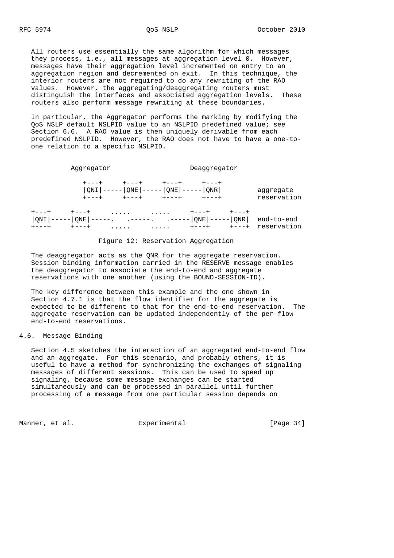All routers use essentially the same algorithm for which messages they process, i.e., all messages at aggregation level 0. However, messages have their aggregation level incremented on entry to an aggregation region and decremented on exit. In this technique, the interior routers are not required to do any rewriting of the RAO values. However, the aggregating/deaggregating routers must distinguish the interfaces and associated aggregation levels. These routers also perform message rewriting at these boundaries.

 In particular, the Aggregator performs the marking by modifying the QoS NSLP default NSLPID value to an NSLPID predefined value; see Section 6.6. A RAO value is then uniquely derivable from each predefined NSLPID. However, the RAO does not have to have a one-to one relation to a specific NSLPID.

|     | Aggregator                        | Deaggregator                                                                    |                           |
|-----|-----------------------------------|---------------------------------------------------------------------------------|---------------------------|
|     | $+ - - - +$<br>$+ - - - +$        | $ QNI $ ----- $ QNE $ ----- $ QNE $ ----- $ QNR $<br>$+ - - - +$<br>$+ - - - +$ | aggregate<br>reservation  |
| QNI | $\cdots$<br>$ONE$ $ $ $-- \ldots$ | $\cdots$<br>. -----   QNE   -----   QNR  <br>.                                  | end-to-end<br>reservation |

#### Figure 12: Reservation Aggregation

 The deaggregator acts as the QNR for the aggregate reservation. Session binding information carried in the RESERVE message enables the deaggregator to associate the end-to-end and aggregate reservations with one another (using the BOUND-SESSION-ID).

 The key difference between this example and the one shown in Section 4.7.1 is that the flow identifier for the aggregate is expected to be different to that for the end-to-end reservation. The aggregate reservation can be updated independently of the per-flow end-to-end reservations.

# 4.6. Message Binding

 Section 4.5 sketches the interaction of an aggregated end-to-end flow and an aggregate. For this scenario, and probably others, it is useful to have a method for synchronizing the exchanges of signaling messages of different sessions. This can be used to speed up signaling, because some message exchanges can be started simultaneously and can be processed in parallel until further processing of a message from one particular session depends on

Manner, et al. **Experimental** [Page 34]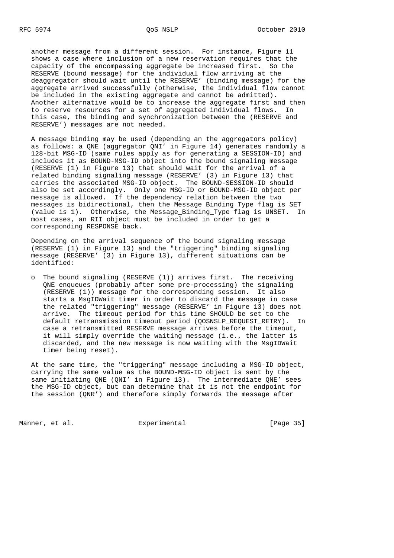another message from a different session. For instance, Figure 11 shows a case where inclusion of a new reservation requires that the capacity of the encompassing aggregate be increased first. So the RESERVE (bound message) for the individual flow arriving at the deaggregator should wait until the RESERVE' (binding message) for the aggregate arrived successfully (otherwise, the individual flow cannot be included in the existing aggregate and cannot be admitted). Another alternative would be to increase the aggregate first and then to reserve resources for a set of aggregated individual flows. In this case, the binding and synchronization between the (RESERVE and RESERVE') messages are not needed.

 A message binding may be used (depending an the aggregators policy) as follows: a QNE (aggregator QNI' in Figure 14) generates randomly a 128-bit MSG-ID (same rules apply as for generating a SESSION-ID) and includes it as BOUND-MSG-ID object into the bound signaling message (RESERVE (1) in Figure 13) that should wait for the arrival of a related binding signaling message (RESERVE' (3) in Figure 13) that carries the associated MSG-ID object. The BOUND-SESSION-ID should also be set accordingly. Only one MSG-ID or BOUND-MSG-ID object per message is allowed. If the dependency relation between the two messages is bidirectional, then the Message\_Binding\_Type flag is SET (value is 1). Otherwise, the Message\_Binding\_Type flag is UNSET. In most cases, an RII object must be included in order to get a corresponding RESPONSE back.

 Depending on the arrival sequence of the bound signaling message (RESERVE (1) in Figure 13) and the "triggering" binding signaling message (RESERVE' (3) in Figure 13), different situations can be identified:

 o The bound signaling (RESERVE (1)) arrives first. The receiving QNE enqueues (probably after some pre-processing) the signaling (RESERVE (1)) message for the corresponding session. It also starts a MsgIDWait timer in order to discard the message in case the related "triggering" message (RESERVE' in Figure 13) does not arrive. The timeout period for this time SHOULD be set to the default retransmission timeout period (QOSNSLP\_REQUEST\_RETRY). In case a retransmitted RESERVE message arrives before the timeout, it will simply override the waiting message (i.e., the latter is discarded, and the new message is now waiting with the MsgIDWait timer being reset).

 At the same time, the "triggering" message including a MSG-ID object, carrying the same value as the BOUND-MSG-ID object is sent by the same initiating QNE (QNI' in Figure 13). The intermediate QNE' sees the MSG-ID object, but can determine that it is not the endpoint for the session (QNR') and therefore simply forwards the message after

Manner, et al. Experimental Experimental [Page 35]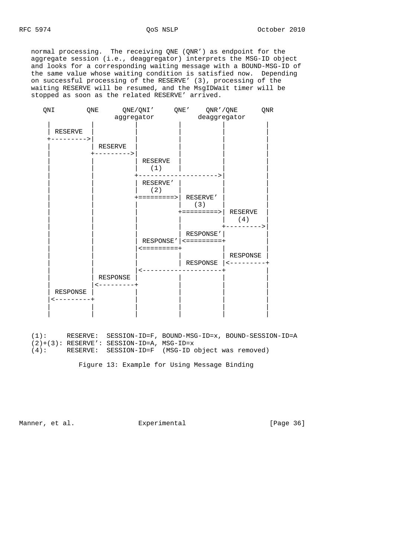normal processing. The receiving QNE (QNR') as endpoint for the aggregate session (i.e., deaggregator) interprets the MSG-ID object and looks for a corresponding waiting message with a BOUND-MSG-ID of the same value whose waiting condition is satisfied now. Depending on successful processing of the RESERVE' (3), processing of the waiting RESERVE will be resumed, and the MsgIDWait timer will be stopped as soon as the related RESERVE' arrived.



 (1): RESERVE: SESSION-ID=F, BOUND-MSG-ID=x, BOUND-SESSION-ID=A  $(2)+(3):$  RESERVE': SESSION-ID=A, MSG-ID=x (4): RESERVE: SESSION-ID=F (MSG-ID object was removed)

Figure 13: Example for Using Message Binding

Manner, et al. Subsection Experimental Fage 36]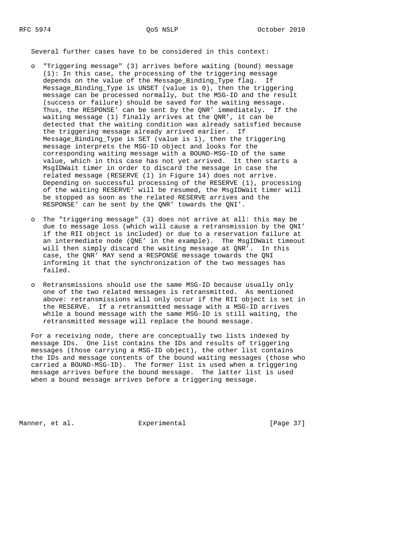Several further cases have to be considered in this context:

- o "Triggering message" (3) arrives before waiting (bound) message (1): In this case, the processing of the triggering message depends on the value of the Message\_Binding\_Type flag. If Message\_Binding\_Type is UNSET (value is 0), then the triggering message can be processed normally, but the MSG-ID and the result (success or failure) should be saved for the waiting message. Thus, the RESPONSE' can be sent by the QNR' immediately. If the waiting message (1) finally arrives at the QNR', it can be detected that the waiting condition was already satisfied because the triggering message already arrived earlier. If Message\_Binding\_Type is SET (value is 1), then the triggering message interprets the MSG-ID object and looks for the corresponding waiting message with a BOUND-MSG-ID of the same value, which in this case has not yet arrived. It then starts a MsgIDWait timer in order to discard the message in case the related message (RESERVE (1) in Figure 14) does not arrive. Depending on successful processing of the RESERVE (1), processing of the waiting RESERVE' will be resumed, the MsgIDWait timer will be stopped as soon as the related RESERVE arrives and the RESPONSE' can be sent by the QNR' towards the QNI'.
- o The "triggering message" (3) does not arrive at all: this may be due to message loss (which will cause a retransmission by the QNI' if the RII object is included) or due to a reservation failure at an intermediate node (QNE' in the example). The MsgIDWait timeout will then simply discard the waiting message at QNR'. In this case, the QNR' MAY send a RESPONSE message towards the QNI informing it that the synchronization of the two messages has failed.
- o Retransmissions should use the same MSG-ID because usually only one of the two related messages is retransmitted. As mentioned above: retransmissions will only occur if the RII object is set in the RESERVE. If a retransmitted message with a MSG-ID arrives while a bound message with the same MSG-ID is still waiting, the retransmitted message will replace the bound message.

 For a receiving node, there are conceptually two lists indexed by message IDs. One list contains the IDs and results of triggering messages (those carrying a MSG-ID object), the other list contains the IDs and message contents of the bound waiting messages (those who carried a BOUND-MSG-ID). The former list is used when a triggering message arrives before the bound message. The latter list is used when a bound message arrives before a triggering message.

Manner, et al. Experimental [Page 37]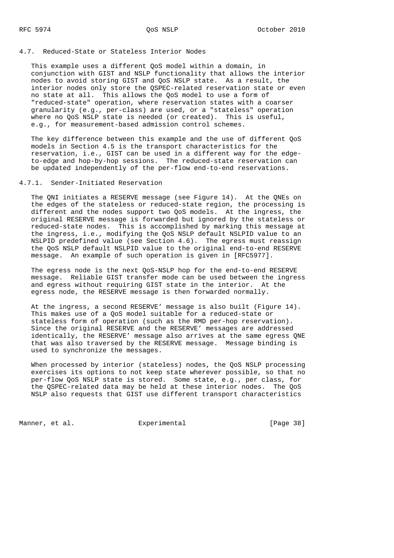## 4.7. Reduced-State or Stateless Interior Nodes

 This example uses a different QoS model within a domain, in conjunction with GIST and NSLP functionality that allows the interior nodes to avoid storing GIST and QoS NSLP state. As a result, the interior nodes only store the QSPEC-related reservation state or even no state at all. This allows the QoS model to use a form of "reduced-state" operation, where reservation states with a coarser granularity (e.g., per-class) are used, or a "stateless" operation where no QoS NSLP state is needed (or created). This is useful, e.g., for measurement-based admission control schemes.

 The key difference between this example and the use of different QoS models in Section 4.5 is the transport characteristics for the reservation, i.e., GIST can be used in a different way for the edge to-edge and hop-by-hop sessions. The reduced-state reservation can be updated independently of the per-flow end-to-end reservations.

## 4.7.1. Sender-Initiated Reservation

 The QNI initiates a RESERVE message (see Figure 14). At the QNEs on the edges of the stateless or reduced-state region, the processing is different and the nodes support two QoS models. At the ingress, the original RESERVE message is forwarded but ignored by the stateless or reduced-state nodes. This is accomplished by marking this message at the ingress, i.e., modifying the QoS NSLP default NSLPID value to an NSLPID predefined value (see Section 4.6). The egress must reassign the QoS NSLP default NSLPID value to the original end-to-end RESERVE message. An example of such operation is given in [RFC5977].

 The egress node is the next QoS-NSLP hop for the end-to-end RESERVE message. Reliable GIST transfer mode can be used between the ingress and egress without requiring GIST state in the interior. At the egress node, the RESERVE message is then forwarded normally.

 At the ingress, a second RESERVE' message is also built (Figure 14). This makes use of a QoS model suitable for a reduced-state or stateless form of operation (such as the RMD per-hop reservation). Since the original RESERVE and the RESERVE' messages are addressed identically, the RESERVE' message also arrives at the same egress QNE that was also traversed by the RESERVE message. Message binding is used to synchronize the messages.

 When processed by interior (stateless) nodes, the QoS NSLP processing exercises its options to not keep state wherever possible, so that no per-flow QoS NSLP state is stored. Some state, e.g., per class, for the QSPEC-related data may be held at these interior nodes. The QoS NSLP also requests that GIST use different transport characteristics

Manner, et al. **Experimental** [Page 38]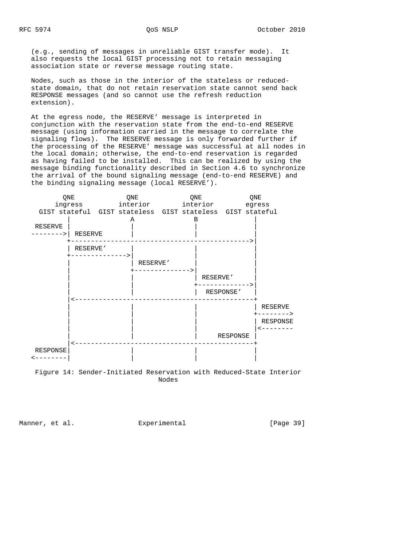(e.g., sending of messages in unreliable GIST transfer mode). It also requests the local GIST processing not to retain messaging association state or reverse message routing state.

 Nodes, such as those in the interior of the stateless or reduced state domain, that do not retain reservation state cannot send back RESPONSE messages (and so cannot use the refresh reduction extension).

 At the egress node, the RESERVE' message is interpreted in conjunction with the reservation state from the end-to-end RESERVE message (using information carried in the message to correlate the signaling flows). The RESERVE message is only forwarded further if the processing of the RESERVE' message was successful at all nodes in the local domain; otherwise, the end-to-end reservation is regarded as having failed to be installed. This can be realized by using the message binding functionality described in Section 4.6 to synchronize the arrival of the bound signaling message (end-to-end RESERVE) and the binding signaling message (local RESERVE').



Nodes

Manner, et al.  $\Box$  Experimental [Page 39]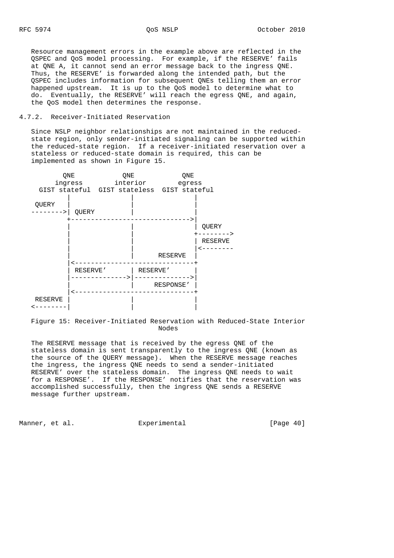Resource management errors in the example above are reflected in the QSPEC and QoS model processing. For example, if the RESERVE' fails at QNE A, it cannot send an error message back to the ingress QNE. Thus, the RESERVE' is forwarded along the intended path, but the QSPEC includes information for subsequent QNEs telling them an error happened upstream. It is up to the QoS model to determine what to do. Eventually, the RESERVE' will reach the egress QNE, and again, the QoS model then determines the response.

## 4.7.2. Receiver-Initiated Reservation

 Since NSLP neighbor relationships are not maintained in the reduced state region, only sender-initiated signaling can be supported within the reduced-state region. If a receiver-initiated reservation over a stateless or reduced-state domain is required, this can be implemented as shown in Figure 15.



 Figure 15: Receiver-Initiated Reservation with Reduced-State Interior Nodes

 The RESERVE message that is received by the egress QNE of the stateless domain is sent transparently to the ingress QNE (known as the source of the QUERY message). When the RESERVE message reaches the ingress, the ingress QNE needs to send a sender-initiated RESERVE' over the stateless domain. The ingress QNE needs to wait for a RESPONSE'. If the RESPONSE' notifies that the reservation was accomplished successfully, then the ingress QNE sends a RESERVE message further upstream.

Manner, et al.  $\Box$  Experimental [Page 40]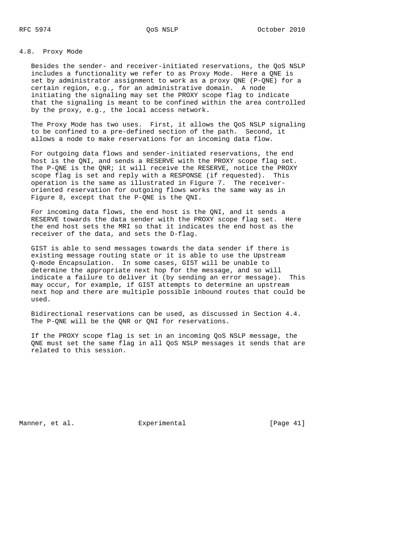# 4.8. Proxy Mode

 Besides the sender- and receiver-initiated reservations, the QoS NSLP includes a functionality we refer to as Proxy Mode. Here a QNE is set by administrator assignment to work as a proxy QNE (P-QNE) for a certain region, e.g., for an administrative domain. A node initiating the signaling may set the PROXY scope flag to indicate that the signaling is meant to be confined within the area controlled by the proxy, e.g., the local access network.

 The Proxy Mode has two uses. First, it allows the QoS NSLP signaling to be confined to a pre-defined section of the path. Second, it allows a node to make reservations for an incoming data flow.

 For outgoing data flows and sender-initiated reservations, the end host is the QNI, and sends a RESERVE with the PROXY scope flag set. The P-QNE is the QNR; it will receive the RESERVE, notice the PROXY scope flag is set and reply with a RESPONSE (if requested). This operation is the same as illustrated in Figure 7. The receiver oriented reservation for outgoing flows works the same way as in Figure 8, except that the P-QNE is the QNI.

 For incoming data flows, the end host is the QNI, and it sends a RESERVE towards the data sender with the PROXY scope flag set. Here the end host sets the MRI so that it indicates the end host as the receiver of the data, and sets the D-flag.

 GIST is able to send messages towards the data sender if there is existing message routing state or it is able to use the Upstream Q-mode Encapsulation. In some cases, GIST will be unable to determine the appropriate next hop for the message, and so will indicate a failure to deliver it (by sending an error message). This may occur, for example, if GIST attempts to determine an upstream next hop and there are multiple possible inbound routes that could be used.

 Bidirectional reservations can be used, as discussed in Section 4.4. The P-QNE will be the QNR or QNI for reservations.

 If the PROXY scope flag is set in an incoming QoS NSLP message, the QNE must set the same flag in all QoS NSLP messages it sends that are related to this session.

Manner, et al.  $\Box$  Experimental [Page 41]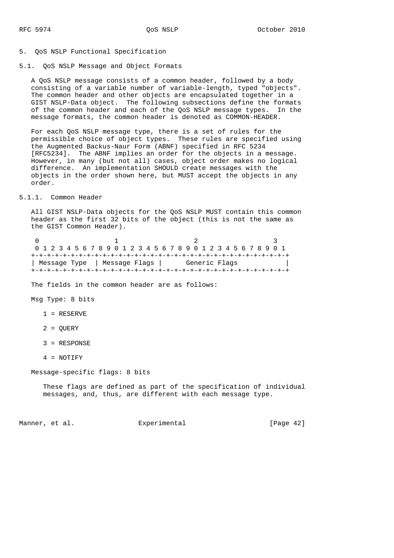#### 5. QoS NSLP Functional Specification

## 5.1. QoS NSLP Message and Object Formats

 A QoS NSLP message consists of a common header, followed by a body consisting of a variable number of variable-length, typed "objects". The common header and other objects are encapsulated together in a GIST NSLP-Data object. The following subsections define the formats of the common header and each of the QoS NSLP message types. In the message formats, the common header is denoted as COMMON-HEADER.

 For each QoS NSLP message type, there is a set of rules for the permissible choice of object types. These rules are specified using the Augmented Backus-Naur Form (ABNF) specified in RFC 5234 [RFC5234]. The ABNF implies an order for the objects in a message. However, in many (but not all) cases, object order makes no logical difference. An implementation SHOULD create messages with the objects in the order shown here, but MUST accept the objects in any order.

### 5.1.1. Common Header

 All GIST NSLP-Data objects for the QoS NSLP MUST contain this common header as the first 32 bits of the object (this is not the same as the GIST Common Header).

| 0 1 2 3 4 5 6 7 8 9 0 1 2 3 4 5 6 7 8 9 0 1 2 3 4 5 6 7 8 9 0 1 |  |  |  |  |  |  |  |  |               |  |  |  |  |  |  |  |  |  |  |  |  |  |  |  |  |  |  |  |  |  |
|-----------------------------------------------------------------|--|--|--|--|--|--|--|--|---------------|--|--|--|--|--|--|--|--|--|--|--|--|--|--|--|--|--|--|--|--|--|
|                                                                 |  |  |  |  |  |  |  |  |               |  |  |  |  |  |  |  |  |  |  |  |  |  |  |  |  |  |  |  |  |  |
| Message Type   Message Flags                                    |  |  |  |  |  |  |  |  | Generic Flags |  |  |  |  |  |  |  |  |  |  |  |  |  |  |  |  |  |  |  |  |  |
|                                                                 |  |  |  |  |  |  |  |  |               |  |  |  |  |  |  |  |  |  |  |  |  |  |  |  |  |  |  |  |  |  |

The fields in the common header are as follows:

Msg Type: 8 bits

- 1 = RESERVE
- 2 = QUERY
- 3 = RESPONSE
- 4 = NOTIFY

Message-specific flags: 8 bits

 These flags are defined as part of the specification of individual messages, and, thus, are different with each message type.

Manner, et al. Experimental Experimental [Page 42]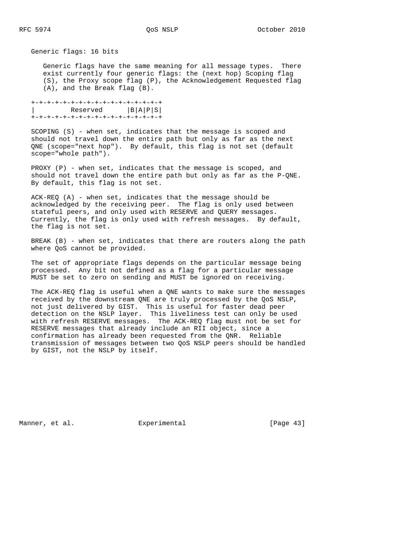Generic flags: 16 bits

 Generic flags have the same meaning for all message types. There exist currently four generic flags: the (next hop) Scoping flag (S), the Proxy scope flag (P), the Acknowledgement Requested flag (A), and the Break flag (B).

 +-+-+-+-+-+-+-+-+-+-+-+-+-+-+-+-+ | Reserved |B|A|P|S| +-+-+-+-+-+-+-+-+-+-+-+-+-+-+-+-+

 SCOPING (S) - when set, indicates that the message is scoped and should not travel down the entire path but only as far as the next QNE (scope="next hop"). By default, this flag is not set (default scope="whole path").

PROXY (P) - when set, indicates that the message is scoped, and should not travel down the entire path but only as far as the P-QNE. By default, this flag is not set.

 ACK-REQ (A) - when set, indicates that the message should be acknowledged by the receiving peer. The flag is only used between stateful peers, and only used with RESERVE and QUERY messages. Currently, the flag is only used with refresh messages. By default, the flag is not set.

 BREAK (B) - when set, indicates that there are routers along the path where QoS cannot be provided.

 The set of appropriate flags depends on the particular message being processed. Any bit not defined as a flag for a particular message MUST be set to zero on sending and MUST be ignored on receiving.

 The ACK-REQ flag is useful when a QNE wants to make sure the messages received by the downstream QNE are truly processed by the QoS NSLP, not just delivered by GIST. This is useful for faster dead peer detection on the NSLP layer. This liveliness test can only be used with refresh RESERVE messages. The ACK-REQ flag must not be set for RESERVE messages that already include an RII object, since a confirmation has already been requested from the QNR. Reliable transmission of messages between two QoS NSLP peers should be handled by GIST, not the NSLP by itself.

Manner, et al. Experimental [Page 43]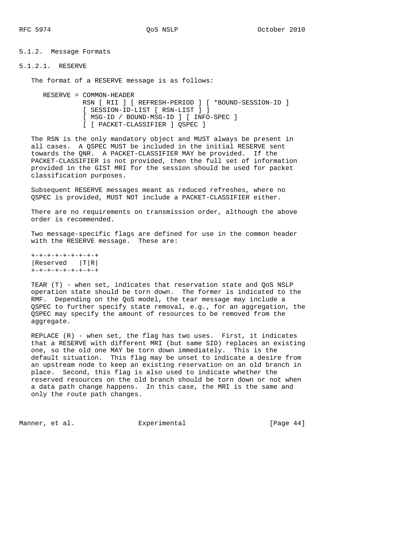5.1.2. Message Formats

# 5.1.2.1. RESERVE

The format of a RESERVE message is as follows:

 RESERVE = COMMON-HEADER RSN [ RII ] [ REFRESH-PERIOD ] [ \*BOUND-SESSION-ID ] [ SESSION-ID-LIST [ RSN-LIST ] ] [ MSG-ID / BOUND-MSG-ID ] [ INFO-SPEC ] [ [ PACKET-CLASSIFIER ] QSPEC ]

 The RSN is the only mandatory object and MUST always be present in all cases. A QSPEC MUST be included in the initial RESERVE sent towards the QNR. A PACKET-CLASSIFIER MAY be provided. If the PACKET-CLASSIFIER is not provided, then the full set of information provided in the GIST MRI for the session should be used for packet classification purposes.

 Subsequent RESERVE messages meant as reduced refreshes, where no QSPEC is provided, MUST NOT include a PACKET-CLASSIFIER either.

There are no requirements on transmission order, although the above order is recommended.

 Two message-specific flags are defined for use in the common header with the RESERVE message. These are:

 +-+-+-+-+-+-+-+-+  $|Reserved |T|R|$ +-+-+-+-+-+-+-+-+

 TEAR (T) - when set, indicates that reservation state and QoS NSLP operation state should be torn down. The former is indicated to the RMF. Depending on the QoS model, the tear message may include a QSPEC to further specify state removal, e.g., for an aggregation, the QSPEC may specify the amount of resources to be removed from the aggregate.

 REPLACE (R) - when set, the flag has two uses. First, it indicates that a RESERVE with different MRI (but same SID) replaces an existing one, so the old one MAY be torn down immediately. This is the default situation. This flag may be unset to indicate a desire from an upstream node to keep an existing reservation on an old branch in place. Second, this flag is also used to indicate whether the reserved resources on the old branch should be torn down or not when a data path change happens. In this case, the MRI is the same and only the route path changes.

Manner, et al.  $\Box$  Experimental [Page 44]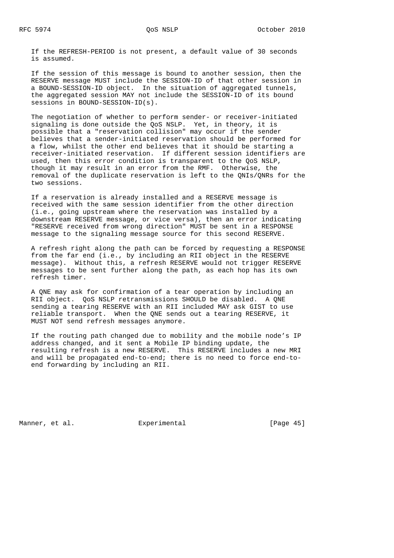If the REFRESH-PERIOD is not present, a default value of 30 seconds is assumed.

 If the session of this message is bound to another session, then the RESERVE message MUST include the SESSION-ID of that other session in a BOUND-SESSION-ID object. In the situation of aggregated tunnels, the aggregated session MAY not include the SESSION-ID of its bound sessions in BOUND-SESSION-ID(s).

 The negotiation of whether to perform sender- or receiver-initiated signaling is done outside the QoS NSLP. Yet, in theory, it is possible that a "reservation collision" may occur if the sender believes that a sender-initiated reservation should be performed for a flow, whilst the other end believes that it should be starting a receiver-initiated reservation. If different session identifiers are used, then this error condition is transparent to the QoS NSLP, though it may result in an error from the RMF. Otherwise, the removal of the duplicate reservation is left to the QNIs/QNRs for the two sessions.

 If a reservation is already installed and a RESERVE message is received with the same session identifier from the other direction (i.e., going upstream where the reservation was installed by a downstream RESERVE message, or vice versa), then an error indicating "RESERVE received from wrong direction" MUST be sent in a RESPONSE message to the signaling message source for this second RESERVE.

 A refresh right along the path can be forced by requesting a RESPONSE from the far end (i.e., by including an RII object in the RESERVE message). Without this, a refresh RESERVE would not trigger RESERVE messages to be sent further along the path, as each hop has its own refresh timer.

 A QNE may ask for confirmation of a tear operation by including an RII object. QoS NSLP retransmissions SHOULD be disabled. A QNE sending a tearing RESERVE with an RII included MAY ask GIST to use reliable transport. When the QNE sends out a tearing RESERVE, it MUST NOT send refresh messages anymore.

 If the routing path changed due to mobility and the mobile node's IP address changed, and it sent a Mobile IP binding update, the resulting refresh is a new RESERVE. This RESERVE includes a new MRI and will be propagated end-to-end; there is no need to force end-to end forwarding by including an RII.

Manner, et al.  $\Box$  Experimental [Page 45]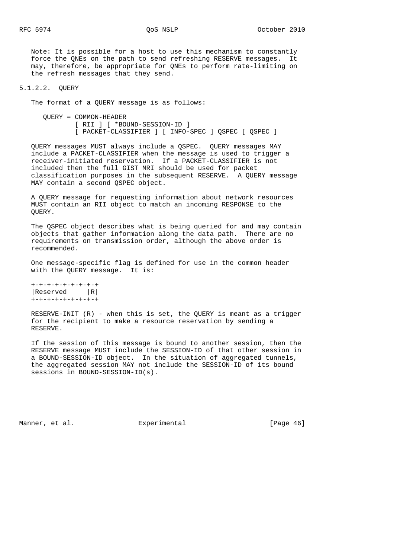Note: It is possible for a host to use this mechanism to constantly force the QNEs on the path to send refreshing RESERVE messages. It may, therefore, be appropriate for QNEs to perform rate-limiting on the refresh messages that they send.

#### 5.1.2.2. QUERY

The format of a QUERY message is as follows:

 QUERY = COMMON-HEADER [ RII ] [ \*BOUND-SESSION-ID ] [ PACKET-CLASSIFIER ] [ INFO-SPEC ] QSPEC [ QSPEC ]

 QUERY messages MUST always include a QSPEC. QUERY messages MAY include a PACKET-CLASSIFIER when the message is used to trigger a receiver-initiated reservation. If a PACKET-CLASSIFIER is not included then the full GIST MRI should be used for packet classification purposes in the subsequent RESERVE. A QUERY message MAY contain a second QSPEC object.

 A QUERY message for requesting information about network resources MUST contain an RII object to match an incoming RESPONSE to the QUERY.

 The QSPEC object describes what is being queried for and may contain objects that gather information along the data path. There are no requirements on transmission order, although the above order is recommended.

 One message-specific flag is defined for use in the common header with the QUERY message. It is:

 +-+-+-+-+-+-+-+-+  $|Reserved$   $|R|$ +-+-+-+-+-+-+-+-+

 RESERVE-INIT (R) - when this is set, the QUERY is meant as a trigger for the recipient to make a resource reservation by sending a RESERVE.

 If the session of this message is bound to another session, then the RESERVE message MUST include the SESSION-ID of that other session in a BOUND-SESSION-ID object. In the situation of aggregated tunnels, the aggregated session MAY not include the SESSION-ID of its bound sessions in BOUND-SESSION-ID(s).

Manner, et al. Experimental Experimental [Page 46]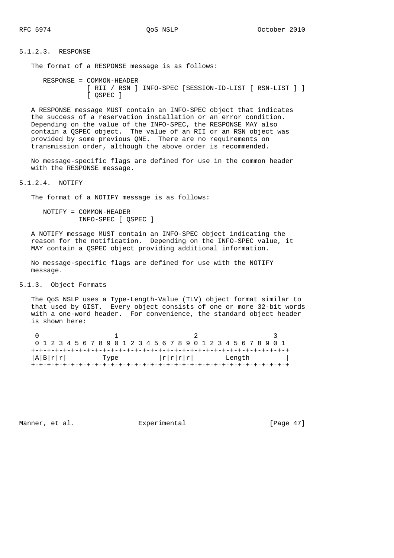## 5.1.2.3. RESPONSE

The format of a RESPONSE message is as follows:

 RESPONSE = COMMON-HEADER [ RII / RSN ] INFO-SPEC [SESSION-ID-LIST [ RSN-LIST ] ] [ QSPEC ]

 A RESPONSE message MUST contain an INFO-SPEC object that indicates the success of a reservation installation or an error condition. Depending on the value of the INFO-SPEC, the RESPONSE MAY also contain a QSPEC object. The value of an RII or an RSN object was provided by some previous QNE. There are no requirements on transmission order, although the above order is recommended.

 No message-specific flags are defined for use in the common header with the RESPONSE message.

5.1.2.4. NOTIFY

The format of a NOTIFY message is as follows:

 NOTIFY = COMMON-HEADER INFO-SPEC [ QSPEC ]

 A NOTIFY message MUST contain an INFO-SPEC object indicating the reason for the notification. Depending on the INFO-SPEC value, it MAY contain a QSPEC object providing additional information.

 No message-specific flags are defined for use with the NOTIFY message.

5.1.3. Object Formats

 The QoS NSLP uses a Type-Length-Value (TLV) object format similar to that used by GIST. Every object consists of one or more 32-bit words with a one-word header. For convenience, the standard object header is shown here:

| 0 1 2 3 4 5 6 7 8 9 0 1 2 3 4 5 6 7 8 9 0 1 2 3 4 5 6 7 8 9 0 1 |  |  |  |  |  |      |  |  |  |  |  |  |  |                                           |  |  |  |  |  |  |        |  |  |  |  |  |  |  |  |
|-----------------------------------------------------------------|--|--|--|--|--|------|--|--|--|--|--|--|--|-------------------------------------------|--|--|--|--|--|--|--------|--|--|--|--|--|--|--|--|
|                                                                 |  |  |  |  |  |      |  |  |  |  |  |  |  |                                           |  |  |  |  |  |  |        |  |  |  |  |  |  |  |  |
| A B r r                                                         |  |  |  |  |  | Type |  |  |  |  |  |  |  | $\lfloor r \rfloor r \lfloor r \rfloor r$ |  |  |  |  |  |  | Length |  |  |  |  |  |  |  |  |
|                                                                 |  |  |  |  |  |      |  |  |  |  |  |  |  |                                           |  |  |  |  |  |  |        |  |  |  |  |  |  |  |  |

Manner, et al. Experimental [Page 47]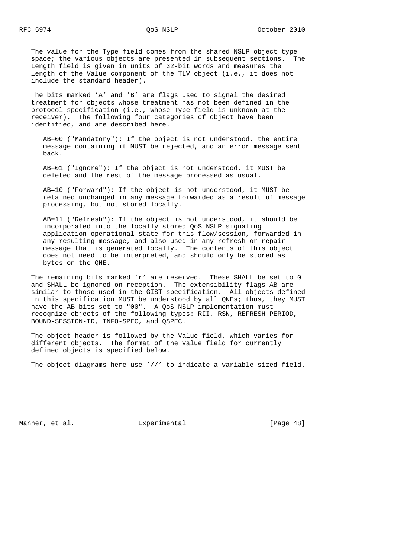The value for the Type field comes from the shared NSLP object type space; the various objects are presented in subsequent sections. The Length field is given in units of 32-bit words and measures the length of the Value component of the TLV object (i.e., it does not include the standard header).

 The bits marked 'A' and 'B' are flags used to signal the desired treatment for objects whose treatment has not been defined in the protocol specification (i.e., whose Type field is unknown at the receiver). The following four categories of object have been identified, and are described here.

 AB=00 ("Mandatory"): If the object is not understood, the entire message containing it MUST be rejected, and an error message sent back.

 AB=01 ("Ignore"): If the object is not understood, it MUST be deleted and the rest of the message processed as usual.

 AB=10 ("Forward"): If the object is not understood, it MUST be retained unchanged in any message forwarded as a result of message processing, but not stored locally.

 AB=11 ("Refresh"): If the object is not understood, it should be incorporated into the locally stored QoS NSLP signaling application operational state for this flow/session, forwarded in any resulting message, and also used in any refresh or repair message that is generated locally. The contents of this object does not need to be interpreted, and should only be stored as bytes on the QNE.

 The remaining bits marked 'r' are reserved. These SHALL be set to 0 and SHALL be ignored on reception. The extensibility flags AB are similar to those used in the GIST specification. All objects defined in this specification MUST be understood by all QNEs; thus, they MUST have the AB-bits set to "00". A QoS NSLP implementation must recognize objects of the following types: RII, RSN, REFRESH-PERIOD, BOUND-SESSION-ID, INFO-SPEC, and QSPEC.

 The object header is followed by the Value field, which varies for different objects. The format of the Value field for currently defined objects is specified below.

The object diagrams here use '//' to indicate a variable-sized field.

Manner, et al. **Experimental** [Page 48]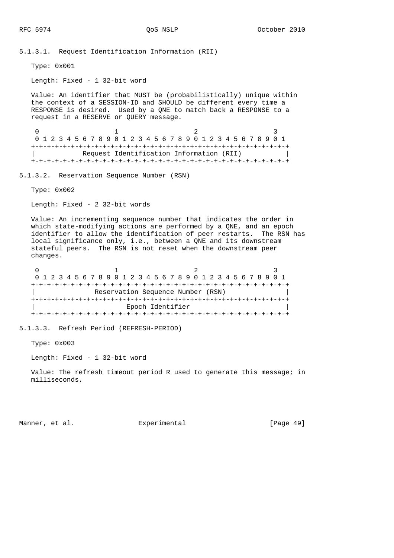5.1.3.1. Request Identification Information (RII)

Type: 0x001

Length: Fixed - 1 32-bit word

 Value: An identifier that MUST be (probabilistically) unique within the context of a SESSION-ID and SHOULD be different every time a RESPONSE is desired. Used by a QNE to match back a RESPONSE to a request in a RESERVE or QUERY message.

0  $1$  2 3 0 1 2 3 4 5 6 7 8 9 0 1 2 3 4 5 6 7 8 9 0 1 2 3 4 5 6 7 8 9 0 1 +-+-+-+-+-+-+-+-+-+-+-+-+-+-+-+-+-+-+-+-+-+-+-+-+-+-+-+-+-+-+-+-+ | Request Identification Information (RII) | +-+-+-+-+-+-+-+-+-+-+-+-+-+-+-+-+-+-+-+-+-+-+-+-+-+-+-+-+-+-+-+-+

5.1.3.2. Reservation Sequence Number (RSN)

Type: 0x002

Length: Fixed - 2 32-bit words

 Value: An incrementing sequence number that indicates the order in which state-modifying actions are performed by a QNE, and an epoch identifier to allow the identification of peer restarts. The RSN has local significance only, i.e., between a QNE and its downstream stateful peers. The RSN is not reset when the downstream peer changes.

0  $1$  2 3 0 1 2 3 4 5 6 7 8 9 0 1 2 3 4 5 6 7 8 9 0 1 2 3 4 5 6 7 8 9 0 1 +-+-+-+-+-+-+-+-+-+-+-+-+-+-+-+-+-+-+-+-+-+-+-+-+-+-+-+-+-+-+-+-+ Reservation Sequence Number (RSN) +-+-+-+-+-+-+-+-+-+-+-+-+-+-+-+-+-+-+-+-+-+-+-+-+-+-+-+-+-+-+-+-+ | Epoch Identifier | +-+-+-+-+-+-+-+-+-+-+-+-+-+-+-+-+-+-+-+-+-+-+-+-+-+-+-+-+-+-+-+-+

5.1.3.3. Refresh Period (REFRESH-PERIOD)

Type: 0x003

Length: Fixed - 1 32-bit word

Value: The refresh timeout period R used to generate this message; in milliseconds.

Manner, et al.  $\Box$  Experimental [Page 49]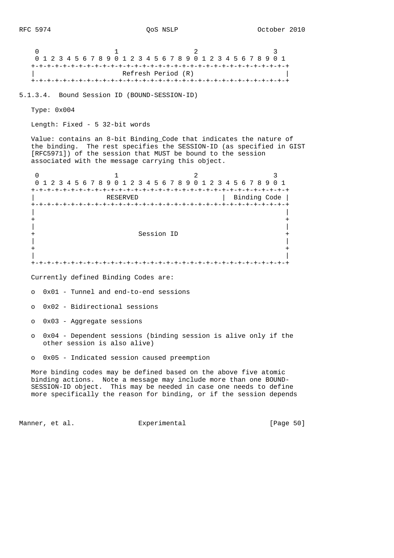0  $1$  2 3 0 1 2 3 4 5 6 7 8 9 0 1 2 3 4 5 6 7 8 9 0 1 2 3 4 5 6 7 8 9 0 1 +-+-+-+-+-+-+-+-+-+-+-+-+-+-+-+-+-+-+-+-+-+-+-+-+-+-+-+-+-+-+-+-+ Refresh Period (R) +-+-+-+-+-+-+-+-+-+-+-+-+-+-+-+-+-+-+-+-+-+-+-+-+-+-+-+-+-+-+-+-+ 5.1.3.4. Bound Session ID (BOUND-SESSION-ID) Type: 0x004 Length: Fixed - 5 32-bit words Value: contains an 8-bit Binding\_Code that indicates the nature of the binding. The rest specifies the SESSION-ID (as specified in GIST [RFC5971]) of the session that MUST be bound to the session associated with the message carrying this object. 0  $1$  2 3 0 1 2 3 4 5 6 7 8 9 0 1 2 3 4 5 6 7 8 9 0 1 2 3 4 5 6 7 8 9 0 1 +-+-+-+-+-+-+-+-+-+-+-+-+-+-+-+-+-+-+-+-+-+-+-+-+-+-+-+-+-+-+-+-+ | RESERVED | Binding Code | +-+-+-+-+-+-+-+-+-+-+-+-+-+-+-+-+-+-+-+-+-+-+-+-+-+-+-+-+-+-+-+-+ | | + + | | + Session ID + | | + + | | +-+-+-+-+-+-+-+-+-+-+-+-+-+-+-+-+-+-+-+-+-+-+-+-+-+-+-+-+-+-+-+-+ Currently defined Binding Codes are: o 0x01 - Tunnel and end-to-end sessions o 0x02 - Bidirectional sessions o 0x03 - Aggregate sessions

- o 0x04 Dependent sessions (binding session is alive only if the other session is also alive)
- o 0x05 Indicated session caused preemption

 More binding codes may be defined based on the above five atomic binding actions. Note a message may include more than one BOUND- SESSION-ID object. This may be needed in case one needs to define more specifically the reason for binding, or if the session depends

Manner, et al. Experimental Experimental [Page 50]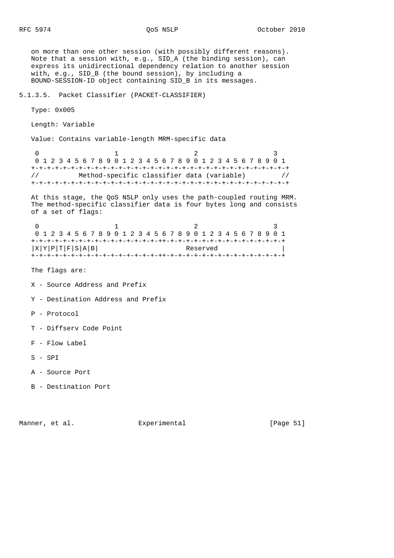on more than one other session (with possibly different reasons). Note that a session with, e.g., SID\_A (the binding session), can express its unidirectional dependency relation to another session with, e.g., SID\_B (the bound session), by including a BOUND-SESSION-ID object containing SID\_B in its messages. 5.1.3.5. Packet Classifier (PACKET-CLASSIFIER) Type: 0x005 Length: Variable Value: Contains variable-length MRM-specific data 0  $1$  2 3 0 1 2 3 4 5 6 7 8 9 0 1 2 3 4 5 6 7 8 9 0 1 2 3 4 5 6 7 8 9 0 1 +-+-+-+-+-+-+-+-+-+-+-+-+-+-+-+-+-+-+-+-+-+-+-+-+-+-+-+-+-+-+-+-+ // Method-specific classifier data (variable) // +-+-+-+-+-+-+-+-+-+-+-+-+-+-+-+-+-+-+-+-+-+-+-+-+-+-+-+-+-+-+-+-+ At this stage, the QoS NSLP only uses the path-coupled routing MRM. The method-specific classifier data is four bytes long and consists of a set of flags: 0  $1$  2 3 0 1 2 3 4 5 6 7 8 9 0 1 2 3 4 5 6 7 8 9 0 1 2 3 4 5 6 7 8 9 0 1 +-+-+-+-+-+-+-+-+-+-+-+-+-+-+-+-++-+-+-+-+-+-+-+-+-+-+-+-+-+-+-+  $|X|Y|P|T|F|S|A|B|$  Reserved +-+-+-+-+-+-+-+-+-+-+-+-+-+-+-+-++-+-+-+-+-+-+-+-+-+-+-+-+-+-+-+ The flags are: X - Source Address and Prefix Y - Destination Address and Prefix P - Protocol T - Diffserv Code Point F - Flow Label S - SPI A - Source Port B - Destination Port

Manner, et al.  $\Box$  Experimental [Page 51]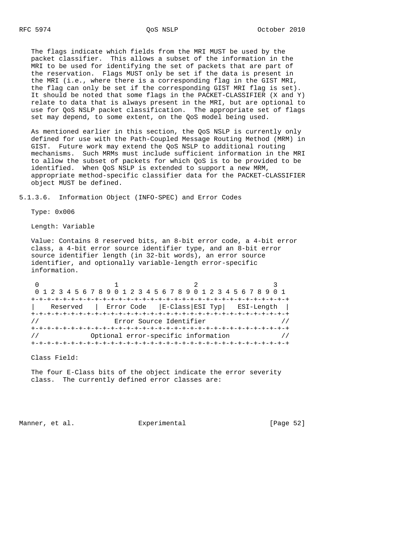The flags indicate which fields from the MRI MUST be used by the packet classifier. This allows a subset of the information in the MRI to be used for identifying the set of packets that are part of the reservation. Flags MUST only be set if the data is present in the MRI (i.e., where there is a corresponding flag in the GIST MRI, the flag can only be set if the corresponding GIST MRI flag is set). It should be noted that some flags in the PACKET-CLASSIFIER (X and Y) relate to data that is always present in the MRI, but are optional to use for QoS NSLP packet classification. The appropriate set of flags set may depend, to some extent, on the QoS model being used.

 As mentioned earlier in this section, the QoS NSLP is currently only defined for use with the Path-Coupled Message Routing Method (MRM) in GIST. Future work may extend the QoS NSLP to additional routing mechanisms. Such MRMs must include sufficient information in the MRI to allow the subset of packets for which QoS is to be provided to be identified. When QoS NSLP is extended to support a new MRM, appropriate method-specific classifier data for the PACKET-CLASSIFIER object MUST be defined.

5.1.3.6. Information Object (INFO-SPEC) and Error Codes

Type: 0x006

Length: Variable

 Value: Contains 8 reserved bits, an 8-bit error code, a 4-bit error class, a 4-bit error source identifier type, and an 8-bit error source identifier length (in 32-bit words), an error source identifier, and optionally variable-length error-specific information.

|                                     |                                                        | 0 1 2 3 4 5 6 7 8 9 0 1 2 3 4 5 6 7 8 9 0 1 2 3 4 5 6 7 8 9 0 1 |  |  |  |  |  |  |  |  |  |  |  |  |
|-------------------------------------|--------------------------------------------------------|-----------------------------------------------------------------|--|--|--|--|--|--|--|--|--|--|--|--|
| +-+-+-+-+-+-+-+-+-+-+-+-+-+-+-+-+-+ |                                                        |                                                                 |  |  |  |  |  |  |  |  |  |  |  |  |
|                                     | Reserved   Error Code   E-Class   ESI Typ   ESI-Length |                                                                 |  |  |  |  |  |  |  |  |  |  |  |  |
|                                     |                                                        |                                                                 |  |  |  |  |  |  |  |  |  |  |  |  |
|                                     | Error Source Identifier                                |                                                                 |  |  |  |  |  |  |  |  |  |  |  |  |
|                                     |                                                        |                                                                 |  |  |  |  |  |  |  |  |  |  |  |  |
|                                     | Optional error-specific information                    |                                                                 |  |  |  |  |  |  |  |  |  |  |  |  |
|                                     |                                                        |                                                                 |  |  |  |  |  |  |  |  |  |  |  |  |

Class Field:

 The four E-Class bits of the object indicate the error severity class. The currently defined error classes are:

Manner, et al.  $\Box$  Experimental [Page 52]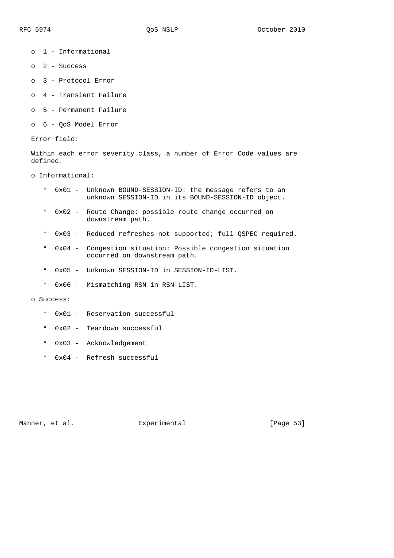- o 1 Informational
- o 2 Success
- o 3 Protocol Error
- o 4 Transient Failure
- o 5 Permanent Failure
- o 6 QoS Model Error

Error field:

 Within each error severity class, a number of Error Code values are defined.

o Informational:

- \* 0x01 Unknown BOUND-SESSION-ID: the message refers to an unknown SESSION-ID in its BOUND-SESSION-ID object.
- \* 0x02 Route Change: possible route change occurred on downstream path.
- \* 0x03 Reduced refreshes not supported; full QSPEC required.
- \* 0x04 Congestion situation: Possible congestion situation occurred on downstream path.
- \* 0x05 Unknown SESSION-ID in SESSION-ID-LIST.
- \* 0x06 Mismatching RSN in RSN-LIST.

o Success:

- \* 0x01 Reservation successful
- \* 0x02 Teardown successful
- \* 0x03 Acknowledgement
- \* 0x04 Refresh successful

Manner, et al. Subsection Experimental Experimental [Page 53]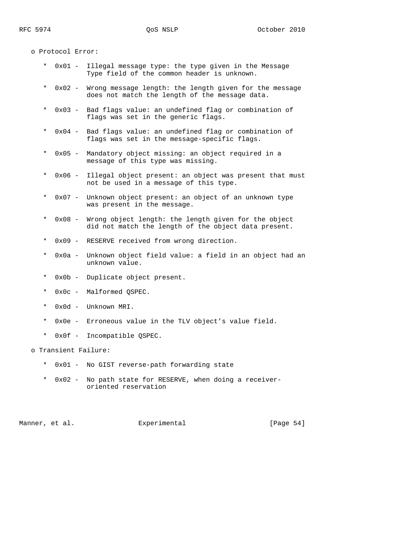o Protocol Error:

- \* 0x01 Illegal message type: the type given in the Message Type field of the common header is unknown.
- $0x02$  Wrong message length: the length given for the message does not match the length of the message data.
- \* 0x03 Bad flags value: an undefined flag or combination of flags was set in the generic flags.
- \* 0x04 Bad flags value: an undefined flag or combination of flags was set in the message-specific flags.
- \* 0x05 Mandatory object missing: an object required in a message of this type was missing.
- \* 0x06 Illegal object present: an object was present that must not be used in a message of this type.
- \* 0x07 Unknown object present: an object of an unknown type was present in the message.
- \* 0x08 Wrong object length: the length given for the object did not match the length of the object data present.
- \* 0x09 RESERVE received from wrong direction.
- \* 0x0a Unknown object field value: a field in an object had an unknown value.
- \* 0x0b Duplicate object present.
- \* 0x0c Malformed QSPEC.
- \* 0x0d Unknown MRI.
- \* 0x0e Erroneous value in the TLV object's value field.
- \* 0x0f Incompatible QSPEC.

o Transient Failure:

- \* 0x01 No GIST reverse-path forwarding state
- \* 0x02 No path state for RESERVE, when doing a receiver oriented reservation

Manner, et al.  $\Box$  Experimental [Page 54]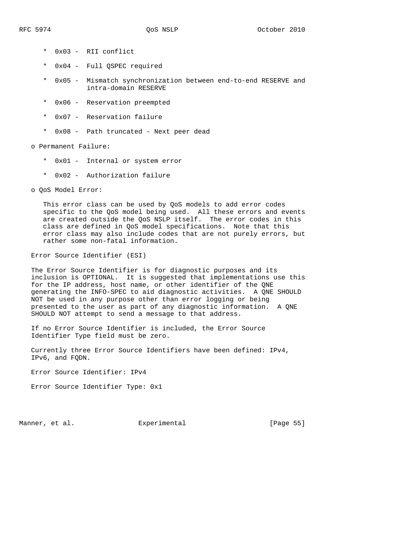- \* 0x03 RII conflict
- \* 0x04 Full QSPEC required
- \* 0x05 Mismatch synchronization between end-to-end RESERVE and intra-domain RESERVE
- \* 0x06 Reservation preempted
- \* 0x07 Reservation failure
- \* 0x08 Path truncated Next peer dead

o Permanent Failure:

- \* 0x01 Internal or system error
- \* 0x02 Authorization failure

o QoS Model Error:

 This error class can be used by QoS models to add error codes specific to the QoS model being used. All these errors and events are created outside the QoS NSLP itself. The error codes in this class are defined in QoS model specifications. Note that this error class may also include codes that are not purely errors, but rather some non-fatal information.

Error Source Identifier (ESI)

 The Error Source Identifier is for diagnostic purposes and its inclusion is OPTIONAL. It is suggested that implementations use this for the IP address, host name, or other identifier of the QNE generating the INFO-SPEC to aid diagnostic activities. A QNE SHOULD NOT be used in any purpose other than error logging or being presented to the user as part of any diagnostic information. A QNE SHOULD NOT attempt to send a message to that address.

 If no Error Source Identifier is included, the Error Source Identifier Type field must be zero.

 Currently three Error Source Identifiers have been defined: IPv4, IPv6, and FQDN.

Error Source Identifier: IPv4

Error Source Identifier Type: 0x1

Manner, et al. **Experimental** [Page 55]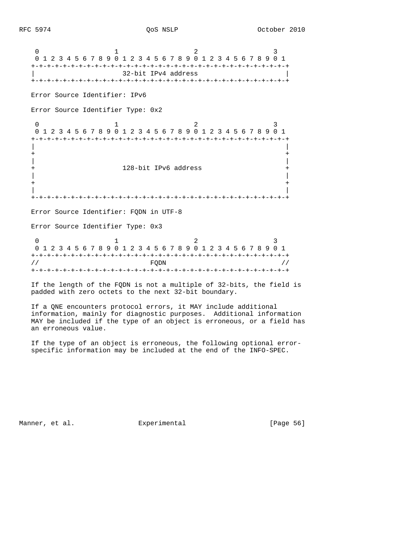0  $1$  2 3 0 1 2 3 4 5 6 7 8 9 0 1 2 3 4 5 6 7 8 9 0 1 2 3 4 5 6 7 8 9 0 1 +-+-+-+-+-+-+-+-+-+-+-+-+-+-+-+-+-+-+-+-+-+-+-+-+-+-+-+-+-+-+-+-+ | 32-bit IPv4 address | +-+-+-+-+-+-+-+-+-+-+-+-+-+-+-+-+-+-+-+-+-+-+-+-+-+-+-+-+-+-+-+-+ Error Source Identifier: IPv6 Error Source Identifier Type: 0x2  $0$  1 2 3 0 1 2 3 4 5 6 7 8 9 0 1 2 3 4 5 6 7 8 9 0 1 2 3 4 5 6 7 8 9 0 1 +-+-+-+-+-+-+-+-+-+-+-+-+-+-+-+-+-+-+-+-+-+-+-+-+-+-+-+-+-+-+-+-+ | | + + | | + 128-bit IPv6 address + | | + + | | +-+-+-+-+-+-+-+-+-+-+-+-+-+-+-+-+-+-+-+-+-+-+-+-+-+-+-+-+-+-+-+-+ Error Source Identifier: FQDN in UTF-8 Error Source Identifier Type: 0x3 0  $1$  2 3 0 1 2 3 4 5 6 7 8 9 0 1 2 3 4 5 6 7 8 9 0 1 2 3 4 5 6 7 8 9 0 1 +-+-+-+-+-+-+-+-+-+-+-+-+-+-+-+-+-+-+-+-+-+-+-+-+-+-+-+-+-+-+-+-+  $\sqrt{2}$  // FQDN  $\sqrt{2}$  // FQDN  $\sqrt{2}$ +-+-+-+-+-+-+-+-+-+-+-+-+-+-+-+-+-+-+-+-+-+-+-+-+-+-+-+-+-+-+-+-+

 If the length of the FQDN is not a multiple of 32-bits, the field is padded with zero octets to the next 32-bit boundary.

 If a QNE encounters protocol errors, it MAY include additional information, mainly for diagnostic purposes. Additional information MAY be included if the type of an object is erroneous, or a field has an erroneous value.

 If the type of an object is erroneous, the following optional error specific information may be included at the end of the INFO-SPEC.

Manner, et al.  $\Box$  Experimental  $\Box$  [Page 56]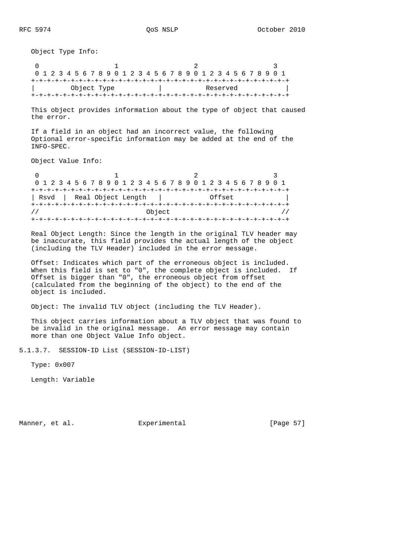Object Type Info:

 $\begin{array}{ccccccc}\n0 & & & & 1 & & & & 2 & & & & 3\n\end{array}$  0 1 2 3 4 5 6 7 8 9 0 1 2 3 4 5 6 7 8 9 0 1 2 3 4 5 6 7 8 9 0 1 +-+-+-+-+-+-+-+-+-+-+-+-+-+-+-+-+-+-+-+-+-+-+-+-+-+-+-+-+-+-+-+-+ | Object Type | Reserved | +-+-+-+-+-+-+-+-+-+-+-+-+-+-+-+-+-+-+-+-+-+-+-+-+-+-+-+-+-+-+-+-+

 This object provides information about the type of object that caused the error.

 If a field in an object had an incorrect value, the following Optional error-specific information may be added at the end of the INFO-SPEC.

Object Value Info:

0  $1$  2 3 0 1 2 3 4 5 6 7 8 9 0 1 2 3 4 5 6 7 8 9 0 1 2 3 4 5 6 7 8 9 0 1 +-+-+-+-+-+-+-+-+-+-+-+-+-+-+-+-+-+-+-+-+-+-+-+-+-+-+-+-+-+-+-+-+ | Rsvd | Real Object Length | Offset +-+-+-+-+-+-+-+-+-+-+-+-+-+-+-+-+-+-+-+-+-+-+-+-+-+-+-+-+-+-+-+-+  $\frac{1}{2}$  //  $\frac{1}{2}$  object  $\frac{1}{2}$  // +-+-+-+-+-+-+-+-+-+-+-+-+-+-+-+-+-+-+-+-+-+-+-+-+-+-+-+-+-+-+-+-+

 Real Object Length: Since the length in the original TLV header may be inaccurate, this field provides the actual length of the object (including the TLV Header) included in the error message.

 Offset: Indicates which part of the erroneous object is included. When this field is set to "0", the complete object is included. If Offset is bigger than "0", the erroneous object from offset (calculated from the beginning of the object) to the end of the object is included.

Object: The invalid TLV object (including the TLV Header).

 This object carries information about a TLV object that was found to be invalid in the original message. An error message may contain more than one Object Value Info object.

5.1.3.7. SESSION-ID List (SESSION-ID-LIST)

Type: 0x007

Length: Variable

Manner, et al. Subsection Experimental Experimental [Page 57]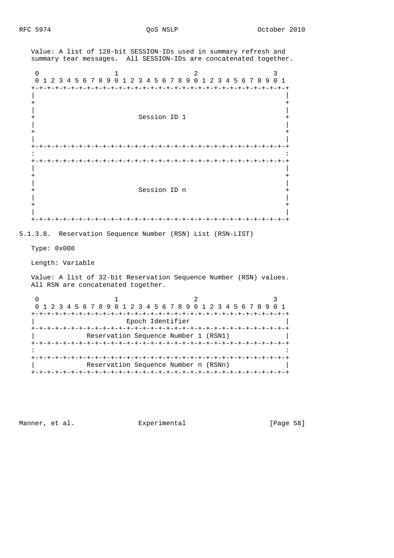Value: A list of 128-bit SESSION-IDs used in summary refresh and summary tear messages. All SESSION-IDs are concatenated together. 0  $1$  2 3 0 1 2 3 4 5 6 7 8 9 0 1 2 3 4 5 6 7 8 9 0 1 2 3 4 5 6 7 8 9 0 1 +-+-+-+-+-+-+-+-+-+-+-+-+-+-+-+-+-+-+-+-+-+-+-+-+-+-+-+-+-+-+-+-+ | | + + | | Session ID 1 | | + + | | +-+-+-+-+-+-+-+-+-+-+-+-+-+-+-+-+-+-+-+-+-+-+-+-+-+-+-+-+-+-+-+-+ in the contract of the contract of the contract of the contract of the contract of the contract of the contract +-+-+-+-+-+-+-+-+-+-+-+-+-+-+-+-+-+-+-+-+-+-+-+-+-+-+-+-+-+-+-+-+ | | + + | | + Session ID n + | | + + | | +-+-+-+-+-+-+-+-+-+-+-+-+-+-+-+-+-+-+-+-+-+-+-+-+-+-+-+-+-+-+-+-+ 5.1.3.8. Reservation Sequence Number (RSN) List (RSN-LIST) Type: 0x008 Length: Variable Value: A list of 32-bit Reservation Sequence Number (RSN) values. All RSN are concatenated together. 0  $1$  2 3 0 1 2 3 4 5 6 7 8 9 0 1 2 3 4 5 6 7 8 9 0 1 2 3 4 5 6 7 8 9 0 1 +-+-+-+-+-+-+-+-+-+-+-+-+-+-+-+-+-+-+-+-+-+-+-+-+-+-+-+-+-+-+-+-+ | Epoch Identifier | +-+-+-+-+-+-+-+-+-+-+-+-+-+-+-+-+-+-+-+-+-+-+-+-+-+-+-+-+-+-+-+-+ Reservation Sequence Number 1 (RSN1) +-+-+-+-+-+-+-+-+-+-+-+-+-+-+-+-+-+-+-+-+-+-+-+-+-+-+-+-+-+-+-+-+ in the contract of the contract of the contract of the contract of the contract of the contract of the contract +-+-+-+-+-+-+-+-+-+-+-+-+-+-+-+-+-+-+-+-+-+-+-+-+-+-+-+-+-+-+-+-+ Reservation Sequence Number n (RSNn) +-+-+-+-+-+-+-+-+-+-+-+-+-+-+-+-+-+-+-+-+-+-+-+-+-+-+-+-+-+-+-+-+

Manner, et al. Subsection Experimental Fage 58]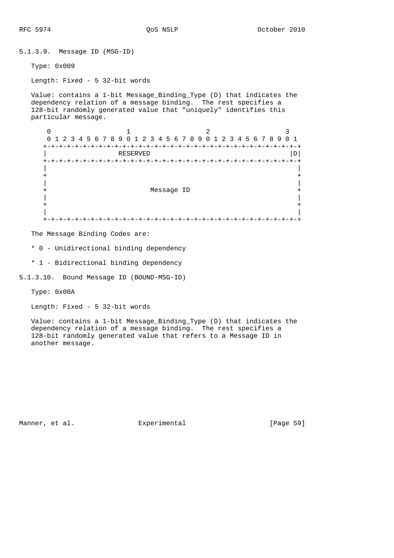5.1.3.9. Message ID (MSG-ID) Type: 0x009 Length: Fixed - 5 32-bit words Value: contains a 1-bit Message\_Binding\_Type (D) that indicates the dependency relation of a message binding. The rest specifies a 128-bit randomly generated value that "uniquely" identifies this particular message.  $0$  1 2 3 0 1 2 3 4 5 6 7 8 9 0 1 2 3 4 5 6 7 8 9 0 1 2 3 4 5 6 7 8 9 0 1 +-+-+-+-+-+-+-+-+-+-+-+-+-+-+-+-+-+-+-+-+-+-+-+-+-+-+-+-+-+-+-+-+ | RESERVED |D| +-+-+-+-+-+-+-+-+-+-+-+-+-+-+-+-+-+-+-+-+-+-+-+-+-+-+-+-+-+-+-+-+ | | + + | | + Message ID + | | + + | | +-+-+-+-+-+-+-+-+-+-+-+-+-+-+-+-+-+-+-+-+-+-+-+-+-+-+-+-+-+-+-+-+

The Message Binding Codes are:

\* 0 - Unidirectional binding dependency

\* 1 - Bidirectional binding dependency

5.1.3.10. Bound Message ID (BOUND-MSG-ID)

Type: 0x00A

Length: Fixed - 5 32-bit words

 Value: contains a 1-bit Message\_Binding\_Type (D) that indicates the dependency relation of a message binding. The rest specifies a 128-bit randomly generated value that refers to a Message ID in another message.

Manner, et al. Subsection Experimental Fage 59]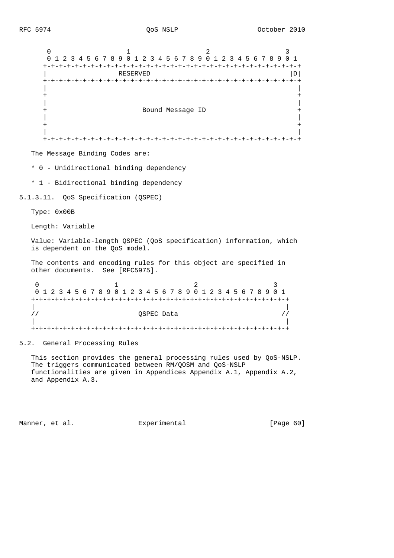$0$  1 2 3 0 1 2 3 4 5 6 7 8 9 0 1 2 3 4 5 6 7 8 9 0 1 2 3 4 5 6 7 8 9 0 1 +-+-+-+-+-+-+-+-+-+-+-+-+-+-+-+-+-+-+-+-+-+-+-+-+-+-+-+-+-+-+-+-+ | RESERVED |D| +-+-+-+-+-+-+-+-+-+-+-+-+-+-+-+-+-+-+-+-+-+-+-+-+-+-+-+-+-+-+-+-+ | | + + | | + Bound Message ID + | | + + | | +-+-+-+-+-+-+-+-+-+-+-+-+-+-+-+-+-+-+-+-+-+-+-+-+-+-+-+-+-+-+-+-+

The Message Binding Codes are:

\* 0 - Unidirectional binding dependency

\* 1 - Bidirectional binding dependency

5.1.3.11. QoS Specification (QSPEC)

Type: 0x00B

Length: Variable

 Value: Variable-length QSPEC (QoS specification) information, which is dependent on the QoS model.

 The contents and encoding rules for this object are specified in other documents. See [RFC5975].

0  $1$  2 3 0 1 2 3 4 5 6 7 8 9 0 1 2 3 4 5 6 7 8 9 0 1 2 3 4 5 6 7 8 9 0 1 +-+-+-+-+-+-+-+-+-+-+-+-+-+-+-+-+-+-+-+-+-+-+-+-+-+-+-+-+-+-+-+-+ | | // QSPEC Data // | | +-+-+-+-+-+-+-+-+-+-+-+-+-+-+-+-+-+-+-+-+-+-+-+-+-+-+-+-+-+-+-+-+

5.2. General Processing Rules

 This section provides the general processing rules used by QoS-NSLP. The triggers communicated between RM/QOSM and QoS-NSLP functionalities are given in Appendices Appendix A.1, Appendix A.2, and Appendix A.3.

Manner, et al. Subsection Experimental Experiment (Page 60)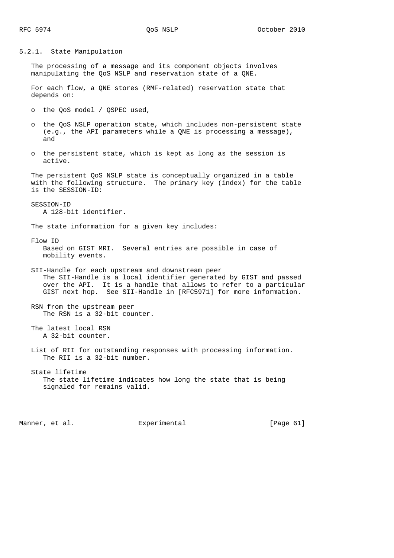5.2.1. State Manipulation

 The processing of a message and its component objects involves manipulating the QoS NSLP and reservation state of a QNE.

 For each flow, a QNE stores (RMF-related) reservation state that depends on:

- o the QoS model / QSPEC used,
- o the QoS NSLP operation state, which includes non-persistent state (e.g., the API parameters while a QNE is processing a message), and
- o the persistent state, which is kept as long as the session is active.

 The persistent QoS NSLP state is conceptually organized in a table with the following structure. The primary key (index) for the table is the SESSION-ID:

 SESSION-ID A 128-bit identifier.

The state information for a given key includes:

 Flow ID Based on GIST MRI. Several entries are possible in case of mobility events.

 SII-Handle for each upstream and downstream peer The SII-Handle is a local identifier generated by GIST and passed over the API. It is a handle that allows to refer to a particular GIST next hop. See SII-Handle in [RFC5971] for more information.

 RSN from the upstream peer The RSN is a 32-bit counter.

 The latest local RSN A 32-bit counter.

 List of RII for outstanding responses with processing information. The RII is a 32-bit number.

 State lifetime The state lifetime indicates how long the state that is being signaled for remains valid.

Manner, et al. Experimental Experimental [Page 61]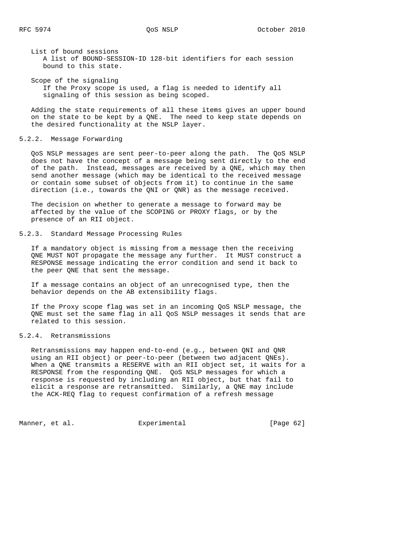List of bound sessions A list of BOUND-SESSION-ID 128-bit identifiers for each session bound to this state.

 Scope of the signaling If the Proxy scope is used, a flag is needed to identify all signaling of this session as being scoped.

 Adding the state requirements of all these items gives an upper bound on the state to be kept by a QNE. The need to keep state depends on the desired functionality at the NSLP layer.

#### 5.2.2. Message Forwarding

 QoS NSLP messages are sent peer-to-peer along the path. The QoS NSLP does not have the concept of a message being sent directly to the end of the path. Instead, messages are received by a QNE, which may then send another message (which may be identical to the received message or contain some subset of objects from it) to continue in the same direction (i.e., towards the QNI or QNR) as the message received.

 The decision on whether to generate a message to forward may be affected by the value of the SCOPING or PROXY flags, or by the presence of an RII object.

# 5.2.3. Standard Message Processing Rules

 If a mandatory object is missing from a message then the receiving QNE MUST NOT propagate the message any further. It MUST construct a RESPONSE message indicating the error condition and send it back to the peer QNE that sent the message.

 If a message contains an object of an unrecognised type, then the behavior depends on the AB extensibility flags.

 If the Proxy scope flag was set in an incoming QoS NSLP message, the QNE must set the same flag in all QoS NSLP messages it sends that are related to this session.

# 5.2.4. Retransmissions

 Retransmissions may happen end-to-end (e.g., between QNI and QNR using an RII object) or peer-to-peer (between two adjacent QNEs). When a QNE transmits a RESERVE with an RII object set, it waits for a RESPONSE from the responding QNE. QoS NSLP messages for which a response is requested by including an RII object, but that fail to elicit a response are retransmitted. Similarly, a QNE may include the ACK-REQ flag to request confirmation of a refresh message

Manner, et al.  $\Box$  Experimental [Page 62]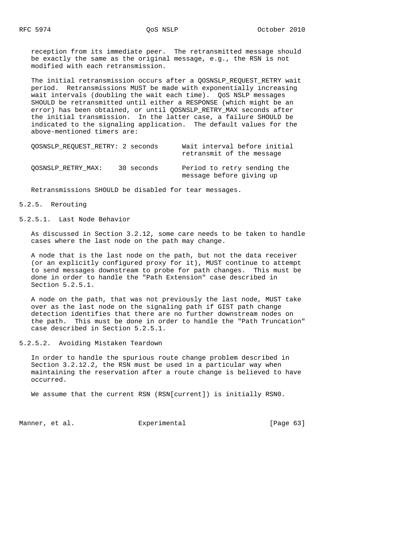reception from its immediate peer. The retransmitted message should be exactly the same as the original message, e.g., the RSN is not modified with each retransmission.

 The initial retransmission occurs after a QOSNSLP\_REQUEST\_RETRY wait period. Retransmissions MUST be made with exponentially increasing wait intervals (doubling the wait each time). QoS NSLP messages SHOULD be retransmitted until either a RESPONSE (which might be an error) has been obtained, or until QOSNSLP RETRY MAX seconds after the initial transmission. In the latter case, a failure SHOULD be indicated to the signaling application. The default values for the above-mentioned timers are:

| OOSNSLP REOUEST RETRY: 2 seconds |            | Wait interval before initial<br>retransmit of the message |  |
|----------------------------------|------------|-----------------------------------------------------------|--|
| OOSNSLP RETRY MAX:               | 30 seconds | Period to retry sending the<br>message before giving up   |  |

Retransmissions SHOULD be disabled for tear messages.

#### 5.2.5. Rerouting

5.2.5.1. Last Node Behavior

 As discussed in Section 3.2.12, some care needs to be taken to handle cases where the last node on the path may change.

 A node that is the last node on the path, but not the data receiver (or an explicitly configured proxy for it), MUST continue to attempt to send messages downstream to probe for path changes. This must be done in order to handle the "Path Extension" case described in Section 5.2.5.1.

 A node on the path, that was not previously the last node, MUST take over as the last node on the signaling path if GIST path change detection identifies that there are no further downstream nodes on the path. This must be done in order to handle the "Path Truncation" case described in Section 5.2.5.1.

5.2.5.2. Avoiding Mistaken Teardown

 In order to handle the spurious route change problem described in Section 3.2.12.2, the RSN must be used in a particular way when maintaining the reservation after a route change is believed to have occurred.

We assume that the current RSN (RSN[current]) is initially RSN0.

Manner, et al. Experimental Experimental [Page 63]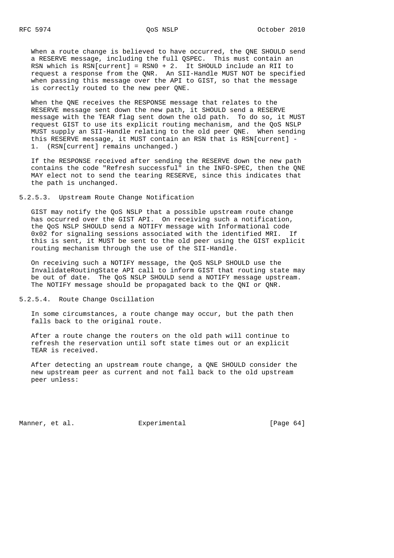When a route change is believed to have occurred, the QNE SHOULD send a RESERVE message, including the full QSPEC. This must contain an RSN which is  $\overline{RSN}$ [current] = RSN0 + 2. It SHOULD include an RII to request a response from the QNR. An SII-Handle MUST NOT be specified when passing this message over the API to GIST, so that the message is correctly routed to the new peer QNE.

 When the QNE receives the RESPONSE message that relates to the RESERVE message sent down the new path, it SHOULD send a RESERVE message with the TEAR flag sent down the old path. To do so, it MUST request GIST to use its explicit routing mechanism, and the QoS NSLP MUST supply an SII-Handle relating to the old peer QNE. When sending this RESERVE message, it MUST contain an RSN that is RSN[current] - 1. (RSN[current] remains unchanged.)

 If the RESPONSE received after sending the RESERVE down the new path contains the code "Refresh successful" in the INFO-SPEC, then the QNE MAY elect not to send the tearing RESERVE, since this indicates that the path is unchanged.

5.2.5.3. Upstream Route Change Notification

 GIST may notify the QoS NSLP that a possible upstream route change has occurred over the GIST API. On receiving such a notification, the QoS NSLP SHOULD send a NOTIFY message with Informational code 0x02 for signaling sessions associated with the identified MRI. If this is sent, it MUST be sent to the old peer using the GIST explicit routing mechanism through the use of the SII-Handle.

 On receiving such a NOTIFY message, the QoS NSLP SHOULD use the InvalidateRoutingState API call to inform GIST that routing state may be out of date. The QoS NSLP SHOULD send a NOTIFY message upstream. The NOTIFY message should be propagated back to the QNI or QNR.

5.2.5.4. Route Change Oscillation

 In some circumstances, a route change may occur, but the path then falls back to the original route.

 After a route change the routers on the old path will continue to refresh the reservation until soft state times out or an explicit TEAR is received.

 After detecting an upstream route change, a QNE SHOULD consider the new upstream peer as current and not fall back to the old upstream peer unless:

Manner, et al.  $\Box$  Experimental [Page 64]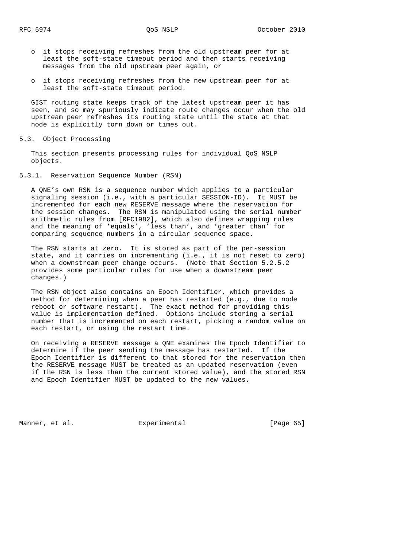- o it stops receiving refreshes from the old upstream peer for at least the soft-state timeout period and then starts receiving messages from the old upstream peer again, or
- o it stops receiving refreshes from the new upstream peer for at least the soft-state timeout period.

 GIST routing state keeps track of the latest upstream peer it has seen, and so may spuriously indicate route changes occur when the old upstream peer refreshes its routing state until the state at that node is explicitly torn down or times out.

5.3. Object Processing

 This section presents processing rules for individual QoS NSLP objects.

5.3.1. Reservation Sequence Number (RSN)

 A QNE's own RSN is a sequence number which applies to a particular signaling session (i.e., with a particular SESSION-ID). It MUST be incremented for each new RESERVE message where the reservation for the session changes. The RSN is manipulated using the serial number arithmetic rules from [RFC1982], which also defines wrapping rules and the meaning of 'equals', 'less than', and 'greater than' for comparing sequence numbers in a circular sequence space.

 The RSN starts at zero. It is stored as part of the per-session state, and it carries on incrementing (i.e., it is not reset to zero) when a downstream peer change occurs. (Note that Section 5.2.5.2 provides some particular rules for use when a downstream peer changes.)

 The RSN object also contains an Epoch Identifier, which provides a method for determining when a peer has restarted (e.g., due to node reboot or software restart). The exact method for providing this value is implementation defined. Options include storing a serial number that is incremented on each restart, picking a random value on each restart, or using the restart time.

 On receiving a RESERVE message a QNE examines the Epoch Identifier to determine if the peer sending the message has restarted. If the Epoch Identifier is different to that stored for the reservation then the RESERVE message MUST be treated as an updated reservation (even if the RSN is less than the current stored value), and the stored RSN and Epoch Identifier MUST be updated to the new values.

Manner, et al. **Experimental** [Page 65]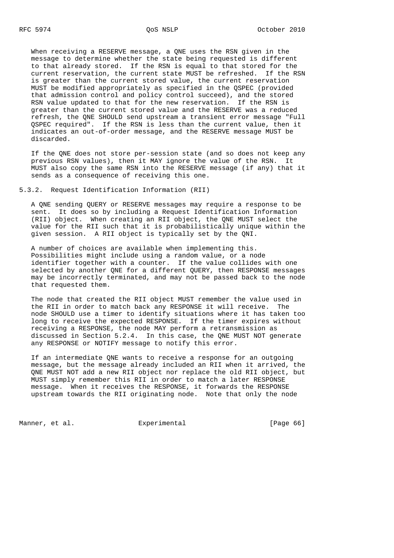When receiving a RESERVE message, a QNE uses the RSN given in the message to determine whether the state being requested is different to that already stored. If the RSN is equal to that stored for the current reservation, the current state MUST be refreshed. If the RSN is greater than the current stored value, the current reservation MUST be modified appropriately as specified in the QSPEC (provided that admission control and policy control succeed), and the stored RSN value updated to that for the new reservation. If the RSN is greater than the current stored value and the RESERVE was a reduced refresh, the QNE SHOULD send upstream a transient error message "Full QSPEC required". If the RSN is less than the current value, then it indicates an out-of-order message, and the RESERVE message MUST be discarded.

 If the QNE does not store per-session state (and so does not keep any previous RSN values), then it MAY ignore the value of the RSN. It MUST also copy the same RSN into the RESERVE message (if any) that it sends as a consequence of receiving this one.

5.3.2. Request Identification Information (RII)

 A QNE sending QUERY or RESERVE messages may require a response to be sent. It does so by including a Request Identification Information (RII) object. When creating an RII object, the QNE MUST select the value for the RII such that it is probabilistically unique within the given session. A RII object is typically set by the QNI.

 A number of choices are available when implementing this. Possibilities might include using a random value, or a node identifier together with a counter. If the value collides with one selected by another QNE for a different QUERY, then RESPONSE messages may be incorrectly terminated, and may not be passed back to the node that requested them.

 The node that created the RII object MUST remember the value used in the RII in order to match back any RESPONSE it will receive. The node SHOULD use a timer to identify situations where it has taken too long to receive the expected RESPONSE. If the timer expires without receiving a RESPONSE, the node MAY perform a retransmission as discussed in Section 5.2.4. In this case, the QNE MUST NOT generate any RESPONSE or NOTIFY message to notify this error.

 If an intermediate QNE wants to receive a response for an outgoing message, but the message already included an RII when it arrived, the QNE MUST NOT add a new RII object nor replace the old RII object, but MUST simply remember this RII in order to match a later RESPONSE message. When it receives the RESPONSE, it forwards the RESPONSE upstream towards the RII originating node. Note that only the node

Manner, et al. Experimental Experimental [Page 66]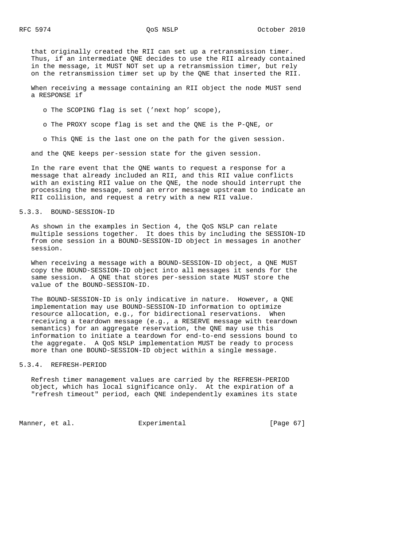that originally created the RII can set up a retransmission timer. Thus, if an intermediate QNE decides to use the RII already contained in the message, it MUST NOT set up a retransmission timer, but rely on the retransmission timer set up by the QNE that inserted the RII.

 When receiving a message containing an RII object the node MUST send a RESPONSE if

o The SCOPING flag is set ('next hop' scope),

o The PROXY scope flag is set and the QNE is the P-QNE, or

o This QNE is the last one on the path for the given session.

and the QNE keeps per-session state for the given session.

 In the rare event that the QNE wants to request a response for a message that already included an RII, and this RII value conflicts with an existing RII value on the QNE, the node should interrupt the processing the message, send an error message upstream to indicate an RII collision, and request a retry with a new RII value.

## 5.3.3. BOUND-SESSION-ID

 As shown in the examples in Section 4, the QoS NSLP can relate multiple sessions together. It does this by including the SESSION-ID from one session in a BOUND-SESSION-ID object in messages in another session.

 When receiving a message with a BOUND-SESSION-ID object, a QNE MUST copy the BOUND-SESSION-ID object into all messages it sends for the same session. A QNE that stores per-session state MUST store the value of the BOUND-SESSION-ID.

 The BOUND-SESSION-ID is only indicative in nature. However, a QNE implementation may use BOUND-SESSION-ID information to optimize resource allocation, e.g., for bidirectional reservations. When receiving a teardown message (e.g., a RESERVE message with teardown semantics) for an aggregate reservation, the QNE may use this information to initiate a teardown for end-to-end sessions bound to the aggregate. A QoS NSLP implementation MUST be ready to process more than one BOUND-SESSION-ID object within a single message.

## 5.3.4. REFRESH-PERIOD

 Refresh timer management values are carried by the REFRESH-PERIOD object, which has local significance only. At the expiration of a "refresh timeout" period, each QNE independently examines its state

Manner, et al. Experimental [Page 67]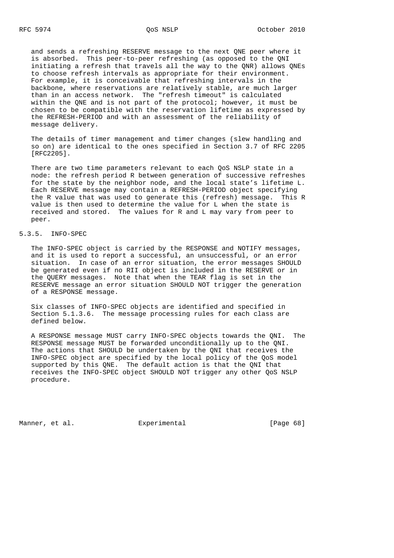and sends a refreshing RESERVE message to the next QNE peer where it is absorbed. This peer-to-peer refreshing (as opposed to the QNI initiating a refresh that travels all the way to the QNR) allows QNEs to choose refresh intervals as appropriate for their environment. For example, it is conceivable that refreshing intervals in the backbone, where reservations are relatively stable, are much larger than in an access network. The "refresh timeout" is calculated within the QNE and is not part of the protocol; however, it must be chosen to be compatible with the reservation lifetime as expressed by the REFRESH-PERIOD and with an assessment of the reliability of message delivery.

 The details of timer management and timer changes (slew handling and so on) are identical to the ones specified in Section 3.7 of RFC 2205 [RFC2205].

 There are two time parameters relevant to each QoS NSLP state in a node: the refresh period R between generation of successive refreshes for the state by the neighbor node, and the local state's lifetime L. Each RESERVE message may contain a REFRESH-PERIOD object specifying the R value that was used to generate this (refresh) message. This R value is then used to determine the value for L when the state is received and stored. The values for R and L may vary from peer to peer.

# 5.3.5. INFO-SPEC

 The INFO-SPEC object is carried by the RESPONSE and NOTIFY messages, and it is used to report a successful, an unsuccessful, or an error situation. In case of an error situation, the error messages SHOULD be generated even if no RII object is included in the RESERVE or in the QUERY messages. Note that when the TEAR flag is set in the RESERVE message an error situation SHOULD NOT trigger the generation of a RESPONSE message.

 Six classes of INFO-SPEC objects are identified and specified in Section 5.1.3.6. The message processing rules for each class are defined below.

 A RESPONSE message MUST carry INFO-SPEC objects towards the QNI. The RESPONSE message MUST be forwarded unconditionally up to the QNI. The actions that SHOULD be undertaken by the QNI that receives the INFO-SPEC object are specified by the local policy of the QoS model supported by this QNE. The default action is that the QNI that receives the INFO-SPEC object SHOULD NOT trigger any other QoS NSLP procedure.

Manner, et al.  $\Box$  Experimental [Page 68]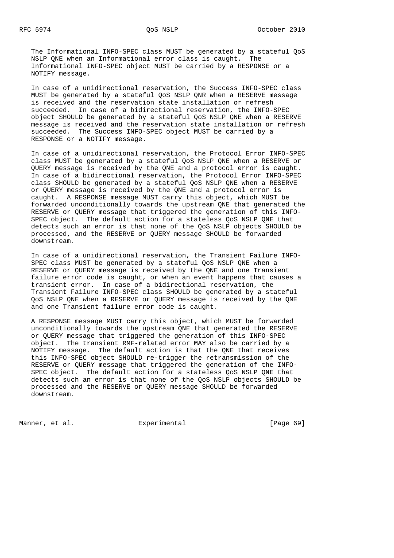The Informational INFO-SPEC class MUST be generated by a stateful QoS NSLP QNE when an Informational error class is caught. The Informational INFO-SPEC object MUST be carried by a RESPONSE or a NOTIFY message.

 In case of a unidirectional reservation, the Success INFO-SPEC class MUST be generated by a stateful QoS NSLP QNR when a RESERVE message is received and the reservation state installation or refresh succeeded. In case of a bidirectional reservation, the INFO-SPEC object SHOULD be generated by a stateful QoS NSLP QNE when a RESERVE message is received and the reservation state installation or refresh succeeded. The Success INFO-SPEC object MUST be carried by a RESPONSE or a NOTIFY message.

 In case of a unidirectional reservation, the Protocol Error INFO-SPEC class MUST be generated by a stateful QoS NSLP QNE when a RESERVE or QUERY message is received by the QNE and a protocol error is caught. In case of a bidirectional reservation, the Protocol Error INFO-SPEC class SHOULD be generated by a stateful QoS NSLP QNE when a RESERVE or QUERY message is received by the QNE and a protocol error is caught. A RESPONSE message MUST carry this object, which MUST be forwarded unconditionally towards the upstream QNE that generated the RESERVE or QUERY message that triggered the generation of this INFO- SPEC object. The default action for a stateless QoS NSLP QNE that detects such an error is that none of the QoS NSLP objects SHOULD be processed, and the RESERVE or QUERY message SHOULD be forwarded downstream.

 In case of a unidirectional reservation, the Transient Failure INFO- SPEC class MUST be generated by a stateful QoS NSLP QNE when a RESERVE or QUERY message is received by the QNE and one Transient failure error code is caught, or when an event happens that causes a transient error. In case of a bidirectional reservation, the Transient Failure INFO-SPEC class SHOULD be generated by a stateful QoS NSLP QNE when a RESERVE or QUERY message is received by the QNE and one Transient failure error code is caught.

 A RESPONSE message MUST carry this object, which MUST be forwarded unconditionally towards the upstream QNE that generated the RESERVE or QUERY message that triggered the generation of this INFO-SPEC object. The transient RMF-related error MAY also be carried by a NOTIFY message. The default action is that the QNE that receives this INFO-SPEC object SHOULD re-trigger the retransmission of the RESERVE or QUERY message that triggered the generation of the INFO- SPEC object. The default action for a stateless QoS NSLP QNE that detects such an error is that none of the QoS NSLP objects SHOULD be processed and the RESERVE or QUERY message SHOULD be forwarded downstream.

Manner, et al.  $\Box$  Experimental [Page 69]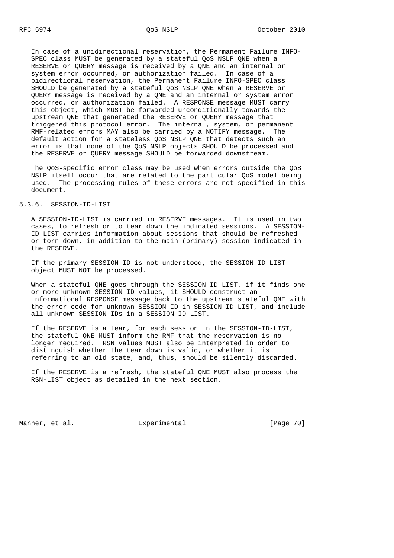In case of a unidirectional reservation, the Permanent Failure INFO- SPEC class MUST be generated by a stateful QoS NSLP QNE when a RESERVE or QUERY message is received by a QNE and an internal or system error occurred, or authorization failed. In case of a bidirectional reservation, the Permanent Failure INFO-SPEC class SHOULD be generated by a stateful QoS NSLP QNE when a RESERVE or QUERY message is received by a QNE and an internal or system error occurred, or authorization failed. A RESPONSE message MUST carry this object, which MUST be forwarded unconditionally towards the upstream QNE that generated the RESERVE or QUERY message that triggered this protocol error. The internal, system, or permanent RMF-related errors MAY also be carried by a NOTIFY message. The default action for a stateless QoS NSLP QNE that detects such an error is that none of the QoS NSLP objects SHOULD be processed and the RESERVE or QUERY message SHOULD be forwarded downstream.

 The QoS-specific error class may be used when errors outside the QoS NSLP itself occur that are related to the particular QoS model being used. The processing rules of these errors are not specified in this document.

# 5.3.6. SESSION-ID-LIST

 A SESSION-ID-LIST is carried in RESERVE messages. It is used in two cases, to refresh or to tear down the indicated sessions. A SESSION- ID-LIST carries information about sessions that should be refreshed or torn down, in addition to the main (primary) session indicated in the RESERVE.

 If the primary SESSION-ID is not understood, the SESSION-ID-LIST object MUST NOT be processed.

 When a stateful QNE goes through the SESSION-ID-LIST, if it finds one or more unknown SESSION-ID values, it SHOULD construct an informational RESPONSE message back to the upstream stateful QNE with the error code for unknown SESSION-ID in SESSION-ID-LIST, and include all unknown SESSION-IDs in a SESSION-ID-LIST.

 If the RESERVE is a tear, for each session in the SESSION-ID-LIST, the stateful QNE MUST inform the RMF that the reservation is no longer required. RSN values MUST also be interpreted in order to distinguish whether the tear down is valid, or whether it is referring to an old state, and, thus, should be silently discarded.

 If the RESERVE is a refresh, the stateful QNE MUST also process the RSN-LIST object as detailed in the next section.

Manner, et al. Experimental [Page 70]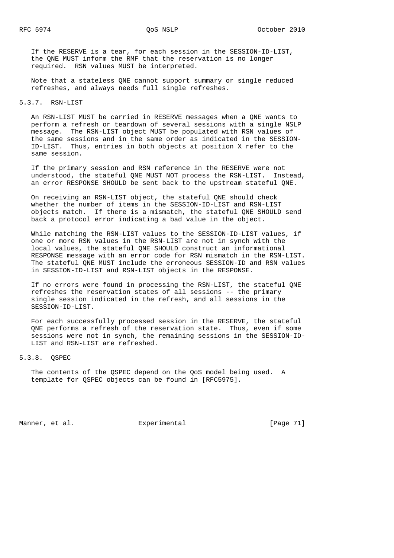If the RESERVE is a tear, for each session in the SESSION-ID-LIST, the QNE MUST inform the RMF that the reservation is no longer required. RSN values MUST be interpreted.

 Note that a stateless QNE cannot support summary or single reduced refreshes, and always needs full single refreshes.

5.3.7. RSN-LIST

 An RSN-LIST MUST be carried in RESERVE messages when a QNE wants to perform a refresh or teardown of several sessions with a single NSLP message. The RSN-LIST object MUST be populated with RSN values of the same sessions and in the same order as indicated in the SESSION- ID-LIST. Thus, entries in both objects at position X refer to the same session.

 If the primary session and RSN reference in the RESERVE were not understood, the stateful QNE MUST NOT process the RSN-LIST. Instead, an error RESPONSE SHOULD be sent back to the upstream stateful QNE.

 On receiving an RSN-LIST object, the stateful QNE should check whether the number of items in the SESSION-ID-LIST and RSN-LIST objects match. If there is a mismatch, the stateful QNE SHOULD send back a protocol error indicating a bad value in the object.

 While matching the RSN-LIST values to the SESSION-ID-LIST values, if one or more RSN values in the RSN-LIST are not in synch with the local values, the stateful QNE SHOULD construct an informational RESPONSE message with an error code for RSN mismatch in the RSN-LIST. The stateful QNE MUST include the erroneous SESSION-ID and RSN values in SESSION-ID-LIST and RSN-LIST objects in the RESPONSE.

 If no errors were found in processing the RSN-LIST, the stateful QNE refreshes the reservation states of all sessions -- the primary single session indicated in the refresh, and all sessions in the SESSION-ID-LIST.

 For each successfully processed session in the RESERVE, the stateful QNE performs a refresh of the reservation state. Thus, even if some sessions were not in synch, the remaining sessions in the SESSION-ID- LIST and RSN-LIST are refreshed.

5.3.8. QSPEC

 The contents of the QSPEC depend on the QoS model being used. A template for QSPEC objects can be found in [RFC5975].

Manner, et al. Experimental [Page 71]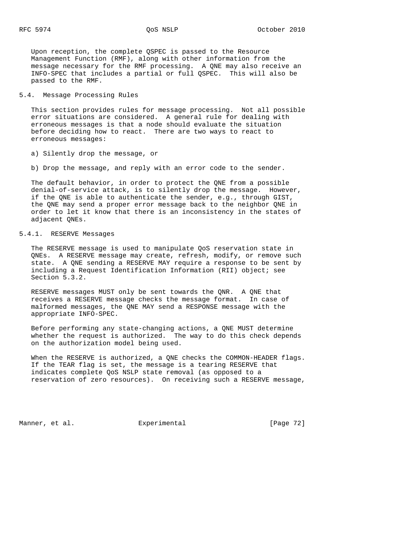Upon reception, the complete QSPEC is passed to the Resource Management Function (RMF), along with other information from the message necessary for the RMF processing. A QNE may also receive an INFO-SPEC that includes a partial or full QSPEC. This will also be passed to the RMF.

## 5.4. Message Processing Rules

 This section provides rules for message processing. Not all possible error situations are considered. A general rule for dealing with erroneous messages is that a node should evaluate the situation before deciding how to react. There are two ways to react to erroneous messages:

a) Silently drop the message, or

b) Drop the message, and reply with an error code to the sender.

 The default behavior, in order to protect the QNE from a possible denial-of-service attack, is to silently drop the message. However, if the QNE is able to authenticate the sender, e.g., through GIST, the QNE may send a proper error message back to the neighbor QNE in order to let it know that there is an inconsistency in the states of adjacent QNEs.

# 5.4.1. RESERVE Messages

 The RESERVE message is used to manipulate QoS reservation state in QNEs. A RESERVE message may create, refresh, modify, or remove such state. A QNE sending a RESERVE MAY require a response to be sent by including a Request Identification Information (RII) object; see Section 5.3.2.

 RESERVE messages MUST only be sent towards the QNR. A QNE that receives a RESERVE message checks the message format. In case of malformed messages, the QNE MAY send a RESPONSE message with the appropriate INFO-SPEC.

 Before performing any state-changing actions, a QNE MUST determine whether the request is authorized. The way to do this check depends on the authorization model being used.

 When the RESERVE is authorized, a QNE checks the COMMON-HEADER flags. If the TEAR flag is set, the message is a tearing RESERVE that indicates complete QoS NSLP state removal (as opposed to a reservation of zero resources). On receiving such a RESERVE message,

Manner, et al. Experimental [Page 72]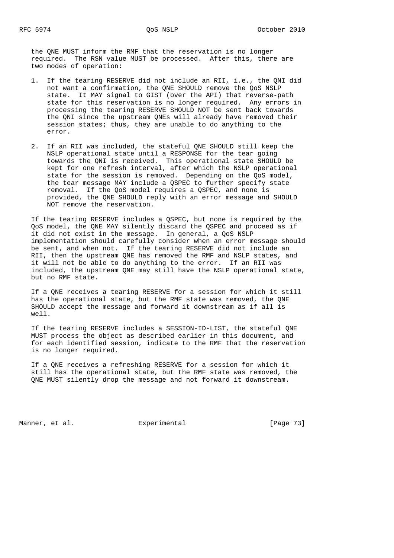the QNE MUST inform the RMF that the reservation is no longer required. The RSN value MUST be processed. After this, there are two modes of operation:

- 1. If the tearing RESERVE did not include an RII, i.e., the QNI did not want a confirmation, the QNE SHOULD remove the QoS NSLP state. It MAY signal to GIST (over the API) that reverse-path state for this reservation is no longer required. Any errors in processing the tearing RESERVE SHOULD NOT be sent back towards the QNI since the upstream QNEs will already have removed their session states; thus, they are unable to do anything to the error.
- 2. If an RII was included, the stateful QNE SHOULD still keep the NSLP operational state until a RESPONSE for the tear going towards the QNI is received. This operational state SHOULD be kept for one refresh interval, after which the NSLP operational state for the session is removed. Depending on the QoS model, the tear message MAY include a QSPEC to further specify state removal. If the QoS model requires a QSPEC, and none is provided, the QNE SHOULD reply with an error message and SHOULD NOT remove the reservation.

 If the tearing RESERVE includes a QSPEC, but none is required by the QoS model, the QNE MAY silently discard the QSPEC and proceed as if it did not exist in the message. In general, a QoS NSLP implementation should carefully consider when an error message should be sent, and when not. If the tearing RESERVE did not include an RII, then the upstream QNE has removed the RMF and NSLP states, and it will not be able to do anything to the error. If an RII was included, the upstream QNE may still have the NSLP operational state, but no RMF state.

 If a QNE receives a tearing RESERVE for a session for which it still has the operational state, but the RMF state was removed, the QNE SHOULD accept the message and forward it downstream as if all is well.

 If the tearing RESERVE includes a SESSION-ID-LIST, the stateful QNE MUST process the object as described earlier in this document, and for each identified session, indicate to the RMF that the reservation is no longer required.

 If a QNE receives a refreshing RESERVE for a session for which it still has the operational state, but the RMF state was removed, the QNE MUST silently drop the message and not forward it downstream.

Manner, et al. Experimental [Page 73]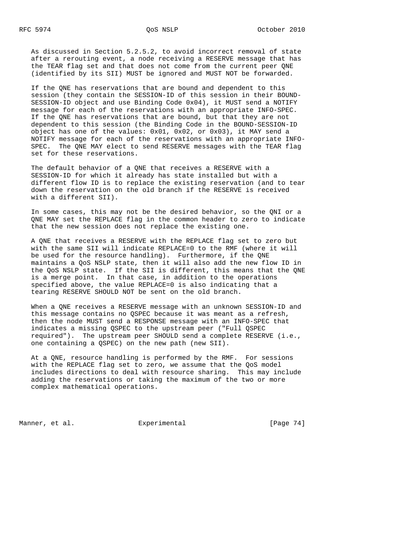As discussed in Section 5.2.5.2, to avoid incorrect removal of state after a rerouting event, a node receiving a RESERVE message that has the TEAR flag set and that does not come from the current peer QNE (identified by its SII) MUST be ignored and MUST NOT be forwarded.

 If the QNE has reservations that are bound and dependent to this session (they contain the SESSION-ID of this session in their BOUND- SESSION-ID object and use Binding Code 0x04), it MUST send a NOTIFY message for each of the reservations with an appropriate INFO-SPEC. If the QNE has reservations that are bound, but that they are not dependent to this session (the Binding Code in the BOUND-SESSION-ID object has one of the values: 0x01, 0x02, or 0x03), it MAY send a NOTIFY message for each of the reservations with an appropriate INFO- SPEC. The QNE MAY elect to send RESERVE messages with the TEAR flag set for these reservations.

 The default behavior of a QNE that receives a RESERVE with a SESSION-ID for which it already has state installed but with a different flow ID is to replace the existing reservation (and to tear down the reservation on the old branch if the RESERVE is received with a different SII).

 In some cases, this may not be the desired behavior, so the QNI or a QNE MAY set the REPLACE flag in the common header to zero to indicate that the new session does not replace the existing one.

 A QNE that receives a RESERVE with the REPLACE flag set to zero but with the same SII will indicate REPLACE=0 to the RMF (where it will be used for the resource handling). Furthermore, if the QNE maintains a QoS NSLP state, then it will also add the new flow ID in the QoS NSLP state. If the SII is different, this means that the QNE is a merge point. In that case, in addition to the operations specified above, the value REPLACE=0 is also indicating that a tearing RESERVE SHOULD NOT be sent on the old branch.

 When a QNE receives a RESERVE message with an unknown SESSION-ID and this message contains no QSPEC because it was meant as a refresh, then the node MUST send a RESPONSE message with an INFO-SPEC that indicates a missing QSPEC to the upstream peer ("Full QSPEC required"). The upstream peer SHOULD send a complete RESERVE (i.e., one containing a QSPEC) on the new path (new SII).

 At a QNE, resource handling is performed by the RMF. For sessions with the REPLACE flag set to zero, we assume that the QoS model includes directions to deal with resource sharing. This may include adding the reservations or taking the maximum of the two or more complex mathematical operations.

Manner, et al. Experimental Experimental [Page 74]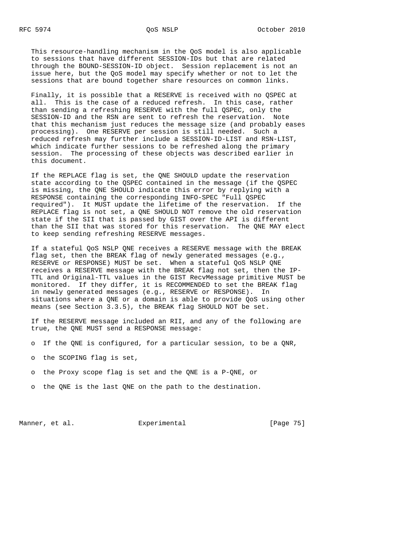This resource-handling mechanism in the QoS model is also applicable to sessions that have different SESSION-IDs but that are related through the BOUND-SESSION-ID object. Session replacement is not an issue here, but the QoS model may specify whether or not to let the sessions that are bound together share resources on common links.

 Finally, it is possible that a RESERVE is received with no QSPEC at all. This is the case of a reduced refresh. In this case, rather than sending a refreshing RESERVE with the full QSPEC, only the SESSION-ID and the RSN are sent to refresh the reservation. Note that this mechanism just reduces the message size (and probably eases processing). One RESERVE per session is still needed. Such a reduced refresh may further include a SESSION-ID-LIST and RSN-LIST, which indicate further sessions to be refreshed along the primary session. The processing of these objects was described earlier in this document.

 If the REPLACE flag is set, the QNE SHOULD update the reservation state according to the QSPEC contained in the message (if the QSPEC is missing, the QNE SHOULD indicate this error by replying with a RESPONSE containing the corresponding INFO-SPEC "Full QSPEC required"). It MUST update the lifetime of the reservation. If the REPLACE flag is not set, a QNE SHOULD NOT remove the old reservation state if the SII that is passed by GIST over the API is different than the SII that was stored for this reservation. The QNE MAY elect to keep sending refreshing RESERVE messages.

 If a stateful QoS NSLP QNE receives a RESERVE message with the BREAK flag set, then the BREAK flag of newly generated messages (e.g., RESERVE or RESPONSE) MUST be set. When a stateful QoS NSLP QNE receives a RESERVE message with the BREAK flag not set, then the IP- TTL and Original-TTL values in the GIST RecvMessage primitive MUST be monitored. If they differ, it is RECOMMENDED to set the BREAK flag in newly generated messages (e.g., RESERVE or RESPONSE). In situations where a QNE or a domain is able to provide QoS using other means (see Section 3.3.5), the BREAK flag SHOULD NOT be set.

 If the RESERVE message included an RII, and any of the following are true, the QNE MUST send a RESPONSE message:

- o If the QNE is configured, for a particular session, to be a QNR,
- o the SCOPING flag is set,
- o the Proxy scope flag is set and the QNE is a P-QNE, or
- o the QNE is the last QNE on the path to the destination.

Manner, et al. **Experimental** [Page 75]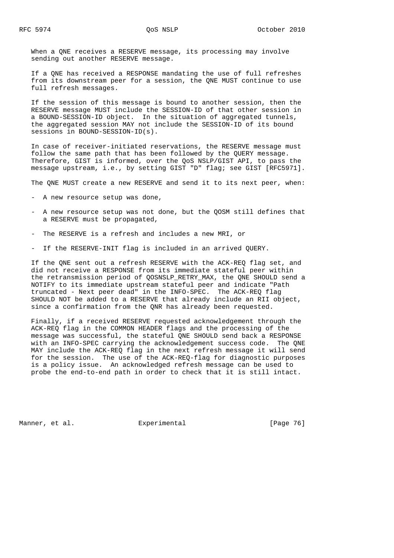When a QNE receives a RESERVE message, its processing may involve sending out another RESERVE message.

 If a QNE has received a RESPONSE mandating the use of full refreshes from its downstream peer for a session, the QNE MUST continue to use full refresh messages.

 If the session of this message is bound to another session, then the RESERVE message MUST include the SESSION-ID of that other session in a BOUND-SESSION-ID object. In the situation of aggregated tunnels, the aggregated session MAY not include the SESSION-ID of its bound sessions in BOUND-SESSION-ID(s).

 In case of receiver-initiated reservations, the RESERVE message must follow the same path that has been followed by the QUERY message. Therefore, GIST is informed, over the QoS NSLP/GIST API, to pass the message upstream, i.e., by setting GIST "D" flag; see GIST [RFC5971].

The QNE MUST create a new RESERVE and send it to its next peer, when:

- A new resource setup was done,
- A new resource setup was not done, but the QOSM still defines that a RESERVE must be propagated,
- The RESERVE is a refresh and includes a new MRI, or
- If the RESERVE-INIT flag is included in an arrived QUERY.

 If the QNE sent out a refresh RESERVE with the ACK-REQ flag set, and did not receive a RESPONSE from its immediate stateful peer within the retransmission period of QOSNSLP\_RETRY\_MAX, the QNE SHOULD send a NOTIFY to its immediate upstream stateful peer and indicate "Path truncated - Next peer dead" in the INFO-SPEC. The ACK-REQ flag SHOULD NOT be added to a RESERVE that already include an RII object, since a confirmation from the QNR has already been requested.

 Finally, if a received RESERVE requested acknowledgement through the ACK-REQ flag in the COMMON HEADER flags and the processing of the message was successful, the stateful QNE SHOULD send back a RESPONSE with an INFO-SPEC carrying the acknowledgement success code. The QNE MAY include the ACK-REQ flag in the next refresh message it will send for the session. The use of the ACK-REQ-flag for diagnostic purposes is a policy issue. An acknowledged refresh message can be used to probe the end-to-end path in order to check that it is still intact.

Manner, et al. **Experimental** [Page 76]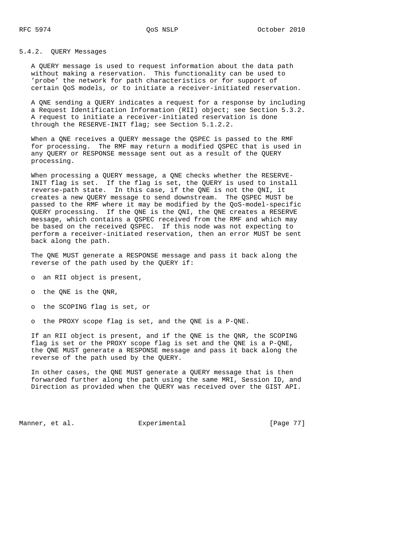#### 5.4.2. QUERY Messages

 A QUERY message is used to request information about the data path without making a reservation. This functionality can be used to 'probe' the network for path characteristics or for support of certain QoS models, or to initiate a receiver-initiated reservation.

 A QNE sending a QUERY indicates a request for a response by including a Request Identification Information (RII) object; see Section 5.3.2. A request to initiate a receiver-initiated reservation is done through the RESERVE-INIT flag; see Section 5.1.2.2.

 When a QNE receives a QUERY message the QSPEC is passed to the RMF for processing. The RMF may return a modified QSPEC that is used in any QUERY or RESPONSE message sent out as a result of the QUERY processing.

When processing a QUERY message, a QNE checks whether the RESERVE- INIT flag is set. If the flag is set, the QUERY is used to install reverse-path state. In this case, if the QNE is not the QNI, it creates a new QUERY message to send downstream. The QSPEC MUST be passed to the RMF where it may be modified by the QoS-model-specific QUERY processing. If the QNE is the QNI, the QNE creates a RESERVE message, which contains a QSPEC received from the RMF and which may be based on the received QSPEC. If this node was not expecting to perform a receiver-initiated reservation, then an error MUST be sent back along the path.

 The QNE MUST generate a RESPONSE message and pass it back along the reverse of the path used by the QUERY if:

- o an RII object is present,
- o the QNE is the QNR,
- o the SCOPING flag is set, or

o the PROXY scope flag is set, and the QNE is a P-QNE.

 If an RII object is present, and if the QNE is the QNR, the SCOPING flag is set or the PROXY scope flag is set and the QNE is a P-QNE, the QNE MUST generate a RESPONSE message and pass it back along the reverse of the path used by the QUERY.

 In other cases, the QNE MUST generate a QUERY message that is then forwarded further along the path using the same MRI, Session ID, and Direction as provided when the QUERY was received over the GIST API.

Manner, et al. Experimental [Page 77]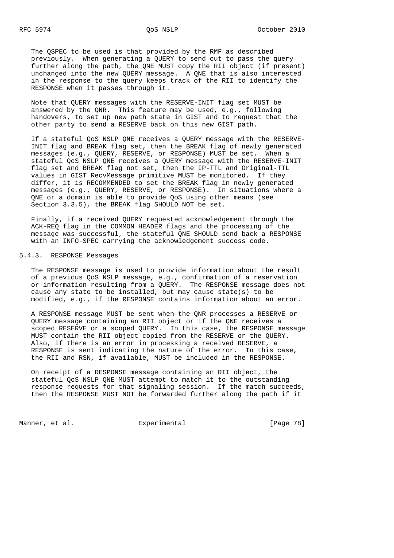The QSPEC to be used is that provided by the RMF as described previously. When generating a QUERY to send out to pass the query further along the path, the QNE MUST copy the RII object (if present) unchanged into the new QUERY message. A QNE that is also interested in the response to the query keeps track of the RII to identify the RESPONSE when it passes through it.

 Note that QUERY messages with the RESERVE-INIT flag set MUST be answered by the QNR. This feature may be used, e.g., following handovers, to set up new path state in GIST and to request that the other party to send a RESERVE back on this new GIST path.

 If a stateful QoS NSLP QNE receives a QUERY message with the RESERVE- INIT flag and BREAK flag set, then the BREAK flag of newly generated messages (e.g., QUERY, RESERVE, or RESPONSE) MUST be set. When a stateful QoS NSLP QNE receives a QUERY message with the RESERVE-INIT flag set and BREAK flag not set, then the IP-TTL and Original-TTL values in GIST RecvMessage primitive MUST be monitored. If they differ, it is RECOMMENDED to set the BREAK flag in newly generated messages (e.g., QUERY, RESERVE, or RESPONSE). In situations where a QNE or a domain is able to provide QoS using other means (see Section 3.3.5), the BREAK flag SHOULD NOT be set.

 Finally, if a received QUERY requested acknowledgement through the ACK-REQ flag in the COMMON HEADER flags and the processing of the message was successful, the stateful QNE SHOULD send back a RESPONSE with an INFO-SPEC carrying the acknowledgement success code.

### 5.4.3. RESPONSE Messages

 The RESPONSE message is used to provide information about the result of a previous QoS NSLP message, e.g., confirmation of a reservation or information resulting from a QUERY. The RESPONSE message does not cause any state to be installed, but may cause state(s) to be modified, e.g., if the RESPONSE contains information about an error.

 A RESPONSE message MUST be sent when the QNR processes a RESERVE or QUERY message containing an RII object or if the QNE receives a scoped RESERVE or a scoped QUERY. In this case, the RESPONSE message MUST contain the RII object copied from the RESERVE or the QUERY. Also, if there is an error in processing a received RESERVE, a RESPONSE is sent indicating the nature of the error. In this case, the RII and RSN, if available, MUST be included in the RESPONSE.

 On receipt of a RESPONSE message containing an RII object, the stateful QoS NSLP QNE MUST attempt to match it to the outstanding response requests for that signaling session. If the match succeeds, then the RESPONSE MUST NOT be forwarded further along the path if it

Manner, et al. Experimental Experimental [Page 78]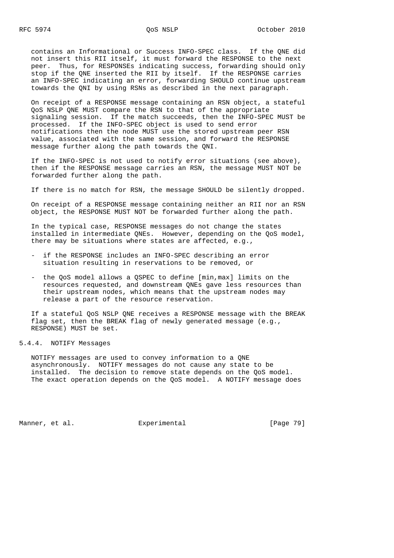contains an Informational or Success INFO-SPEC class. If the QNE did not insert this RII itself, it must forward the RESPONSE to the next peer. Thus, for RESPONSEs indicating success, forwarding should only stop if the QNE inserted the RII by itself. If the RESPONSE carries an INFO-SPEC indicating an error, forwarding SHOULD continue upstream towards the QNI by using RSNs as described in the next paragraph.

 On receipt of a RESPONSE message containing an RSN object, a stateful QoS NSLP QNE MUST compare the RSN to that of the appropriate signaling session. If the match succeeds, then the INFO-SPEC MUST be processed. If the INFO-SPEC object is used to send error notifications then the node MUST use the stored upstream peer RSN value, associated with the same session, and forward the RESPONSE message further along the path towards the QNI.

 If the INFO-SPEC is not used to notify error situations (see above), then if the RESPONSE message carries an RSN, the message MUST NOT be forwarded further along the path.

If there is no match for RSN, the message SHOULD be silently dropped.

 On receipt of a RESPONSE message containing neither an RII nor an RSN object, the RESPONSE MUST NOT be forwarded further along the path.

 In the typical case, RESPONSE messages do not change the states installed in intermediate QNEs. However, depending on the QoS model, there may be situations where states are affected, e.g.,

- if the RESPONSE includes an INFO-SPEC describing an error situation resulting in reservations to be removed, or
- the QoS model allows a QSPEC to define [min,max] limits on the resources requested, and downstream QNEs gave less resources than their upstream nodes, which means that the upstream nodes may release a part of the resource reservation.

 If a stateful QoS NSLP QNE receives a RESPONSE message with the BREAK flag set, then the BREAK flag of newly generated message (e.g., RESPONSE) MUST be set.

### 5.4.4. NOTIFY Messages

 NOTIFY messages are used to convey information to a QNE asynchronously. NOTIFY messages do not cause any state to be installed. The decision to remove state depends on the QoS model. The exact operation depends on the QoS model. A NOTIFY message does

Manner, et al.  $\Box$  Experimental [Page 79]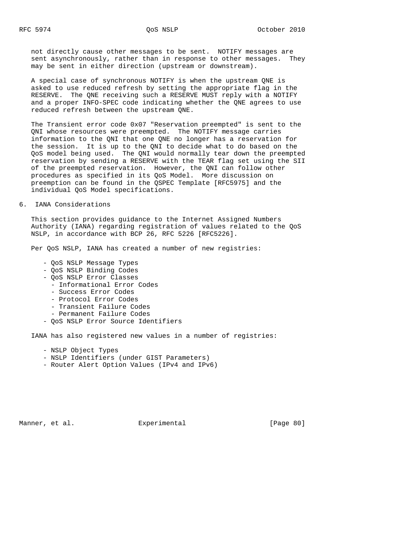not directly cause other messages to be sent. NOTIFY messages are sent asynchronously, rather than in response to other messages. They may be sent in either direction (upstream or downstream).

 A special case of synchronous NOTIFY is when the upstream QNE is asked to use reduced refresh by setting the appropriate flag in the RESERVE. The QNE receiving such a RESERVE MUST reply with a NOTIFY and a proper INFO-SPEC code indicating whether the QNE agrees to use reduced refresh between the upstream QNE.

 The Transient error code 0x07 "Reservation preempted" is sent to the QNI whose resources were preempted. The NOTIFY message carries information to the QNI that one QNE no longer has a reservation for the session. It is up to the QNI to decide what to do based on the QoS model being used. The QNI would normally tear down the preempted reservation by sending a RESERVE with the TEAR flag set using the SII of the preempted reservation. However, the QNI can follow other procedures as specified in its QoS Model. More discussion on preemption can be found in the QSPEC Template [RFC5975] and the individual QoS Model specifications.

#### 6. IANA Considerations

 This section provides guidance to the Internet Assigned Numbers Authority (IANA) regarding registration of values related to the QoS NSLP, in accordance with BCP 26, RFC 5226 [RFC5226].

Per QoS NSLP, IANA has created a number of new registries:

- QoS NSLP Message Types
- QoS NSLP Binding Codes
- QoS NSLP Error Classes
	- Informational Error Codes
	- Success Error Codes
	- Protocol Error Codes
	- Transient Failure Codes
	- Permanent Failure Codes
- QoS NSLP Error Source Identifiers

IANA has also registered new values in a number of registries:

- NSLP Object Types
- NSLP Identifiers (under GIST Parameters)
- Router Alert Option Values (IPv4 and IPv6)

Manner, et al.  $\Box$  Experimental [Page 80]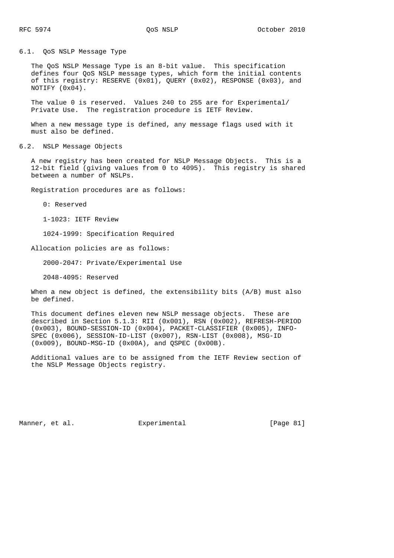6.1. QoS NSLP Message Type

 The QoS NSLP Message Type is an 8-bit value. This specification defines four QoS NSLP message types, which form the initial contents of this registry: RESERVE (0x01), QUERY (0x02), RESPONSE (0x03), and NOTIFY (0x04).

 The value 0 is reserved. Values 240 to 255 are for Experimental/ Private Use. The registration procedure is IETF Review.

 When a new message type is defined, any message flags used with it must also be defined.

6.2. NSLP Message Objects

 A new registry has been created for NSLP Message Objects. This is a 12-bit field (giving values from 0 to 4095). This registry is shared between a number of NSLPs.

Registration procedures are as follows:

0: Reserved

1-1023: IETF Review

1024-1999: Specification Required

Allocation policies are as follows:

2000-2047: Private/Experimental Use

2048-4095: Reserved

 When a new object is defined, the extensibility bits (A/B) must also be defined.

 This document defines eleven new NSLP message objects. These are described in Section 5.1.3: RII (0x001), RSN (0x002), REFRESH-PERIOD (0x003), BOUND-SESSION-ID (0x004), PACKET-CLASSIFIER (0x005), INFO- SPEC (0x006), SESSION-ID-LIST (0x007), RSN-LIST (0x008), MSG-ID (0x009), BOUND-MSG-ID (0x00A), and QSPEC (0x00B).

 Additional values are to be assigned from the IETF Review section of the NSLP Message Objects registry.

Manner, et al. **Experimental** [Page 81]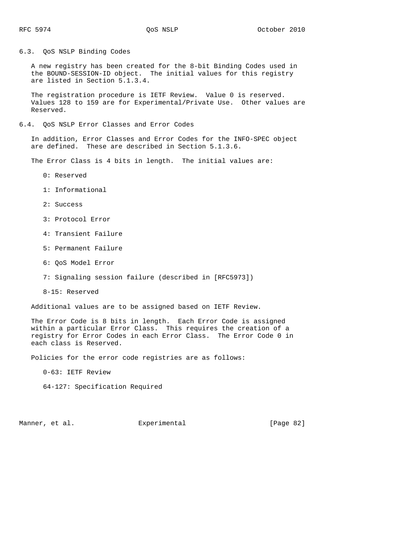6.3. QoS NSLP Binding Codes

 A new registry has been created for the 8-bit Binding Codes used in the BOUND-SESSION-ID object. The initial values for this registry are listed in Section 5.1.3.4.

 The registration procedure is IETF Review. Value 0 is reserved. Values 128 to 159 are for Experimental/Private Use. Other values are Reserved.

#### 6.4. QoS NSLP Error Classes and Error Codes

 In addition, Error Classes and Error Codes for the INFO-SPEC object are defined. These are described in Section 5.1.3.6.

The Error Class is 4 bits in length. The initial values are:

- 0: Reserved
- 1: Informational
- 2: Success
- 3: Protocol Error
- 4: Transient Failure
- 5: Permanent Failure
- 6: QoS Model Error
- 7: Signaling session failure (described in [RFC5973])
- 8-15: Reserved

Additional values are to be assigned based on IETF Review.

 The Error Code is 8 bits in length. Each Error Code is assigned within a particular Error Class. This requires the creation of a registry for Error Codes in each Error Class. The Error Code 0 in each class is Reserved.

Policies for the error code registries are as follows:

0-63: IETF Review

64-127: Specification Required

Manner, et al. Experimental Experimental [Page 82]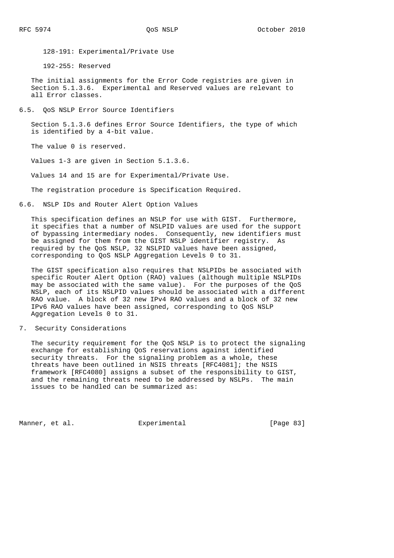128-191: Experimental/Private Use

192-255: Reserved

 The initial assignments for the Error Code registries are given in Section 5.1.3.6. Experimental and Reserved values are relevant to all Error classes.

6.5. QoS NSLP Error Source Identifiers

 Section 5.1.3.6 defines Error Source Identifiers, the type of which is identified by a 4-bit value.

The value 0 is reserved.

Values 1-3 are given in Section 5.1.3.6.

Values 14 and 15 are for Experimental/Private Use.

The registration procedure is Specification Required.

6.6. NSLP IDs and Router Alert Option Values

 This specification defines an NSLP for use with GIST. Furthermore, it specifies that a number of NSLPID values are used for the support of bypassing intermediary nodes. Consequently, new identifiers must be assigned for them from the GIST NSLP identifier registry. As required by the QoS NSLP, 32 NSLPID values have been assigned, corresponding to QoS NSLP Aggregation Levels 0 to 31.

 The GIST specification also requires that NSLPIDs be associated with specific Router Alert Option (RAO) values (although multiple NSLPIDs may be associated with the same value). For the purposes of the QoS NSLP, each of its NSLPID values should be associated with a different RAO value. A block of 32 new IPv4 RAO values and a block of 32 new IPv6 RAO values have been assigned, corresponding to QoS NSLP Aggregation Levels 0 to 31.

7. Security Considerations

 The security requirement for the QoS NSLP is to protect the signaling exchange for establishing QoS reservations against identified security threats. For the signaling problem as a whole, these threats have been outlined in NSIS threats [RFC4081]; the NSIS framework [RFC4080] assigns a subset of the responsibility to GIST, and the remaining threats need to be addressed by NSLPs. The main issues to be handled can be summarized as:

Manner, et al. **Experimental** [Page 83]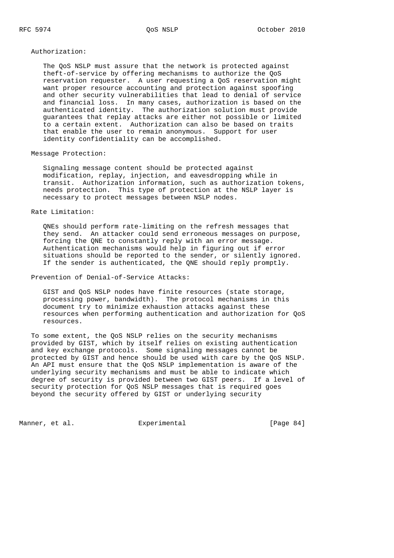Authorization:

 The QoS NSLP must assure that the network is protected against theft-of-service by offering mechanisms to authorize the QoS reservation requester. A user requesting a QoS reservation might want proper resource accounting and protection against spoofing and other security vulnerabilities that lead to denial of service and financial loss. In many cases, authorization is based on the authenticated identity. The authorization solution must provide guarantees that replay attacks are either not possible or limited to a certain extent. Authorization can also be based on traits that enable the user to remain anonymous. Support for user identity confidentiality can be accomplished.

## Message Protection:

 Signaling message content should be protected against modification, replay, injection, and eavesdropping while in transit. Authorization information, such as authorization tokens, needs protection. This type of protection at the NSLP layer is necessary to protect messages between NSLP nodes.

Rate Limitation:

 QNEs should perform rate-limiting on the refresh messages that they send. An attacker could send erroneous messages on purpose, forcing the QNE to constantly reply with an error message. Authentication mechanisms would help in figuring out if error situations should be reported to the sender, or silently ignored. If the sender is authenticated, the QNE should reply promptly.

Prevention of Denial-of-Service Attacks:

 GIST and QoS NSLP nodes have finite resources (state storage, processing power, bandwidth). The protocol mechanisms in this document try to minimize exhaustion attacks against these resources when performing authentication and authorization for QoS resources.

 To some extent, the QoS NSLP relies on the security mechanisms provided by GIST, which by itself relies on existing authentication and key exchange protocols. Some signaling messages cannot be protected by GIST and hence should be used with care by the QoS NSLP. An API must ensure that the QoS NSLP implementation is aware of the underlying security mechanisms and must be able to indicate which degree of security is provided between two GIST peers. If a level of security protection for QoS NSLP messages that is required goes beyond the security offered by GIST or underlying security

Manner, et al.  $\Box$  Experimental [Page 84]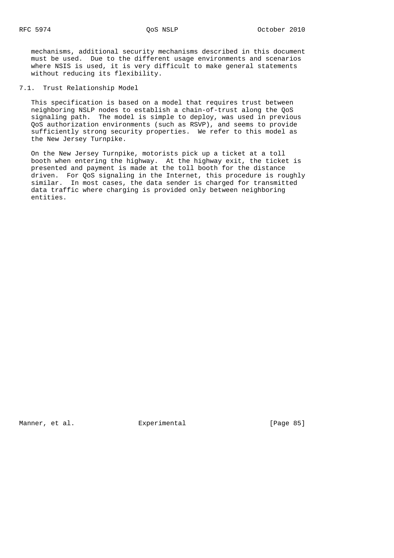mechanisms, additional security mechanisms described in this document must be used. Due to the different usage environments and scenarios where NSIS is used, it is very difficult to make general statements without reducing its flexibility.

7.1. Trust Relationship Model

 This specification is based on a model that requires trust between neighboring NSLP nodes to establish a chain-of-trust along the QoS signaling path. The model is simple to deploy, was used in previous QoS authorization environments (such as RSVP), and seems to provide sufficiently strong security properties. We refer to this model as the New Jersey Turnpike.

 On the New Jersey Turnpike, motorists pick up a ticket at a toll booth when entering the highway. At the highway exit, the ticket is presented and payment is made at the toll booth for the distance driven. For QoS signaling in the Internet, this procedure is roughly similar. In most cases, the data sender is charged for transmitted data traffic where charging is provided only between neighboring entities.

Manner, et al. **Experimental** [Page 85]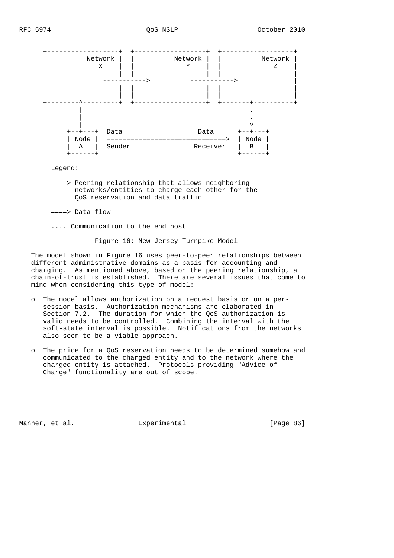

Legend:

 ----> Peering relationship that allows neighboring networks/entities to charge each other for the QoS reservation and data traffic

====> Data flow

.... Communication to the end host

Figure 16: New Jersey Turnpike Model

 The model shown in Figure 16 uses peer-to-peer relationships between different administrative domains as a basis for accounting and charging. As mentioned above, based on the peering relationship, a chain-of-trust is established. There are several issues that come to mind when considering this type of model:

- o The model allows authorization on a request basis or on a per session basis. Authorization mechanisms are elaborated in Section 7.2. The duration for which the QoS authorization is valid needs to be controlled. Combining the interval with the soft-state interval is possible. Notifications from the networks also seem to be a viable approach.
- o The price for a QoS reservation needs to be determined somehow and communicated to the charged entity and to the network where the charged entity is attached. Protocols providing "Advice of Charge" functionality are out of scope.

Manner, et al. **Experimental** [Page 86]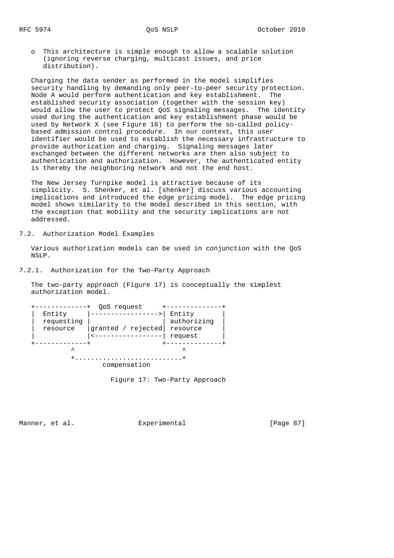o This architecture is simple enough to allow a scalable solution (ignoring reverse charging, multicast issues, and price distribution).

 Charging the data sender as performed in the model simplifies security handling by demanding only peer-to-peer security protection. Node A would perform authentication and key establishment. The established security association (together with the session key) would allow the user to protect QoS signaling messages. The identity used during the authentication and key establishment phase would be used by Network X (see Figure 16) to perform the so-called policy based admission control procedure. In our context, this user identifier would be used to establish the necessary infrastructure to provide authorization and charging. Signaling messages later exchanged between the different networks are then also subject to authentication and authorization. However, the authenticated entity is thereby the neighboring network and not the end host.

 The New Jersey Turnpike model is attractive because of its simplicity. S. Shenker, et al. [shenker] discuss various accounting implications and introduced the edge pricing model. The edge pricing model shows similarity to the model described in this section, with the exception that mobility and the security implications are not addressed.

7.2. Authorization Model Examples

 Various authorization models can be used in conjunction with the QoS NSLP.

7.2.1. Authorization for the Two-Party Approach

 The two-party approach (Figure 17) is conceptually the simplest authorization model.

| QoS request  |                    |             |  |  |  |  |  |
|--------------|--------------------|-------------|--|--|--|--|--|
| Entity       |                    | Entity      |  |  |  |  |  |
| requesting   |                    | authorizing |  |  |  |  |  |
| resource     | granted / rejected | resource    |  |  |  |  |  |
|              |                    | request     |  |  |  |  |  |
|              |                    |             |  |  |  |  |  |
| ᄉ            |                    | ᄉ           |  |  |  |  |  |
|              |                    |             |  |  |  |  |  |
| compensation |                    |             |  |  |  |  |  |
|              |                    |             |  |  |  |  |  |

Figure 17: Two-Party Approach

Manner, et al. **Experimental** [Page 87]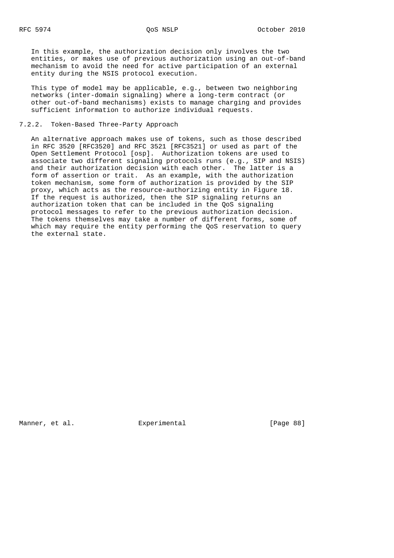In this example, the authorization decision only involves the two entities, or makes use of previous authorization using an out-of-band mechanism to avoid the need for active participation of an external entity during the NSIS protocol execution.

 This type of model may be applicable, e.g., between two neighboring networks (inter-domain signaling) where a long-term contract (or other out-of-band mechanisms) exists to manage charging and provides sufficient information to authorize individual requests.

## 7.2.2. Token-Based Three-Party Approach

 An alternative approach makes use of tokens, such as those described in RFC 3520 [RFC3520] and RFC 3521 [RFC3521] or used as part of the Open Settlement Protocol [osp]. Authorization tokens are used to associate two different signaling protocols runs (e.g., SIP and NSIS) and their authorization decision with each other. The latter is a form of assertion or trait. As an example, with the authorization token mechanism, some form of authorization is provided by the SIP proxy, which acts as the resource-authorizing entity in Figure 18. If the request is authorized, then the SIP signaling returns an authorization token that can be included in the QoS signaling protocol messages to refer to the previous authorization decision. The tokens themselves may take a number of different forms, some of which may require the entity performing the QoS reservation to query the external state.

Manner, et al. **Experimental** [Page 88]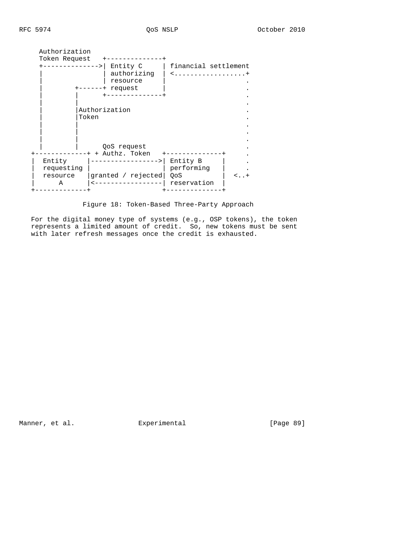| Entity C<br>. – – > I<br>authorizing<br>resource<br>request<br>$^+$ | financial settlement<br><.                                                       |
|---------------------------------------------------------------------|----------------------------------------------------------------------------------|
| ----------                                                          |                                                                                  |
|                                                                     |                                                                                  |
| QoS request                                                         |                                                                                  |
|                                                                     |                                                                                  |
| granted / rejected                                                  | Entity B<br>performing<br>OoS<br><..+<br>reservation                             |
|                                                                     | Authorization<br>Token Request<br>Authorization<br>Token<br>----+ + Authz. Token |

Figure 18: Token-Based Three-Party Approach

 For the digital money type of systems (e.g., OSP tokens), the token represents a limited amount of credit. So, new tokens must be sent with later refresh messages once the credit is exhausted.

Manner, et al. **Experimental** Experimental [Page 89]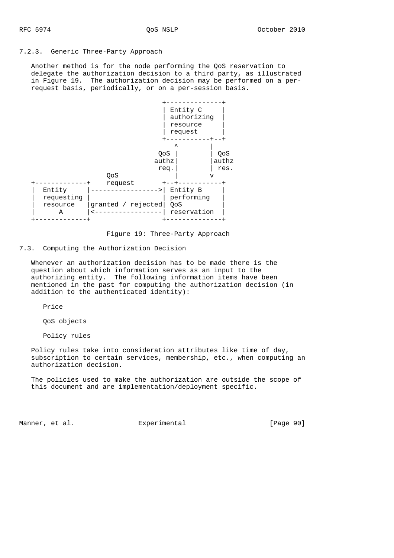## 7.2.3. Generic Three-Party Approach

 Another method is for the node performing the QoS reservation to delegate the authorization decision to a third party, as illustrated in Figure 19. The authorization decision may be performed on a per request basis, periodically, or on a per-session basis.



Figure 19: Three-Party Approach

7.3. Computing the Authorization Decision

 Whenever an authorization decision has to be made there is the question about which information serves as an input to the authorizing entity. The following information items have been mentioned in the past for computing the authorization decision (in addition to the authenticated identity):

Price

QoS objects

Policy rules

 Policy rules take into consideration attributes like time of day, subscription to certain services, membership, etc., when computing an authorization decision.

 The policies used to make the authorization are outside the scope of this document and are implementation/deployment specific.

Manner, et al.  $\Box$  Experimental [Page 90]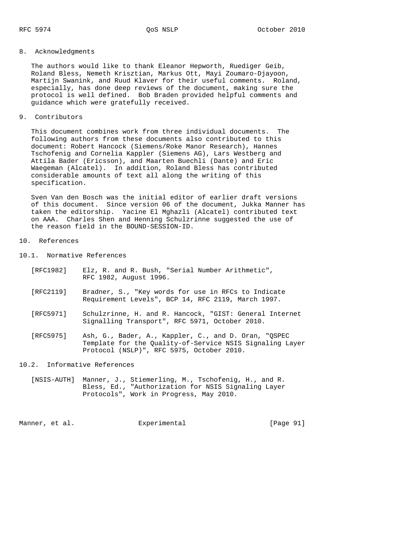## 8. Acknowledgments

 The authors would like to thank Eleanor Hepworth, Ruediger Geib, Roland Bless, Nemeth Krisztian, Markus Ott, Mayi Zoumaro-Djayoon, Martijn Swanink, and Ruud Klaver for their useful comments. Roland, especially, has done deep reviews of the document, making sure the protocol is well defined. Bob Braden provided helpful comments and guidance which were gratefully received.

9. Contributors

 This document combines work from three individual documents. The following authors from these documents also contributed to this document: Robert Hancock (Siemens/Roke Manor Research), Hannes Tschofenig and Cornelia Kappler (Siemens AG), Lars Westberg and Attila Bader (Ericsson), and Maarten Buechli (Dante) and Eric Waegeman (Alcatel). In addition, Roland Bless has contributed considerable amounts of text all along the writing of this specification.

 Sven Van den Bosch was the initial editor of earlier draft versions of this document. Since version 06 of the document, Jukka Manner has taken the editorship. Yacine El Mghazli (Alcatel) contributed text on AAA. Charles Shen and Henning Schulzrinne suggested the use of the reason field in the BOUND-SESSION-ID.

# 10. References

10.1. Normative References

| [RFC1982] |                        |  |  | Elz, R. and R. Bush, "Serial Number Arithmetic", |  |
|-----------|------------------------|--|--|--------------------------------------------------|--|
|           | RFC 1982, August 1996. |  |  |                                                  |  |

- [RFC2119] Bradner, S., "Key words for use in RFCs to Indicate Requirement Levels", BCP 14, RFC 2119, March 1997.
- [RFC5971] Schulzrinne, H. and R. Hancock, "GIST: General Internet Signalling Transport", RFC 5971, October 2010.
- [RFC5975] Ash, G., Bader, A., Kappler, C., and D. Oran, "QSPEC Template for the Quality-of-Service NSIS Signaling Layer Protocol (NSLP)", RFC 5975, October 2010.

## 10.2. Informative References

 [NSIS-AUTH] Manner, J., Stiemerling, M., Tschofenig, H., and R. Bless, Ed., "Authorization for NSIS Signaling Layer Protocols", Work in Progress, May 2010.

Manner, et al.  $\Box$  Experimental [Page 91]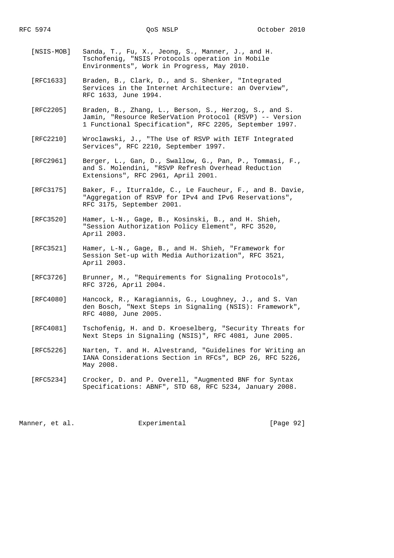- [NSIS-MOB] Sanda, T., Fu, X., Jeong, S., Manner, J., and H. Tschofenig, "NSIS Protocols operation in Mobile Environments", Work in Progress, May 2010.
- [RFC1633] Braden, B., Clark, D., and S. Shenker, "Integrated Services in the Internet Architecture: an Overview", RFC 1633, June 1994.
- [RFC2205] Braden, B., Zhang, L., Berson, S., Herzog, S., and S. Jamin, "Resource ReSerVation Protocol (RSVP) -- Version 1 Functional Specification", RFC 2205, September 1997.
- [RFC2210] Wroclawski, J., "The Use of RSVP with IETF Integrated Services", RFC 2210, September 1997.
- [RFC2961] Berger, L., Gan, D., Swallow, G., Pan, P., Tommasi, F., and S. Molendini, "RSVP Refresh Overhead Reduction Extensions", RFC 2961, April 2001.
- [RFC3175] Baker, F., Iturralde, C., Le Faucheur, F., and B. Davie, "Aggregation of RSVP for IPv4 and IPv6 Reservations", RFC 3175, September 2001.
	- [RFC3520] Hamer, L-N., Gage, B., Kosinski, B., and H. Shieh, "Session Authorization Policy Element", RFC 3520, April 2003.
	- [RFC3521] Hamer, L-N., Gage, B., and H. Shieh, "Framework for Session Set-up with Media Authorization", RFC 3521, April 2003.
	- [RFC3726] Brunner, M., "Requirements for Signaling Protocols", RFC 3726, April 2004.
	- [RFC4080] Hancock, R., Karagiannis, G., Loughney, J., and S. Van den Bosch, "Next Steps in Signaling (NSIS): Framework", RFC 4080, June 2005.
	- [RFC4081] Tschofenig, H. and D. Kroeselberg, "Security Threats for Next Steps in Signaling (NSIS)", RFC 4081, June 2005.
	- [RFC5226] Narten, T. and H. Alvestrand, "Guidelines for Writing an IANA Considerations Section in RFCs", BCP 26, RFC 5226, May 2008.
	- [RFC5234] Crocker, D. and P. Overell, "Augmented BNF for Syntax Specifications: ABNF", STD 68, RFC 5234, January 2008.

Manner, et al.  $\Box$  Experimental [Page 92]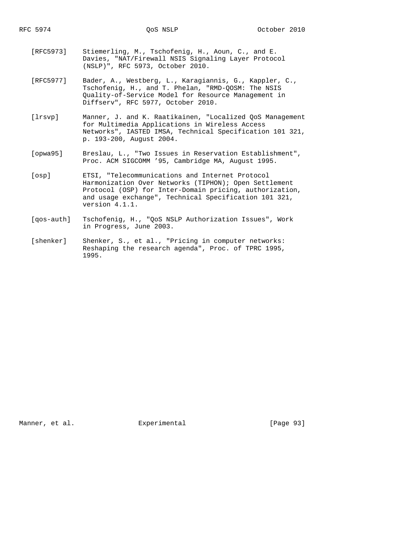- [RFC5973] Stiemerling, M., Tschofenig, H., Aoun, C., and E. Davies, "NAT/Firewall NSIS Signaling Layer Protocol (NSLP)", RFC 5973, October 2010.
- [RFC5977] Bader, A., Westberg, L., Karagiannis, G., Kappler, C., Tschofenig, H., and T. Phelan, "RMD-QOSM: The NSIS Quality-of-Service Model for Resource Management in Diffserv", RFC 5977, October 2010.
- [lrsvp] Manner, J. and K. Raatikainen, "Localized QoS Management for Multimedia Applications in Wireless Access Networks", IASTED IMSA, Technical Specification 101 321, p. 193-200, August 2004.
- [opwa95] Breslau, L., "Two Issues in Reservation Establishment", Proc. ACM SIGCOMM '95, Cambridge MA, August 1995.
- [osp] ETSI, "Telecommunications and Internet Protocol Harmonization Over Networks (TIPHON); Open Settlement Protocol (OSP) for Inter-Domain pricing, authorization, and usage exchange", Technical Specification 101 321, version 4.1.1.
- [qos-auth] Tschofenig, H., "QoS NSLP Authorization Issues", Work in Progress, June 2003.
- [shenker] Shenker, S., et al., "Pricing in computer networks: Reshaping the research agenda", Proc. of TPRC 1995, 1995.

Manner, et al. Experimental [Page 93]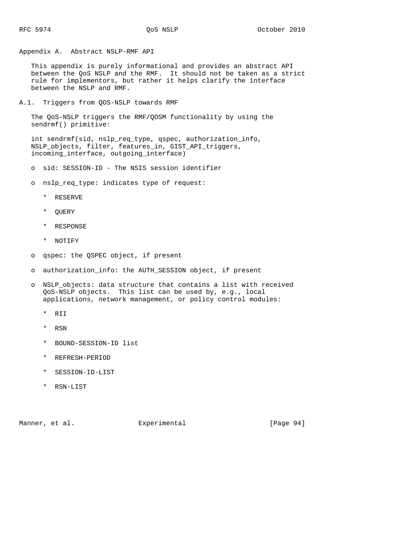Appendix A. Abstract NSLP-RMF API

 This appendix is purely informational and provides an abstract API between the QoS NSLP and the RMF. It should not be taken as a strict rule for implementors, but rather it helps clarify the interface between the NSLP and RMF.

A.1. Triggers from QOS-NSLP towards RMF

 The QoS-NSLP triggers the RMF/QOSM functionality by using the sendrmf() primitive:

 int sendrmf(sid, nslp\_req\_type, qspec, authorization\_info, NSLP\_objects, filter, features\_in, GIST\_API\_triggers, incoming\_interface, outgoing\_interface)

o sid: SESSION-ID - The NSIS session identifier

o nslp\_req\_type: indicates type of request:

- \* RESERVE
- \* QUERY
- \* RESPONSE
- \* NOTIFY
- o qspec: the QSPEC object, if present
- o authorization\_info: the AUTH\_SESSION object, if present
- o NSLP\_objects: data structure that contains a list with received QoS-NSLP objects. This list can be used by, e.g., local applications, network management, or policy control modules:
	- \* RII
	- \* RSN
	- \* BOUND-SESSION-ID list
	- \* REFRESH-PERIOD
	- \* SESSION-ID-LIST
	- \* RSN-LIST

Manner, et al.  $\Box$  Experimental  $\Box$  [Page 94]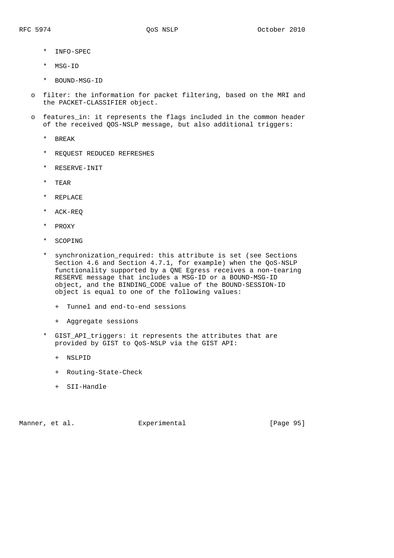- \* INFO-SPEC
- \* MSG-ID
- \* BOUND-MSG-ID
- o filter: the information for packet filtering, based on the MRI and the PACKET-CLASSIFIER object.
- o features\_in: it represents the flags included in the common header of the received QOS-NSLP message, but also additional triggers:
	- \* BREAK
	- \* REQUEST REDUCED REFRESHES
	- \* RESERVE-INIT
	- \* TEAR
	- \* REPLACE
	- \* ACK-REQ
	- \* PROXY
	- \* SCOPING
	- \* synchronization\_required: this attribute is set (see Sections Section 4.6 and Section 4.7.1, for example) when the QoS-NSLP functionality supported by a QNE Egress receives a non-tearing RESERVE message that includes a MSG-ID or a BOUND-MSG-ID object, and the BINDING\_CODE value of the BOUND-SESSION-ID object is equal to one of the following values:
		- + Tunnel and end-to-end sessions
		- + Aggregate sessions
	- \* GIST\_API\_triggers: it represents the attributes that are provided by GIST to QoS-NSLP via the GIST API:
		- + NSLPID
		- + Routing-State-Check
		- + SII-Handle

Manner, et al. Subsection Experimental Experiment (Page 95)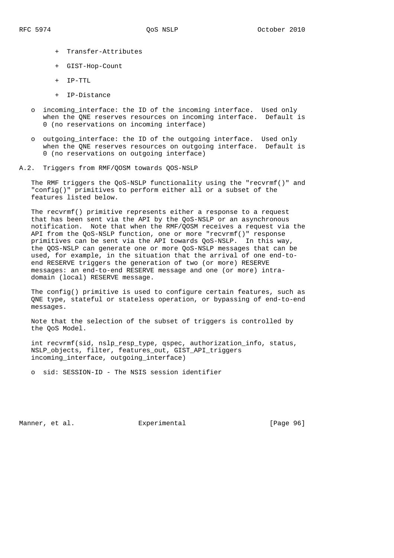- + Transfer-Attributes
- + GIST-Hop-Count
- + IP-TTL
- + IP-Distance
- incoming interface: the ID of the incoming interface. Used only when the QNE reserves resources on incoming interface. Default is 0 (no reservations on incoming interface)
- o outgoing\_interface: the ID of the outgoing interface. Used only when the QNE reserves resources on outgoing interface. Default is 0 (no reservations on outgoing interface)
- A.2. Triggers from RMF/QOSM towards QOS-NSLP

 The RMF triggers the QoS-NSLP functionality using the "recvrmf()" and "config()" primitives to perform either all or a subset of the features listed below.

 The recvrmf() primitive represents either a response to a request that has been sent via the API by the QoS-NSLP or an asynchronous notification. Note that when the RMF/QOSM receives a request via the API from the QoS-NSLP function, one or more "recvrmf()" response primitives can be sent via the API towards QoS-NSLP. In this way, the QOS-NSLP can generate one or more QoS-NSLP messages that can be used, for example, in the situation that the arrival of one end-to end RESERVE triggers the generation of two (or more) RESERVE messages: an end-to-end RESERVE message and one (or more) intra domain (local) RESERVE message.

 The config() primitive is used to configure certain features, such as QNE type, stateful or stateless operation, or bypassing of end-to-end messages.

 Note that the selection of the subset of triggers is controlled by the QoS Model.

 int recvrmf(sid, nslp\_resp\_type, qspec, authorization\_info, status, NSLP\_objects, filter, features\_out, GIST\_API\_triggers incoming\_interface, outgoing\_interface)

o sid: SESSION-ID - The NSIS session identifier

Manner, et al. **Experimental** [Page 96]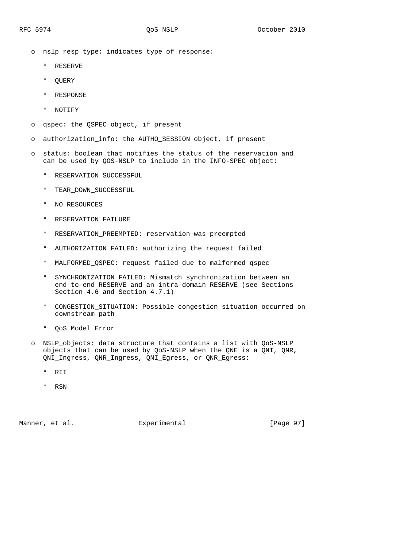o nslp\_resp\_type: indicates type of response:

- \* RESERVE
- \* QUERY
- \* RESPONSE
- \* NOTIFY
- o qspec: the QSPEC object, if present
- o authorization\_info: the AUTHO\_SESSION object, if present
- o status: boolean that notifies the status of the reservation and can be used by QOS-NSLP to include in the INFO-SPEC object:
	- \* RESERVATION\_SUCCESSFUL
	- \* TEAR\_DOWN\_SUCCESSFUL
	- \* NO RESOURCES
	- \* RESERVATION\_FAILURE
	- \* RESERVATION\_PREEMPTED: reservation was preempted
	- \* AUTHORIZATION\_FAILED: authorizing the request failed
	- \* MALFORMED\_QSPEC: request failed due to malformed qspec
	- \* SYNCHRONIZATION\_FAILED: Mismatch synchronization between an end-to-end RESERVE and an intra-domain RESERVE (see Sections Section 4.6 and Section 4.7.1)
	- \* CONGESTION\_SITUATION: Possible congestion situation occurred on downstream path
	- \* QoS Model Error
- o NSLP\_objects: data structure that contains a list with QoS-NSLP objects that can be used by QoS-NSLP when the QNE is a QNI, QNR, QNI\_Ingress, QNR\_Ingress, QNI\_Egress, or QNR\_Egress:
	- \* RII
	- \* RSN

Manner, et al. Experimental [Page 97]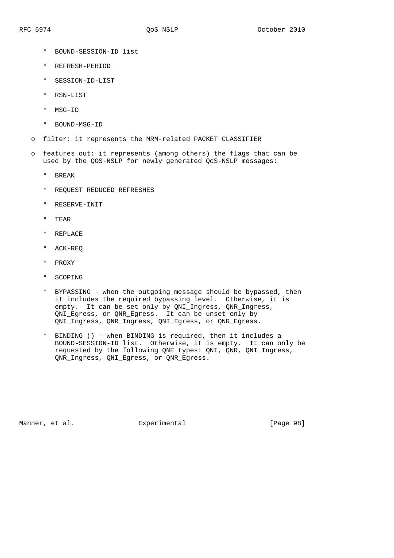- \* BOUND-SESSION-ID list
- \* REFRESH-PERIOD
- \* SESSION-ID-LIST
- \* RSN-LIST
- \* MSG-ID
- \* BOUND-MSG-ID
- o filter: it represents the MRM-related PACKET CLASSIFIER
- o features\_out: it represents (among others) the flags that can be used by the QOS-NSLP for newly generated QoS-NSLP messages:
	- \* BREAK
	- \* REQUEST REDUCED REFRESHES
	- \* RESERVE-INIT
	- \* TEAR
	- \* REPLACE
	- \* ACK-REQ
	- \* PROXY
	- \* SCOPING
	- \* BYPASSING when the outgoing message should be bypassed, then it includes the required bypassing level. Otherwise, it is empty. It can be set only by QNI\_Ingress, QNR\_Ingress, QNI\_Egress, or QNR\_Egress. It can be unset only by QNI\_Ingress, QNR\_Ingress, QNI\_Egress, or QNR\_Egress.
	- \* BINDING () when BINDING is required, then it includes a BOUND-SESSION-ID list. Otherwise, it is empty. It can only be requested by the following QNE types: QNI, QNR, QNI\_Ingress, QNR\_Ingress, QNI\_Egress, or QNR\_Egress.

Manner, et al. Subsection Experimental Experiment (Page 98)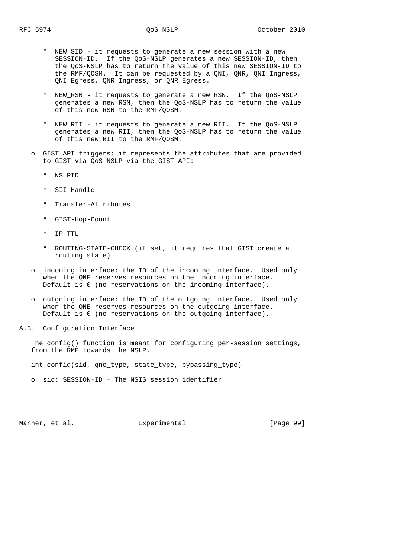- \* NEW\_SID it requests to generate a new session with a new SESSION-ID. If the QoS-NSLP generates a new SESSION-ID, then the QoS-NSLP has to return the value of this new SESSION-ID to the RMF/QOSM. It can be requested by a QNI, QNR, QNI\_Ingress, QNI\_Egress, QNR\_Ingress, or QNR\_Egress.
- \* NEW\_RSN it requests to generate a new RSN. If the QoS-NSLP generates a new RSN, then the QoS-NSLP has to return the value of this new RSN to the RMF/QOSM.
- \* NEW\_RII it requests to generate a new RII. If the QoS-NSLP generates a new RII, then the QoS-NSLP has to return the value of this new RII to the RMF/QOSM.
- o GIST\_API\_triggers: it represents the attributes that are provided to GIST via QoS-NSLP via the GIST API:
	- \* NSLPID
	- \* SII-Handle
	- \* Transfer-Attributes
	- \* GIST-Hop-Count
	- \* IP-TTL
	- \* ROUTING-STATE-CHECK (if set, it requires that GIST create a routing state)
- o incoming\_interface: the ID of the incoming interface. Used only when the QNE reserves resources on the incoming interface. Default is 0 (no reservations on the incoming interface).
- o outgoing\_interface: the ID of the outgoing interface. Used only when the QNE reserves resources on the outgoing interface. Default is 0 (no reservations on the outgoing interface).
- A.3. Configuration Interface

 The config() function is meant for configuring per-session settings, from the RMF towards the NSLP.

int config(sid, qne\_type, state\_type, bypassing\_type)

o sid: SESSION-ID - The NSIS session identifier

Manner, et al.  $\Box$  Experimental [Page 99]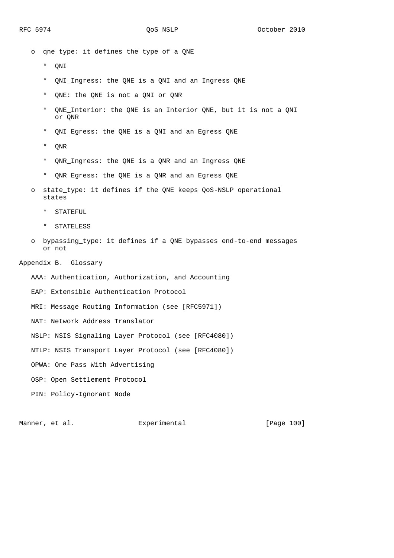o qne\_type: it defines the type of a QNE

- \* QNI
- \* QNI\_Ingress: the QNE is a QNI and an Ingress QNE
- \* QNE: the QNE is not a QNI or QNR
- \* QNE\_Interior: the QNE is an Interior QNE, but it is not a QNI or QNR
- \* QNI\_Egress: the QNE is a QNI and an Egress QNE
- \* QNR
- \* QNR\_Ingress: the QNE is a QNR and an Ingress QNE
- \* QNR\_Egress: the QNE is a QNR and an Egress QNE
- o state\_type: it defines if the QNE keeps QoS-NSLP operational states
	- \* STATEFUL
	- \* STATELESS
- o bypassing\_type: it defines if a QNE bypasses end-to-end messages or not

### Appendix B. Glossary

AAA: Authentication, Authorization, and Accounting

EAP: Extensible Authentication Protocol

MRI: Message Routing Information (see [RFC5971])

NAT: Network Address Translator

NSLP: NSIS Signaling Layer Protocol (see [RFC4080])

NTLP: NSIS Transport Layer Protocol (see [RFC4080])

OPWA: One Pass With Advertising

OSP: Open Settlement Protocol

PIN: Policy-Ignorant Node

Manner, et al. Experimental [Page 100]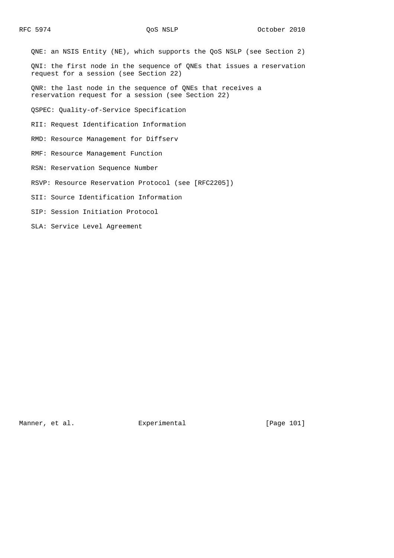QNE: an NSIS Entity (NE), which supports the QoS NSLP (see Section 2) QNI: the first node in the sequence of QNEs that issues a reservation request for a session (see Section 22) QNR: the last node in the sequence of QNEs that receives a reservation request for a session (see Section 22) QSPEC: Quality-of-Service Specification RII: Request Identification Information RMD: Resource Management for Diffserv RMF: Resource Management Function RSN: Reservation Sequence Number RSVP: Resource Reservation Protocol (see [RFC2205]) SII: Source Identification Information SIP: Session Initiation Protocol

SLA: Service Level Agreement

Manner, et al. Subsection Experimental Experiment (Page 101)